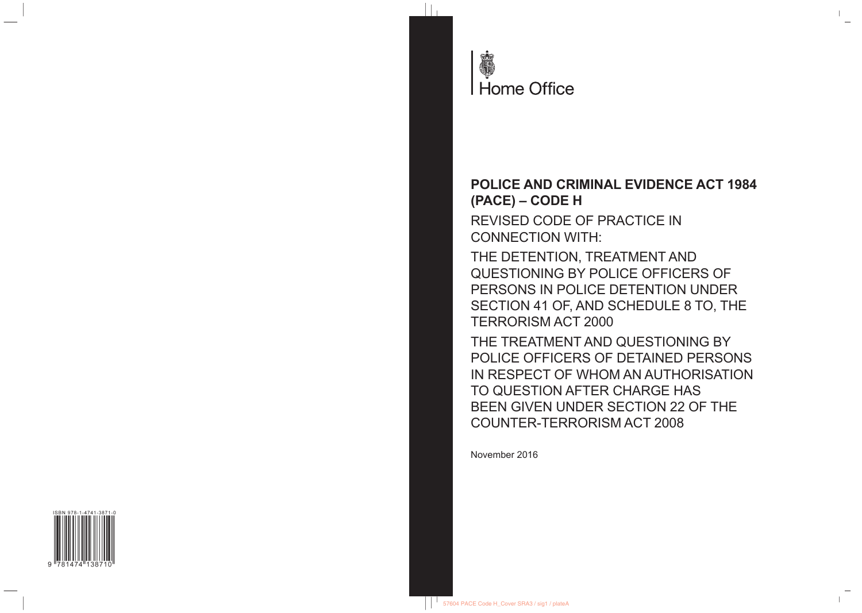OST. Home Office

 $\mathbb{L}$ 

# **POLICE AND CRIMINAL EVIDENCE ACT 1984 (PACE) – CODE H**

REVISED CODE OF PRACTICE IN CONNECTION WITH:

THE DETENTION, TREATMENT AND QUESTIONING BY POLICE OFFICERS OF PERSONS IN POLICE DETENTION UNDER SECTION 41 OF, AND SCHEDULE 8 TO, THE TERRORISM ACT 2000

THE TREATMENT AND QUESTIONING BY POLICE OFFICERS OF DETAINED PERSONS IN RESPECT OF WHOM AN AUTHORISATION TO QUESTION AFTER CHARGE HAS BEEN GIVEN UNDER SECTION 22 OF THE COUNTER-TERRORISM ACT 2008

November 2016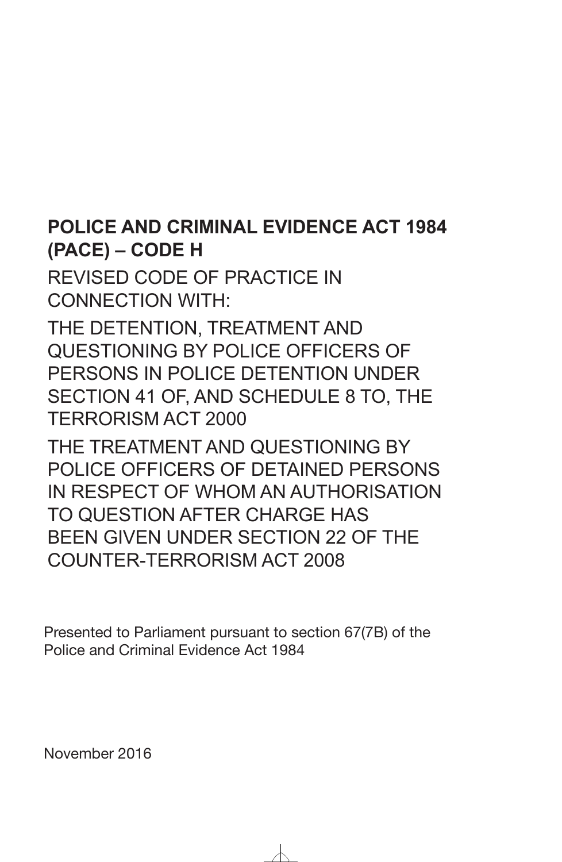# **POLICE AND CRIMINAL EVIDENCE ACT 1984 (PACE) – CODE H**

REVISED CODE OF PRACTICE IN CONNECTION WITH:

THE DETENTION, TREATMENT AND QUESTIONING BY POLICE OFFICERS OF PERSONS IN POLICE DETENTION UNDER SECTION 41 OF, AND SCHEDULE 8 TO, THE TERRORISM ACT 2000

THE TREATMENT AND QUESTIONING BY POLICE OFFICERS OF DETAINED PERSONS IN RESPECT OF WHOM AN AUTHORISATION TO QUESTION AFTER CHARGE HAS BEEN GIVEN UNDER SECTION 22 OF THE COUNTER-TERRORISM ACT 2008

Presented to Parliament pursuant to section 67(7B) of the Police and Criminal Evidence Act 1984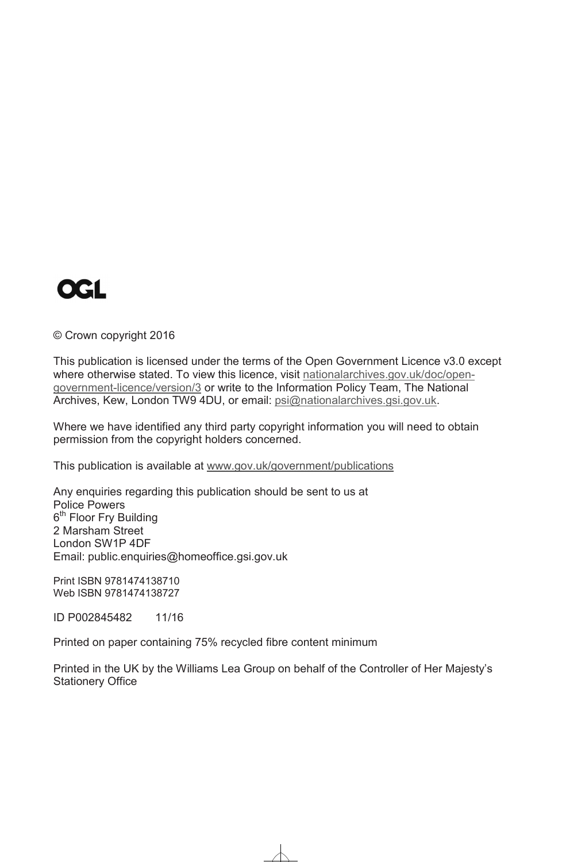

© Crown copyright 2016

This publication is licensed under the terms of the Open Government Licence v3.0 except where otherwise stated. To view this licence, visit [nationalarchives.gov.uk/doc/open](http://www.nationalarchives.gov.uk/doc/open-government-licence/version/3)[government-licence/version/3](http://www.nationalarchives.gov.uk/doc/open-government-licence/version/3) or write to the Information Policy Team, The National Archives, Kew, London TW9 4DU, or email: [psi@nationalarchives.gsi.gov.uk.](mailto:psi@nationalarchives.gsi.gov.uk)

Where we have identified any third party copyright information you will need to obtain permission from the copyright holders concerned.

This publication is available at [www.gov.uk/government/publications](http://www.gov.uk/government/publications) 

Any enquiries regarding this publication should be sent to us at Police Powers 6<sup>th</sup> Floor Fry Building 2 Marsham Street London SW1P 4DF Email: public.enquiries@homeoffice.gsi.gov.uk

Print ISBN 9781474138710 Web ISBN 9781474138727

ID P002845482 11/16

Printed on paper containing 75% recycled fibre content minimum

Printed in the UK by the Williams Lea Group on behalf of the Controller of Her Majesty's Stationery Office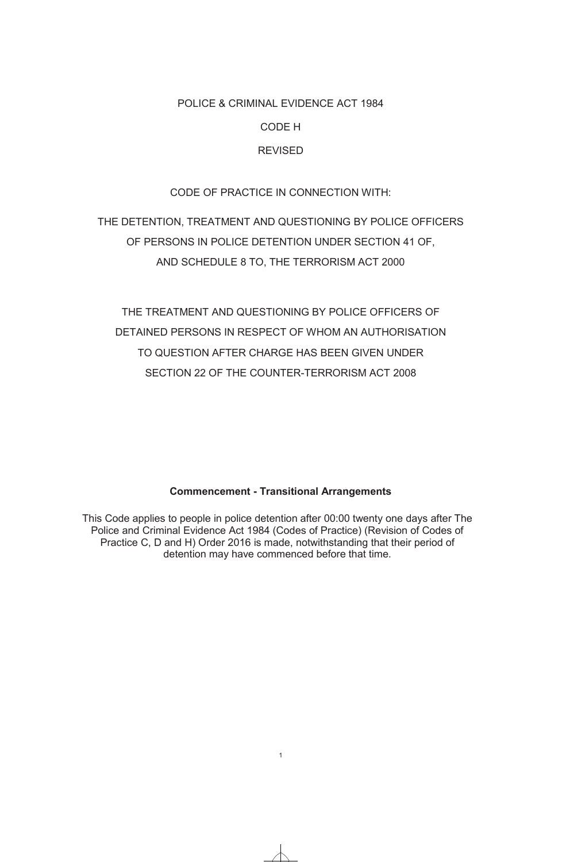#### POLICE & CRIMINAL EVIDENCE ACT 1984

#### CODE H

#### REVISED

### CODE OF PRACTICE IN CONNECTION WITH:

### THE DETENTION, TREATMENT AND QUESTIONING BY POLICE OFFICERS OF PERSONS IN POLICE DETENTION UNDER SECTION 41 OF, AND SCHEDULE 8 TO, THE TERRORISM ACT 2000

## THE TREATMENT AND QUESTIONING BY POLICE OFFICERS OF DETAINED PERSONS IN RESPECT OF WHOM AN AUTHORISATION TO QUESTION AFTER CHARGE HAS BEEN GIVEN UNDER SECTION 22 OF THE COUNTER-TERRORISM ACT 2008

#### **Commencement - Transitional Arrangements**

This Code applies to people in police detention after 00:00 twenty one days after The Police and Criminal Evidence Act 1984 (Codes of Practice) (Revision of Codes of Practice C, D and H) Order 2016 is made, notwithstanding that their period of detention may have commenced before that time.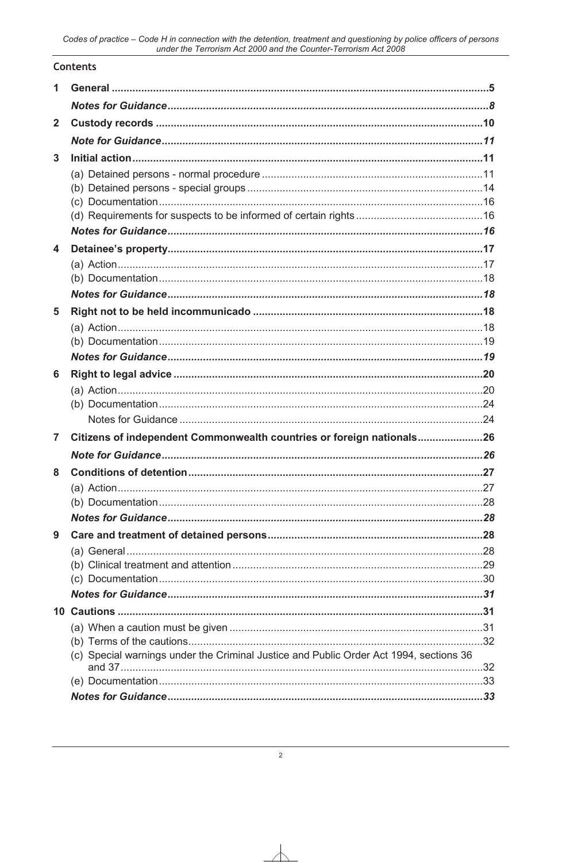#### **Contents**

| 1              |                                                                                        |  |
|----------------|----------------------------------------------------------------------------------------|--|
|                |                                                                                        |  |
| $\overline{2}$ |                                                                                        |  |
|                |                                                                                        |  |
| 3              |                                                                                        |  |
|                |                                                                                        |  |
|                |                                                                                        |  |
|                |                                                                                        |  |
|                |                                                                                        |  |
|                |                                                                                        |  |
| 4              |                                                                                        |  |
|                |                                                                                        |  |
|                |                                                                                        |  |
|                |                                                                                        |  |
| 5              |                                                                                        |  |
|                |                                                                                        |  |
|                |                                                                                        |  |
|                |                                                                                        |  |
| 6              |                                                                                        |  |
|                |                                                                                        |  |
|                |                                                                                        |  |
| $\overline{7}$ | Citizens of independent Commonwealth countries or foreign nationals26                  |  |
|                |                                                                                        |  |
|                |                                                                                        |  |
| 8              |                                                                                        |  |
|                |                                                                                        |  |
|                |                                                                                        |  |
| 9              |                                                                                        |  |
|                |                                                                                        |  |
|                |                                                                                        |  |
|                |                                                                                        |  |
|                |                                                                                        |  |
|                |                                                                                        |  |
|                |                                                                                        |  |
|                |                                                                                        |  |
|                | (c) Special warnings under the Criminal Justice and Public Order Act 1994, sections 36 |  |
|                |                                                                                        |  |
|                |                                                                                        |  |
|                |                                                                                        |  |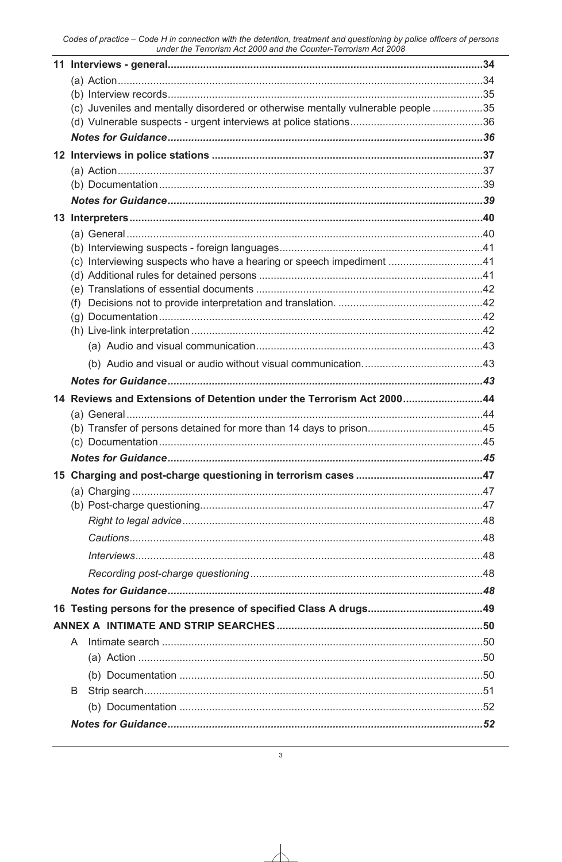Codes of practice – Code H in connection with the detention, treatment and questioning by police officers of persons<br>under the Terrorism Act 2000 and the Counter-Terrorism Act 2008

|  | (c) Juveniles and mentally disordered or otherwise mentally vulnerable people 35 |  |  |  |
|--|----------------------------------------------------------------------------------|--|--|--|
|  |                                                                                  |  |  |  |
|  |                                                                                  |  |  |  |
|  |                                                                                  |  |  |  |
|  |                                                                                  |  |  |  |
|  |                                                                                  |  |  |  |
|  |                                                                                  |  |  |  |
|  |                                                                                  |  |  |  |
|  |                                                                                  |  |  |  |
|  |                                                                                  |  |  |  |
|  | (c) Interviewing suspects who have a hearing or speech impediment 41             |  |  |  |
|  |                                                                                  |  |  |  |
|  |                                                                                  |  |  |  |
|  | (f)                                                                              |  |  |  |
|  |                                                                                  |  |  |  |
|  |                                                                                  |  |  |  |
|  |                                                                                  |  |  |  |
|  |                                                                                  |  |  |  |
|  |                                                                                  |  |  |  |
|  | 14 Reviews and Extensions of Detention under the Terrorism Act 200044            |  |  |  |
|  |                                                                                  |  |  |  |
|  |                                                                                  |  |  |  |
|  |                                                                                  |  |  |  |
|  |                                                                                  |  |  |  |
|  |                                                                                  |  |  |  |
|  |                                                                                  |  |  |  |
|  |                                                                                  |  |  |  |
|  |                                                                                  |  |  |  |
|  |                                                                                  |  |  |  |
|  |                                                                                  |  |  |  |
|  |                                                                                  |  |  |  |
|  |                                                                                  |  |  |  |
|  |                                                                                  |  |  |  |
|  |                                                                                  |  |  |  |
|  | A                                                                                |  |  |  |
|  |                                                                                  |  |  |  |
|  |                                                                                  |  |  |  |
|  | В                                                                                |  |  |  |
|  |                                                                                  |  |  |  |
|  |                                                                                  |  |  |  |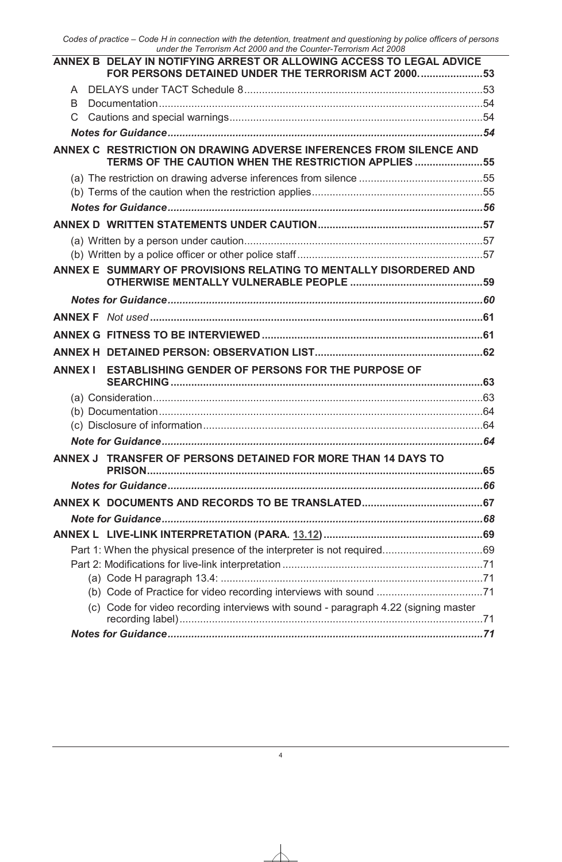*Codes of practice – Code H in connection with the detention, treatment and questioning by police officers of persons under the Terrorism Act 2000 and the Counter-Terrorism Act 2008*

|  |                | ANNEX B DELAY IN NOTIFYING ARREST OR ALLOWING ACCESS TO LEGAL ADVICE                                                       |  |
|--|----------------|----------------------------------------------------------------------------------------------------------------------------|--|
|  |                | FOR PERSONS DETAINED UNDER THE TERRORISM ACT 200053                                                                        |  |
|  | A              |                                                                                                                            |  |
|  | B              |                                                                                                                            |  |
|  | C              |                                                                                                                            |  |
|  |                |                                                                                                                            |  |
|  |                | ANNEX C RESTRICTION ON DRAWING ADVERSE INFERENCES FROM SILENCE AND<br>TERMS OF THE CAUTION WHEN THE RESTRICTION APPLIES 55 |  |
|  |                |                                                                                                                            |  |
|  |                |                                                                                                                            |  |
|  |                |                                                                                                                            |  |
|  |                |                                                                                                                            |  |
|  |                |                                                                                                                            |  |
|  |                |                                                                                                                            |  |
|  |                | ANNEX E SUMMARY OF PROVISIONS RELATING TO MENTALLY DISORDERED AND                                                          |  |
|  |                |                                                                                                                            |  |
|  |                |                                                                                                                            |  |
|  |                |                                                                                                                            |  |
|  |                |                                                                                                                            |  |
|  | <b>ANNEX I</b> | <b>ESTABLISHING GENDER OF PERSONS FOR THE PURPOSE OF</b>                                                                   |  |
|  |                |                                                                                                                            |  |
|  |                |                                                                                                                            |  |
|  |                |                                                                                                                            |  |
|  |                |                                                                                                                            |  |
|  | <b>ANNEX J</b> | <b>TRANSFER OF PERSONS DETAINED FOR MORE THAN 14 DAYS TO</b>                                                               |  |
|  |                |                                                                                                                            |  |
|  |                |                                                                                                                            |  |
|  |                |                                                                                                                            |  |
|  |                |                                                                                                                            |  |
|  |                |                                                                                                                            |  |
|  |                |                                                                                                                            |  |
|  |                |                                                                                                                            |  |
|  |                |                                                                                                                            |  |
|  |                | (c) Code for video recording interviews with sound - paragraph 4.22 (signing master                                        |  |
|  |                |                                                                                                                            |  |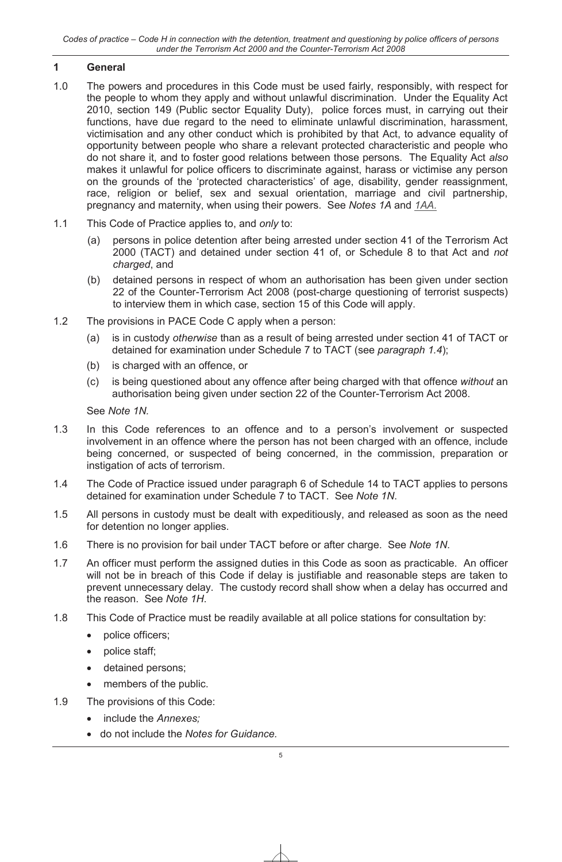#### **1 General**

- 1.0 The powers and procedures in this Code must be used fairly, responsibly, with respect for the people to whom they apply and without unlawful discrimination. Under the Equality Act 2010, section 149 (Public sector Equality Duty), police forces must, in carrying out their functions, have due regard to the need to eliminate unlawful discrimination, harassment, victimisation and any other conduct which is prohibited by that Act, to advance equality of opportunity between people who share a relevant protected characteristic and people who do not share it, and to foster good relations between those persons. The Equality Act *also*  makes it unlawful for police officers to discriminate against, harass or victimise any person on the grounds of the 'protected characteristics' of age, disability, gender reassignment, race, religion or belief, sex and sexual orientation, marriage and civil partnership, pregnancy and maternity, when using their powers. See *Notes 1A* and *[1AA.](#page--1-0)*
- 1.1 This Code of Practice applies to, and *only* to:
	- (a) persons in police detention after being arrested under section 41 of the Terrorism Act 2000 (TACT) and detained under section 41 of, or Schedule 8 to that Act and *not charged*, and
	- (b) detained persons in respect of whom an authorisation has been given under section 22 of the Counter-Terrorism Act 2008 (post-charge questioning of terrorist suspects) to interview them in which case, section 15 of this Code will apply.
- 1.2 The provisions in PACE Code C apply when a person:
	- (a) is in custody *otherwise* than as a result of being arrested under section 41 of TACT or detained for examination under Schedule 7 to TACT (see *paragraph 1.4*);
	- (b) is charged with an offence, or
	- (c) is being questioned about any offence after being charged with that offence *without* an authorisation being given under section 22 of the Counter-Terrorism Act 2008.

See *Note 1N.*

- 1.3 In this Code references to an offence and to a person's involvement or suspected involvement in an offence where the person has not been charged with an offence, include being concerned, or suspected of being concerned, in the commission, preparation or instigation of acts of terrorism.
- 1.4 The Code of Practice issued under paragraph 6 of Schedule 14 to TACT applies to persons detained for examination under Schedule 7 to TACT. See *Note 1N*.
- 1.5 All persons in custody must be dealt with expeditiously, and released as soon as the need for detention no longer applies.
- 1.6 There is no provision for bail under TACT before or after charge. See *Note 1N*.
- 1.7 An officer must perform the assigned duties in this Code as soon as practicable. An officer will not be in breach of this Code if delay is justifiable and reasonable steps are taken to prevent unnecessary delay. The custody record shall show when a delay has occurred and the reason. See *Note 1H*.
- 1.8 This Code of Practice must be readily available at all police stations for consultation by:
	- police officers;
	- police staff:
	- detained persons:
	- members of the public.
- 1.9 The provisions of this Code:
	- include the *Annexes;*
	- do not include the *Notes for Guidance.*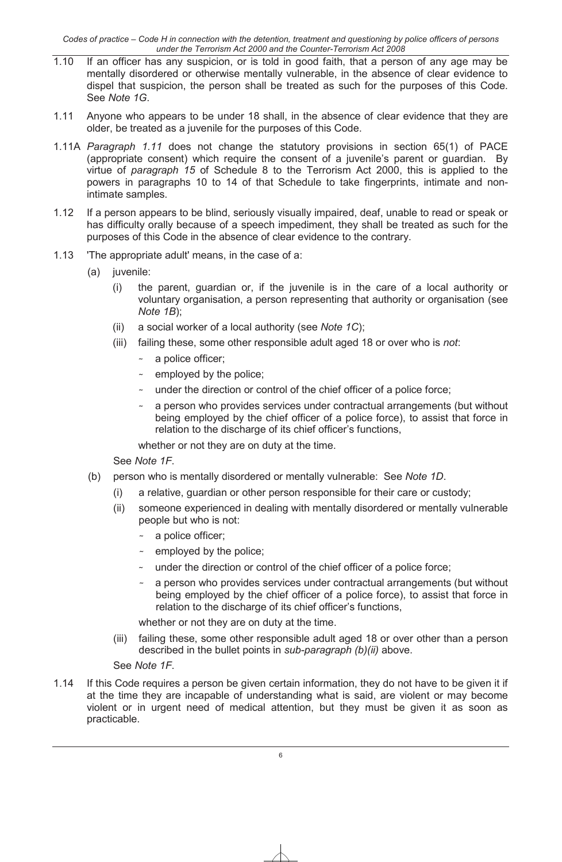- 1.10 If an officer has any suspicion, or is told in good faith, that a person of any age may be mentally disordered or otherwise mentally vulnerable, in the absence of clear evidence to dispel that suspicion, the person shall be treated as such for the purposes of this Code. See *Note 1G*.
- 1.11 Anyone who appears to be under 18 shall, in the absence of clear evidence that they are older, be treated as a juvenile for the purposes of this Code.
- 1.11A *Paragraph 1.11* does not change the statutory provisions in section 65(1) of PACE (appropriate consent) which require the consent of a juvenile's parent or guardian. By virtue of *paragraph 15* of Schedule 8 to the Terrorism Act 2000, this is applied to the powers in paragraphs 10 to 14 of that Schedule to take fingerprints, intimate and nonintimate samples.
- 1.12 If a person appears to be blind, seriously visually impaired, deaf, unable to read or speak or has difficulty orally because of a speech impediment, they shall be treated as such for the purposes of this Code in the absence of clear evidence to the contrary.
- 1.13 'The appropriate adult' means, in the case of a:
	- (a) juvenile:
		- (i) the parent, guardian or, if the juvenile is in the care of a local authority or voluntary organisation, a person representing that authority or organisation (see *Note 1B*);
		- (ii) a social worker of a local authority (see *Note 1C*);
		- (iii) failing these, some other responsible adult aged 18 or over who is *not*:
			- ~ a police officer;
			- ~ employed by the police;
			- under the direction or control of the chief officer of a police force;
			- a person who provides services under contractual arrangements (but without being employed by the chief officer of a police force), to assist that force in relation to the discharge of its chief officer's functions,

whether or not they are on duty at the time.

See *Note 1F*.

- (b) person who is mentally disordered or mentally vulnerable: See *Note 1D*.
	- (i) a relative, guardian or other person responsible for their care or custody;
	- (ii) someone experienced in dealing with mentally disordered or mentally vulnerable people but who is not:
		- ~ a police officer;
		- employed by the police;
		- under the direction or control of the chief officer of a police force;
		- a person who provides services under contractual arrangements (but without being employed by the chief officer of a police force), to assist that force in relation to the discharge of its chief officer's functions,

whether or not they are on duty at the time.

(iii) failing these, some other responsible adult aged 18 or over other than a person described in the bullet points in *sub-paragraph (b)(ii)* above.

See *Note 1F*.

1.14 If this Code requires a person be given certain information, they do not have to be given it if at the time they are incapable of understanding what is said, are violent or may become violent or in urgent need of medical attention, but they must be given it as soon as practicable.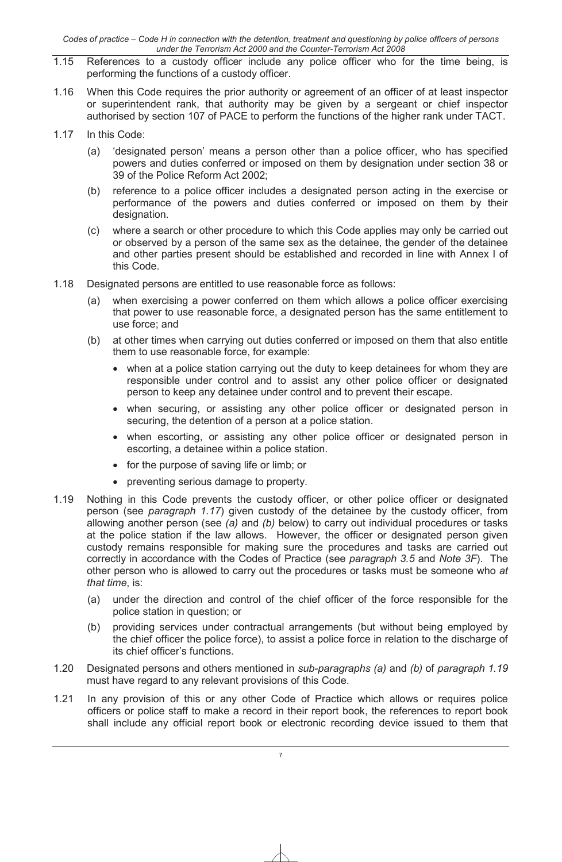- 1.15 References to a custody officer include any police officer who for the time being, is performing the functions of a custody officer.
- 1.16 When this Code requires the prior authority or agreement of an officer of at least inspector or superintendent rank, that authority may be given by a sergeant or chief inspector authorised by section 107 of PACE to perform the functions of the higher rank under TACT.
- 1.17 In this Code:
	- (a) 'designated person' means a person other than a police officer, who has specified powers and duties conferred or imposed on them by designation under section 38 or 39 of the Police Reform Act 2002;
	- (b) reference to a police officer includes a designated person acting in the exercise or performance of the powers and duties conferred or imposed on them by their designation.
	- (c) where a search or other procedure to which this Code applies may only be carried out or observed by a person of the same sex as the detainee, the gender of the detainee and other parties present should be established and recorded in line with Annex I of this Code.
- 1.18 Designated persons are entitled to use reasonable force as follows:
	- (a) when exercising a power conferred on them which allows a police officer exercising that power to use reasonable force, a designated person has the same entitlement to use force; and
	- (b) at other times when carrying out duties conferred or imposed on them that also entitle them to use reasonable force, for example:
		- when at a police station carrying out the duty to keep detainees for whom they are responsible under control and to assist any other police officer or designated person to keep any detainee under control and to prevent their escape.
		- when securing, or assisting any other police officer or designated person in securing, the detention of a person at a police station.
		- when escorting, or assisting any other police officer or designated person in escorting, a detainee within a police station.
		- for the purpose of saving life or limb; or
		- preventing serious damage to property.
- 1.19 Nothing in this Code prevents the custody officer, or other police officer or designated person (see *paragraph 1.17*) given custody of the detainee by the custody officer, from allowing another person (see *(a)* and *(b)* below) to carry out individual procedures or tasks at the police station if the law allows. However, the officer or designated person given custody remains responsible for making sure the procedures and tasks are carried out correctly in accordance with the Codes of Practice (see *paragraph 3.5* and *Note 3F*). The other person who is allowed to carry out the procedures or tasks must be someone who *at that time*, is:
	- (a) under the direction and control of the chief officer of the force responsible for the police station in question; or
	- (b) providing services under contractual arrangements (but without being employed by the chief officer the police force), to assist a police force in relation to the discharge of its chief officer's functions.
- 1.20 Designated persons and others mentioned in *sub-paragraphs (a)* and *(b)* of *paragraph 1.19* must have regard to any relevant provisions of this Code.
- 1.21 In any provision of this or any other Code of Practice which allows or requires police officers or police staff to make a record in their report book, the references to report book shall include any official report book or electronic recording device issued to them that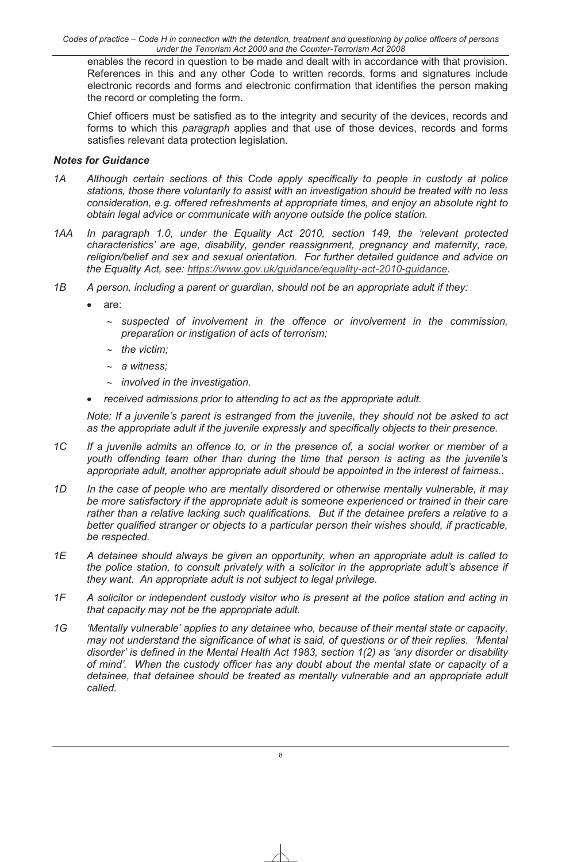enables the record in question to be made and dealt with in accordance with that provision. References in this and any other Code to written records, forms and signatures include electronic records and forms and electronic confirmation that identifies the person making the record or completing the form.

Chief officers must be satisfied as to the integrity and security of the devices, records and forms to which this *paragraph* applies and that use of those devices, records and forms satisfies relevant data protection legislation.

#### *Notes for Guidance*

- *1A Although certain sections of this Code apply specifically to people in custody at police stations, those there voluntarily to assist with an investigation should be treated with no less consideration, e.g. offered refreshments at appropriate times, and enjoy an absolute right to obtain legal advice or communicate with anyone outside the police station.*
- *1AA In paragraph 1.0, under the Equality Act 2010, section 149, the 'relevant protected characteristics' are age, disability, gender reassignment, pregnancy and maternity, race, religion/belief and sex and sexual orientation. For further detailed guidance and advice on the Equality Act, see: [https://www.gov.uk/guidance/equality-act-2010-guidance.](https://www.gov.uk/guidance/equality-act-2010-guidance)*
- *1B A person, including a parent or guardian, should not be an appropriate adult if they:*
	- are:
		- ∼ *suspected of involvement in the offence or involvement in the commission, preparation or instigation of acts of terrorism;*
		- ∼ *the victim;*
		- ∼ *a witness;*
		- ∼ *involved in the investigation.*
	- *received admissions prior to attending to act as the appropriate adult.*

*Note: If a juvenile's parent is estranged from the juvenile, they should not be asked to act as the appropriate adult if the juvenile expressly and specifically objects to their presence.*

- *1C If a juvenile admits an offence to, or in the presence of, a social worker or member of a youth offending team other than during the time that person is acting as the juvenile's appropriate adult, another appropriate adult should be appointed in the interest of fairness..*
- *1D In the case of people who are mentally disordered or otherwise mentally vulnerable, it may be more satisfactory if the appropriate adult is someone experienced or trained in their care rather than a relative lacking such qualifications. But if the detainee prefers a relative to a better qualified stranger or objects to a particular person their wishes should, if practicable, be respected.*
- *1E A detainee should always be given an opportunity, when an appropriate adult is called to the police station, to consult privately with a solicitor in the appropriate adult's absence if they want. An appropriate adult is not subject to legal privilege.*
- *1F A solicitor or independent custody visitor who is present at the police station and acting in that capacity may not be the appropriate adult.*
- *1G 'Mentally vulnerable' applies to any detainee who, because of their mental state or capacity, may not understand the significance of what is said, of questions or of their replies. 'Mental disorder' is defined in the Mental Health Act 1983, section 1(2) as 'any disorder or disability of mind'. When the custody officer has any doubt about the mental state or capacity of a detainee, that detainee should be treated as mentally vulnerable and an appropriate adult called.*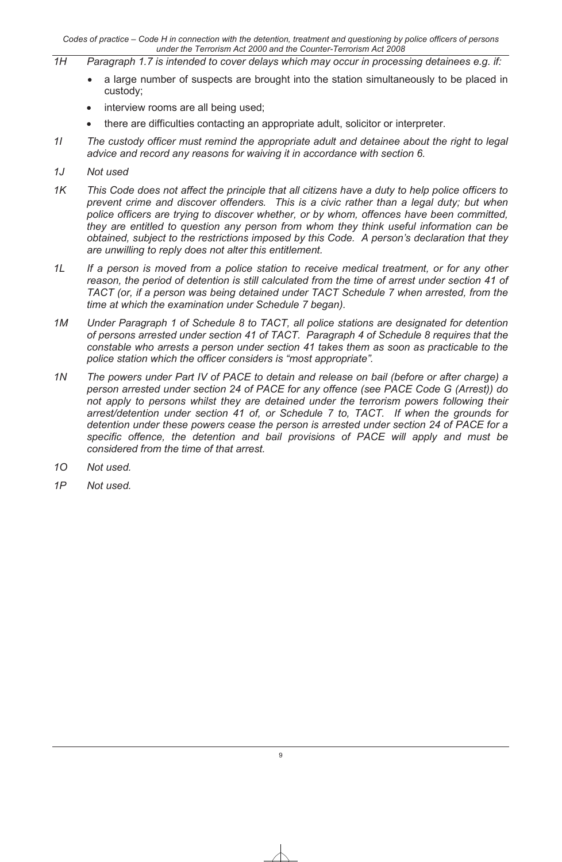- *1H Paragraph 1.7 is intended to cover delays which may occur in processing detainees e.g. if:*
	- a large number of suspects are brought into the station simultaneously to be placed in custody;
	- interview rooms are all being used;
	- there are difficulties contacting an appropriate adult, solicitor or interpreter.
- *1I The custody officer must remind the appropriate adult and detainee about the right to legal advice and record any reasons for waiving it in accordance with section 6.*
- *1J Not used*
- *1K This Code does not affect the principle that all citizens have a duty to help police officers to prevent crime and discover offenders. This is a civic rather than a legal duty; but when police officers are trying to discover whether, or by whom, offences have been committed, they are entitled to question any person from whom they think useful information can be obtained, subject to the restrictions imposed by this Code. A person's declaration that they are unwilling to reply does not alter this entitlement.*
- *1L If a person is moved from a police station to receive medical treatment, or for any other reason, the period of detention is still calculated from the time of arrest under section 41 of TACT (or, if a person was being detained under TACT Schedule 7 when arrested, from the time at which the examination under Schedule 7 began).*
- *1M Under Paragraph 1 of Schedule 8 to TACT, all police stations are designated for detention of persons arrested under section 41 of TACT. Paragraph 4 of Schedule 8 requires that the constable who arrests a person under section 41 takes them as soon as practicable to the police station which the officer considers is "most appropriate".*
- *1N The powers under Part IV of PACE to detain and release on bail (before or after charge) a person arrested under section 24 of PACE for any offence (see PACE Code G (Arrest)) do not apply to persons whilst they are detained under the terrorism powers following their arrest/detention under section 41 of, or Schedule 7 to, TACT. If when the grounds for detention under these powers cease the person is arrested under section 24 of PACE for a specific offence, the detention and bail provisions of PACE will apply and must be considered from the time of that arrest.*
- *1O Not used.*
- *1P Not used.*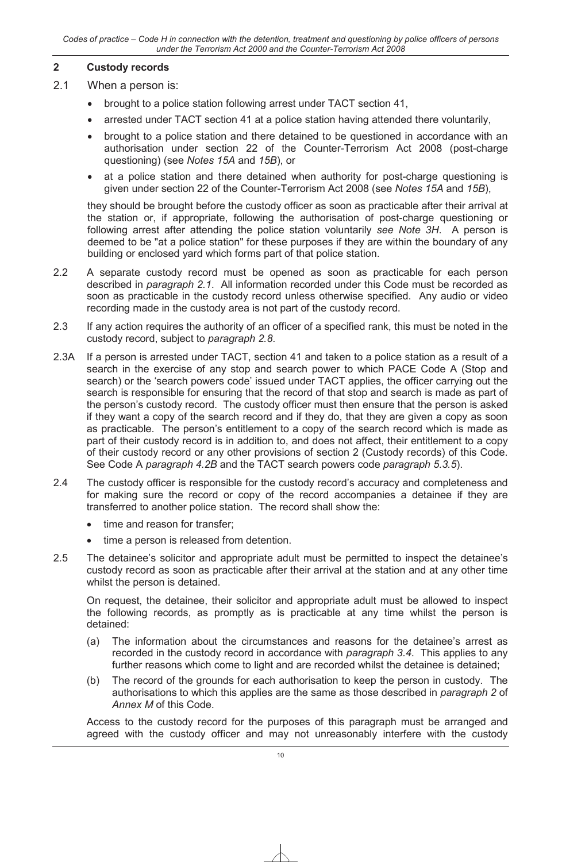#### **2 Custody records**

- 2.1 When a person is:
	- brought to a police station following arrest under TACT section 41,
	- arrested under TACT section 41 at a police station having attended there voluntarily,
	- brought to a police station and there detained to be questioned in accordance with an authorisation under section 22 of the Counter-Terrorism Act 2008 (post-charge questioning) (see *Notes 15A* and *15B*), or
	- at a police station and there detained when authority for post-charge questioning is given under section 22 of the Counter-Terrorism Act 2008 (see *Notes 15A* and *15B*),

they should be brought before the custody officer as soon as practicable after their arrival at the station or, if appropriate, following the authorisation of post-charge questioning or following arrest after attending the police station voluntarily *see Note 3H*. A person is deemed to be "at a police station" for these purposes if they are within the boundary of any building or enclosed yard which forms part of that police station.

- 2.2 A separate custody record must be opened as soon as practicable for each person described in *paragraph 2.1*. All information recorded under this Code must be recorded as soon as practicable in the custody record unless otherwise specified. Any audio or video recording made in the custody area is not part of the custody record.
- 2.3 If any action requires the authority of an officer of a specified rank, this must be noted in the custody record, subject to *paragraph 2.8*.
- 2.3A If a person is arrested under TACT, section 41 and taken to a police station as a result of a search in the exercise of any stop and search power to which PACE Code A (Stop and search) or the 'search powers code' issued under TACT applies, the officer carrying out the search is responsible for ensuring that the record of that stop and search is made as part of the person's custody record. The custody officer must then ensure that the person is asked if they want a copy of the search record and if they do, that they are given a copy as soon as practicable. The person's entitlement to a copy of the search record which is made as part of their custody record is in addition to, and does not affect, their entitlement to a copy of their custody record or any other provisions of section 2 (Custody records) of this Code. See Code A *paragraph 4.2B* and the TACT search powers code *paragraph 5.3.5*).
- 2.4 The custody officer is responsible for the custody record's accuracy and completeness and for making sure the record or copy of the record accompanies a detainee if they are transferred to another police station. The record shall show the:
	- time and reason for transfer:
	- time a person is released from detention.
- 2.5 The detainee's solicitor and appropriate adult must be permitted to inspect the detainee's custody record as soon as practicable after their arrival at the station and at any other time whilst the person is detained.

On request, the detainee, their solicitor and appropriate adult must be allowed to inspect the following records, as promptly as is practicable at any time whilst the person is detained:

- (a) The information about the circumstances and reasons for the detainee's arrest as recorded in the custody record in accordance with *paragraph 3.4*. This applies to any further reasons which come to light and are recorded whilst the detainee is detained;
- (b) The record of the grounds for each authorisation to keep the person in custody. The authorisations to which this applies are the same as those described in *paragraph 2* of *Annex M* of this Code.

Access to the custody record for the purposes of this paragraph must be arranged and agreed with the custody officer and may not unreasonably interfere with the custody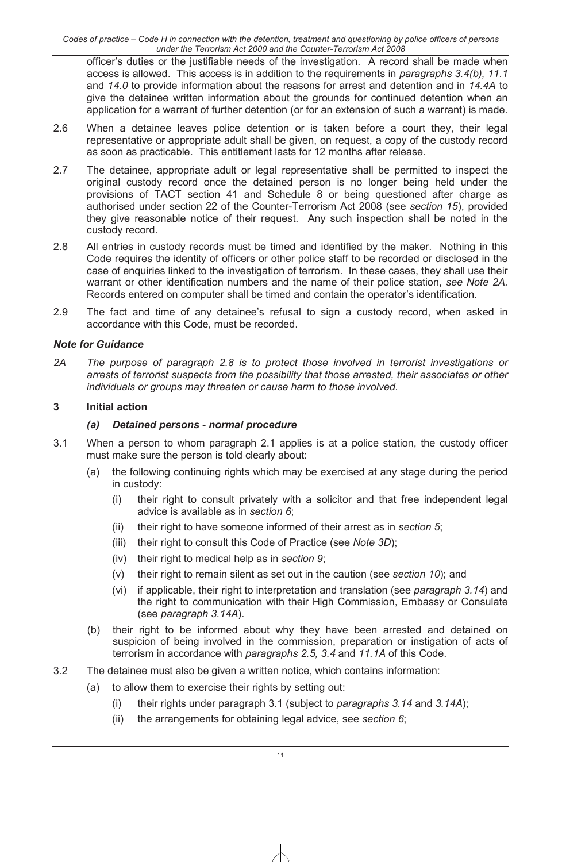officer's duties or the justifiable needs of the investigation. A record shall be made when access is allowed. This access is in addition to the requirements in *paragraphs 3.4(b), 11.1*  and *14.0* to provide information about the reasons for arrest and detention and in *14.4A* to give the detainee written information about the grounds for continued detention when an application for a warrant of further detention (or for an extension of such a warrant) is made.

- 2.6 When a detainee leaves police detention or is taken before a court they, their legal representative or appropriate adult shall be given, on request, a copy of the custody record as soon as practicable. This entitlement lasts for 12 months after release.
- 2.7 The detainee, appropriate adult or legal representative shall be permitted to inspect the original custody record once the detained person is no longer being held under the provisions of TACT section 41 and Schedule 8 or being questioned after charge as authorised under section 22 of the Counter-Terrorism Act 2008 (see *section 15*), provided they give reasonable notice of their request. Any such inspection shall be noted in the custody record.
- 2.8 All entries in custody records must be timed and identified by the maker. Nothing in this Code requires the identity of officers or other police staff to be recorded or disclosed in the case of enquiries linked to the investigation of terrorism. In these cases, they shall use their warrant or other identification numbers and the name of their police station, *see Note 2A.* Records entered on computer shall be timed and contain the operator's identification.
- 2.9 The fact and time of any detainee's refusal to sign a custody record, when asked in accordance with this Code, must be recorded.

#### *Note for Guidance*

*2A The purpose of paragraph 2.8 is to protect those involved in terrorist investigations or arrests of terrorist suspects from the possibility that those arrested, their associates or other individuals or groups may threaten or cause harm to those involved.*

#### **3 Initial action**

#### *(a) Detained persons - normal procedure*

- 3.1 When a person to whom paragraph 2.1 applies is at a police station, the custody officer must make sure the person is told clearly about:
	- (a) the following continuing rights which may be exercised at any stage during the period in custody:
		- (i) their right to consult privately with a solicitor and that free independent legal advice is available as in *section 6*;
		- (ii) their right to have someone informed of their arrest as in *section 5*;
		- (iii) their right to consult this Code of Practice (see *Note 3D*);
		- (iv) their right to medical help as in *section 9*;
		- (v) their right to remain silent as set out in the caution (see *section 10*); and
		- (vi) if applicable, their right to interpretation and translation (see *paragraph 3.14*) and the right to communication with their High Commission, Embassy or Consulate (see *paragraph 3.14A*).
	- (b) their right to be informed about why they have been arrested and detained on suspicion of being involved in the commission, preparation or instigation of acts of terrorism in accordance with *paragraphs 2.5, 3.4* and *11.1A* of this Code.
- 3.2 The detainee must also be given a written notice, which contains information:
	- (a) to allow them to exercise their rights by setting out:
		- (i) their rights under paragraph 3.1 (subject to *paragraphs 3.14* and *3.14A*);
		- (ii) the arrangements for obtaining legal advice, see *section 6*;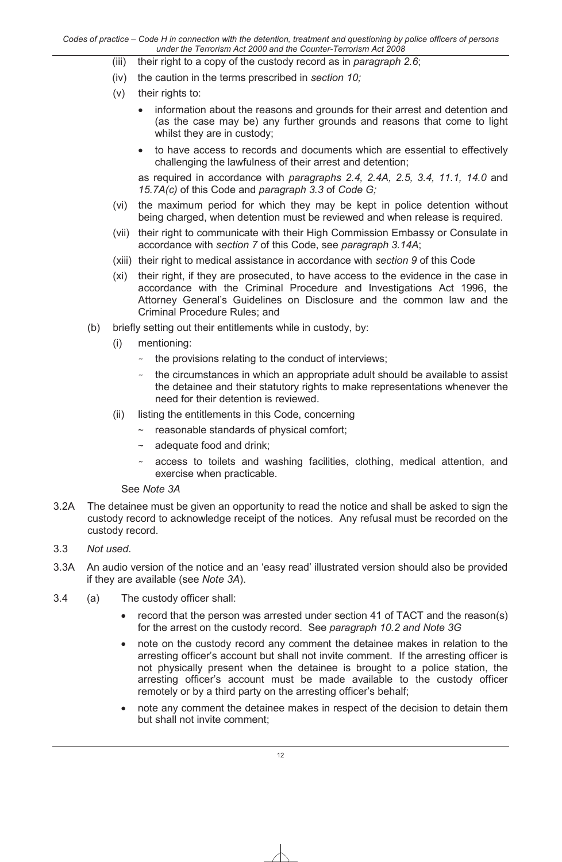- (iii) their right to a copy of the custody record as in *paragraph 2.6*;
- (iv) the caution in the terms prescribed in *section 10;*
- (v) their rights to:
	- information about the reasons and grounds for their arrest and detention and (as the case may be) any further grounds and reasons that come to light whilst they are in custody;
	- to have access to records and documents which are essential to effectively challenging the lawfulness of their arrest and detention;

as required in accordance with *paragraphs 2.4, 2.4A, 2.5, 3.4, 11.1, 14.0* and *15.7A(c)* of this Code and *paragraph 3.3* of *Code G;*

- (vi) the maximum period for which they may be kept in police detention without being charged, when detention must be reviewed and when release is required.
- (vii) their right to communicate with their High Commission Embassy or Consulate in accordance with *section 7* of this Code, see *paragraph 3.14A*;
- (xiii) their right to medical assistance in accordance with *section 9* of this Code
- (xi) their right, if they are prosecuted, to have access to the evidence in the case in accordance with the Criminal Procedure and Investigations Act 1996, the Attorney General's Guidelines on Disclosure and the common law and the Criminal Procedure Rules; and
- (b) briefly setting out their entitlements while in custody, by:
	- (i) mentioning:
		- the provisions relating to the conduct of interviews;
		- $\sim$  the circumstances in which an appropriate adult should be available to assist the detainee and their statutory rights to make representations whenever the need for their detention is reviewed.
	- (ii) listing the entitlements in this Code, concerning
		- $\sim$  reasonable standards of physical comfort:
		- $\sim$  adequate food and drink:
		- access to toilets and washing facilities, clothing, medical attention, and exercise when practicable.

#### See *Note 3A*

- 3.2A The detainee must be given an opportunity to read the notice and shall be asked to sign the custody record to acknowledge receipt of the notices. Any refusal must be recorded on the custody record.
- 3.3 *Not used*.
- 3.3A An audio version of the notice and an 'easy read' illustrated version should also be provided if they are available (see *Note 3A*).
- 3.4 (a) The custody officer shall:
	- record that the person was arrested under section 41 of TACT and the reason(s) for the arrest on the custody record. See *paragraph 10.2 and Note 3G*
	- note on the custody record any comment the detainee makes in relation to the arresting officer's account but shall not invite comment. If the arresting officer is not physically present when the detainee is brought to a police station, the arresting officer's account must be made available to the custody officer remotely or by a third party on the arresting officer's behalf;
	- note any comment the detainee makes in respect of the decision to detain them but shall not invite comment;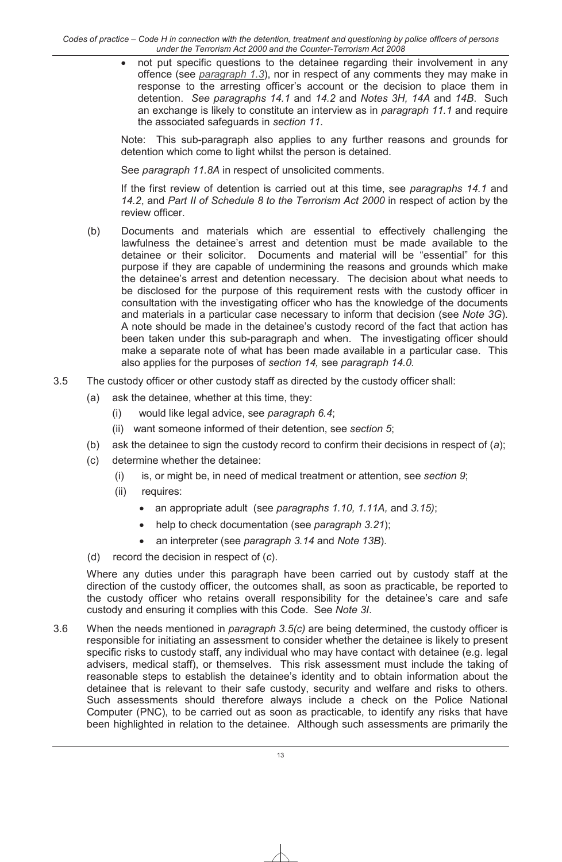• not put specific questions to the detainee regarding their involvement in any offence (see *[paragraph 1.3](#page--1-1)*), nor in respect of any comments they may make in response to the arresting officer's account or the decision to place them in detention. *See paragraphs 14.1* and *14.2* and *Notes 3H, 14A* and *14B*. Such an exchange is likely to constitute an interview as in *paragraph 11.1* and require the associated safeguards in *section 11*.

Note: This sub-paragraph also applies to any further reasons and grounds for detention which come to light whilst the person is detained.

See *paragraph 11.8A* in respect of unsolicited comments.

If the first review of detention is carried out at this time, see *paragraphs 14.1* and *14.2*, and *Part II of Schedule 8 to the Terrorism Act 2000* in respect of action by the review officer.

- (b) Documents and materials which are essential to effectively challenging the lawfulness the detainee's arrest and detention must be made available to the detainee or their solicitor. Documents and material will be "essential" for this purpose if they are capable of undermining the reasons and grounds which make the detainee's arrest and detention necessary. The decision about what needs to be disclosed for the purpose of this requirement rests with the custody officer in consultation with the investigating officer who has the knowledge of the documents and materials in a particular case necessary to inform that decision (see *Note 3G*). A note should be made in the detainee's custody record of the fact that action has been taken under this sub-paragraph and when. The investigating officer should make a separate note of what has been made available in a particular case. This also applies for the purposes of *section 14,* see *paragraph 14.0.*
- 3.5 The custody officer or other custody staff as directed by the custody officer shall:
	- (a) ask the detainee, whether at this time, they:
		- (i) would like legal advice, see *paragraph 6.4*;
		- (ii) want someone informed of their detention, see *section 5*;
	- (b) ask the detainee to sign the custody record to confirm their decisions in respect of (*a*);
	- (c) determine whether the detainee:
		- (i) is, or might be, in need of medical treatment or attention, see *section 9*;
		- (ii) requires:
			- an appropriate adult (see *paragraphs 1.10, 1.11A,* and *3.15)*;
			- help to check documentation (see *paragraph 3.21*);
			- an interpreter (see *paragraph 3.14* and *Note 13B*).
	- (d) record the decision in respect of (*c*).

Where any duties under this paragraph have been carried out by custody staff at the direction of the custody officer, the outcomes shall, as soon as practicable, be reported to the custody officer who retains overall responsibility for the detainee's care and safe custody and ensuring it complies with this Code. See *Note 3I*.

3.6 When the needs mentioned in *paragraph 3.5(c)* are being determined, the custody officer is responsible for initiating an assessment to consider whether the detainee is likely to present specific risks to custody staff, any individual who may have contact with detainee (e.g. legal advisers, medical staff), or themselves. This risk assessment must include the taking of reasonable steps to establish the detainee's identity and to obtain information about the detainee that is relevant to their safe custody, security and welfare and risks to others. Such assessments should therefore always include a check on the Police National Computer (PNC), to be carried out as soon as practicable, to identify any risks that have been highlighted in relation to the detainee. Although such assessments are primarily the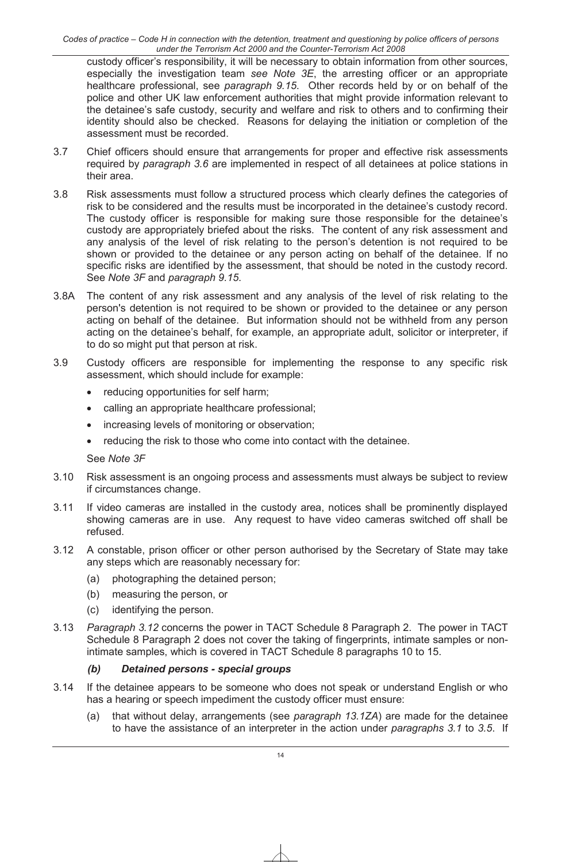custody officer's responsibility, it will be necessary to obtain information from other sources, especially the investigation team *see Note 3E*, the arresting officer or an appropriate healthcare professional, see *paragraph 9.15*. Other records held by or on behalf of the police and other UK law enforcement authorities that might provide information relevant to the detainee's safe custody, security and welfare and risk to others and to confirming their identity should also be checked. Reasons for delaying the initiation or completion of the assessment must be recorded.

- 3.7 Chief officers should ensure that arrangements for proper and effective risk assessments required by *paragraph 3.6* are implemented in respect of all detainees at police stations in their area.
- 3.8 Risk assessments must follow a structured process which clearly defines the categories of risk to be considered and the results must be incorporated in the detainee's custody record. The custody officer is responsible for making sure those responsible for the detainee's custody are appropriately briefed about the risks. The content of any risk assessment and any analysis of the level of risk relating to the person's detention is not required to be shown or provided to the detainee or any person acting on behalf of the detainee. If no specific risks are identified by the assessment, that should be noted in the custody record. See *Note 3F* and *paragraph 9.15*.
- 3.8A The content of any risk assessment and any analysis of the level of risk relating to the person's detention is not required to be shown or provided to the detainee or any person acting on behalf of the detainee. But information should not be withheld from any person acting on the detainee's behalf, for example, an appropriate adult, solicitor or interpreter, if to do so might put that person at risk.
- 3.9 Custody officers are responsible for implementing the response to any specific risk assessment, which should include for example:
	- reducing opportunities for self harm;
	- calling an appropriate healthcare professional;
	- increasing levels of monitoring or observation;
	- reducing the risk to those who come into contact with the detainee.

#### See *Note 3F*

- 3.10 Risk assessment is an ongoing process and assessments must always be subject to review if circumstances change.
- 3.11 If video cameras are installed in the custody area, notices shall be prominently displayed showing cameras are in use. Any request to have video cameras switched off shall be refused.
- 3.12 A constable, prison officer or other person authorised by the Secretary of State may take any steps which are reasonably necessary for:
	- (a) photographing the detained person;
	- (b) measuring the person, or
	- (c) identifying the person.
- 3.13 *Paragraph 3.12* concerns the power in TACT Schedule 8 Paragraph 2. The power in TACT Schedule 8 Paragraph 2 does not cover the taking of fingerprints, intimate samples or nonintimate samples, which is covered in TACT Schedule 8 paragraphs 10 to 15.

#### *(b) Detained persons - special groups*

- 3.14 If the detainee appears to be someone who does not speak or understand English or who has a hearing or speech impediment the custody officer must ensure:
	- (a) that without delay, arrangements (see *paragraph 13.1ZA*) are made for the detainee to have the assistance of an interpreter in the action under *paragraphs 3.1* to *3.5*. If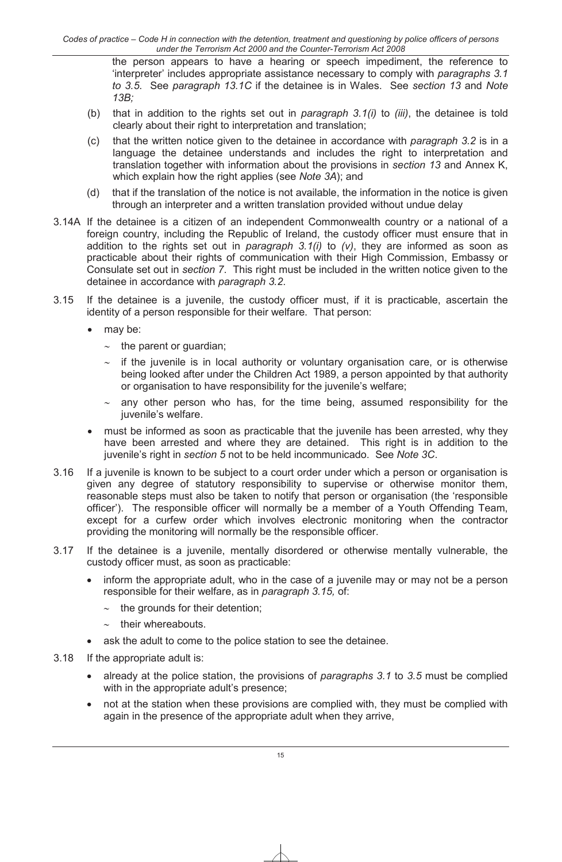the person appears to have a hearing or speech impediment, the reference to 'interpreter' includes appropriate assistance necessary to comply with *paragraphs 3.1 to 3.5*. See *paragraph 13.1C* if the detainee is in Wales. See *section 13* and *Note 13B;*

- (b) that in addition to the rights set out in *paragraph 3.1(i)* to *(iii)*, the detainee is told clearly about their right to interpretation and translation:
- (c) that the written notice given to the detainee in accordance with *paragraph 3.2* is in a language the detainee understands and includes the right to interpretation and translation together with information about the provisions in *section 13* and Annex K, which explain how the right applies (see *Note 3A*); and
- (d) that if the translation of the notice is not available, the information in the notice is given through an interpreter and a written translation provided without undue delay
- 3.14A If the detainee is a citizen of an independent Commonwealth country or a national of a foreign country, including the Republic of Ireland, the custody officer must ensure that in addition to the rights set out in *paragraph 3.1(i)* to *(v)*, they are informed as soon as practicable about their rights of communication with their High Commission, Embassy or Consulate set out in *section 7*. This right must be included in the written notice given to the detainee in accordance with *paragraph 3.2*.
- 3.15 If the detainee is a juvenile, the custody officer must, if it is practicable, ascertain the identity of a person responsible for their welfare. That person:
	- may be:
		- ∼ the parent or guardian;
		- $~\sim~$  if the juvenile is in local authority or voluntary organisation care, or is otherwise being looked after under the Children Act 1989, a person appointed by that authority or organisation to have responsibility for the juvenile's welfare;
		- ∼ any other person who has, for the time being, assumed responsibility for the juvenile's welfare.
	- must be informed as soon as practicable that the juvenile has been arrested, why they have been arrested and where they are detained. This right is in addition to the juvenile's right in *section 5* not to be held incommunicado. See *Note 3C*.
- 3.16 If a juvenile is known to be subject to a court order under which a person or organisation is given any degree of statutory responsibility to supervise or otherwise monitor them, reasonable steps must also be taken to notify that person or organisation (the 'responsible officer'). The responsible officer will normally be a member of a Youth Offending Team, except for a curfew order which involves electronic monitoring when the contractor providing the monitoring will normally be the responsible officer.
- 3.17 If the detainee is a juvenile, mentally disordered or otherwise mentally vulnerable, the custody officer must, as soon as practicable:
	- inform the appropriate adult, who in the case of a juvenile may or may not be a person responsible for their welfare, as in *paragraph 3.15,* of:
		- ∼ the grounds for their detention;
		- ∼ their whereabouts.
	- ask the adult to come to the police station to see the detainee.
- 3.18 If the appropriate adult is:
	- already at the police station, the provisions of *paragraphs 3.1* to *3.5* must be complied with in the appropriate adult's presence:
	- not at the station when these provisions are complied with, they must be complied with again in the presence of the appropriate adult when they arrive,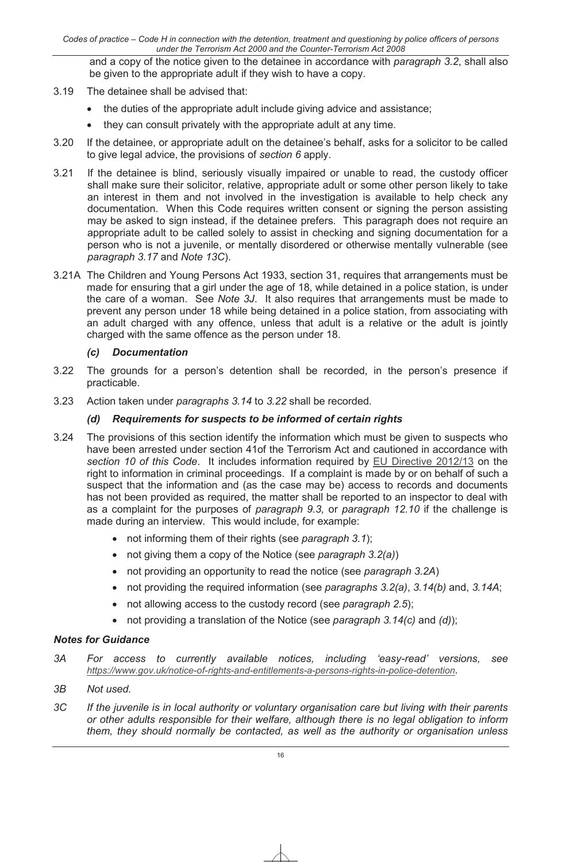and a copy of the notice given to the detainee in accordance with *paragraph 3.2*, shall also be given to the appropriate adult if they wish to have a copy.

- 3.19 The detainee shall be advised that:
	- the duties of the appropriate adult include giving advice and assistance;
	- they can consult privately with the appropriate adult at any time.
- 3.20 If the detainee, or appropriate adult on the detainee's behalf, asks for a solicitor to be called to give legal advice, the provisions of *section 6* apply.
- 3.21 If the detainee is blind, seriously visually impaired or unable to read, the custody officer shall make sure their solicitor, relative, appropriate adult or some other person likely to take an interest in them and not involved in the investigation is available to help check any documentation. When this Code requires written consent or signing the person assisting may be asked to sign instead, if the detainee prefers. This paragraph does not require an appropriate adult to be called solely to assist in checking and signing documentation for a person who is not a juvenile, or mentally disordered or otherwise mentally vulnerable (see *paragraph 3.17* and *Note 13C*).
- 3.21A The Children and Young Persons Act 1933, section 31, requires that arrangements must be made for ensuring that a girl under the age of 18, while detained in a police station, is under the care of a woman. See *Note 3J*. It also requires that arrangements must be made to prevent any person under 18 while being detained in a police station, from associating with an adult charged with any offence, unless that adult is a relative or the adult is jointly charged with the same offence as the person under 18.

#### *(c) Documentation*

- 3.22 The grounds for a person's detention shall be recorded, in the person's presence if practicable.
- 3.23 Action taken under *paragraphs 3.14* to *3.22* shall be recorded.

#### *(d) Requirements for suspects to be informed of certain rights*

- 3.24 The provisions of this section identify the information which must be given to suspects who have been arrested under section 41of the Terrorism Act and cautioned in accordance with *section 10 of this Code*. It includes information required by [EU Directive 2012/13](http://eur-lex.europa.eu/LexUriServ/LexUriServ.do?uri=OJ:L:2012:142:0001:0010:en:PDF) on the right to information in criminal proceedings. If a complaint is made by or on behalf of such a suspect that the information and (as the case may be) access to records and documents has not been provided as required, the matter shall be reported to an inspector to deal with as a complaint for the purposes of *paragraph 9.3,* or *paragraph 12.10* if the challenge is made during an interview. This would include, for example:
	- not informing them of their rights (see *paragraph 3.1*);
	- not giving them a copy of the Notice (see *paragraph 3.2(a)*)
	- not providing an opportunity to read the notice (see *paragraph 3.2A*)
	- not providing the required information (see *paragraphs 3.2(a)*, *3.14(b)* and, *3.14A*;
	- not allowing access to the custody record (see *paragraph 2.5*);
	- not providing a translation of the Notice (see *paragraph 3.14(c)* and *(d)*);

#### *Notes for Guidance*

- *3A For access to currently available notices, including 'easy-read' versions, see [https://www.gov.uk/notice-of-rights-and-entitlements-a-persons-rights-in-police-detention.](https://www.gov.uk/government/collections/notice-of-rights-and-entitlements-for-terrorism-detainees-translations)*
- *3B Not used.*
- *3C If the juvenile is in local authority or voluntary organisation care but living with their parents or other adults responsible for their welfare, although there is no legal obligation to inform them, they should normally be contacted, as well as the authority or organisation unless*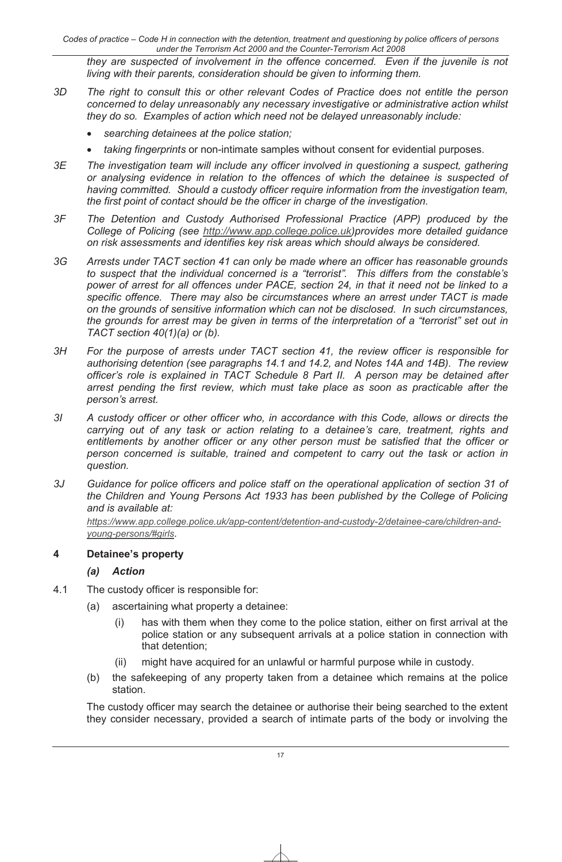*they are suspected of involvement in the offence concerned. Even if the juvenile is not living with their parents, consideration should be given to informing them.*

- *3D The right to consult this or other relevant Codes of Practice does not entitle the person concerned to delay unreasonably any necessary investigative or administrative action whilst they do so. Examples of action which need not be delayed unreasonably include:*
	- *searching detainees at the police station;*
	- *taking fingerprints* or non-intimate samples without consent for evidential purposes.
- *3E The investigation team will include any officer involved in questioning a suspect, gathering or analysing evidence in relation to the offences of which the detainee is suspected of having committed. Should a custody officer require information from the investigation team, the first point of contact should be the officer in charge of the investigation.*
- *3F The Detention and Custody Authorised Professional Practice (APP) produced by the College of Policing (see [http://www.app.college.police.uk\)](http://www.app.college.police.uk/)provides more detailed guidance on risk assessments and identifies key risk areas which should always be considered.*
- *3G Arrests under TACT section 41 can only be made where an officer has reasonable grounds to suspect that the individual concerned is a "terrorist". This differs from the constable's power of arrest for all offences under PACE, section 24, in that it need not be linked to a specific offence. There may also be circumstances where an arrest under TACT is made on the grounds of sensitive information which can not be disclosed. In such circumstances, the grounds for arrest may be given in terms of the interpretation of a "terrorist" set out in TACT section 40(1)(a) or (b).*
- *3H For the purpose of arrests under TACT section 41, the review officer is responsible for authorising detention (see paragraphs 14.1 and 14.2, and Notes 14A and 14B). The review officer's role is explained in TACT Schedule 8 Part II. A person may be detained after arrest pending the first review, which must take place as soon as practicable after the person's arrest.*
- *3I A custody officer or other officer who, in accordance with this Code, allows or directs the carrying out of any task or action relating to a detainee's care, treatment, rights and entitlements by another officer or any other person must be satisfied that the officer or person concerned is suitable, trained and competent to carry out the task or action in question.*
- *3J Guidance for police officers and police staff on the operational application of section 31 of the Children and Young Persons Act 1933 has been published by the College of Policing and is available at:*

*[https://www.app.college.police.uk/app-content/detention-and-custody-2/detainee-care/children-and](https://www.app.college.police.uk/app-content/detention-and-custody-2/detainee-care/children-and-young-persons/#girls)[young-persons/#girls.](https://www.app.college.police.uk/app-content/detention-and-custody-2/detainee-care/children-and-young-persons/#girls)*

#### **4 Detainee's property**

#### *(a) Action*

- 4.1 The custody officer is responsible for:
	- (a) ascertaining what property a detainee:
		- (i) has with them when they come to the police station, either on first arrival at the police station or any subsequent arrivals at a police station in connection with that detention;
		- (ii) might have acquired for an unlawful or harmful purpose while in custody.
	- (b) the safekeeping of any property taken from a detainee which remains at the police station.

The custody officer may search the detainee or authorise their being searched to the extent they consider necessary, provided a search of intimate parts of the body or involving the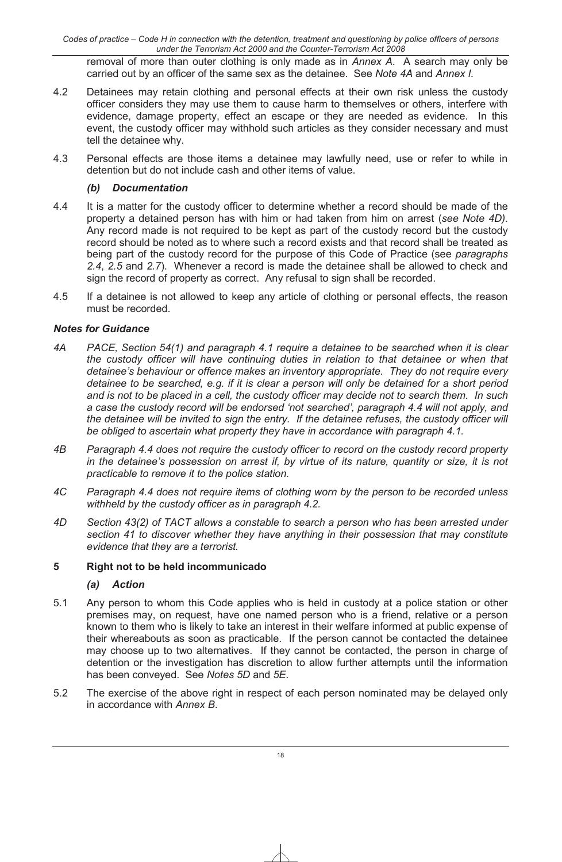removal of more than outer clothing is only made as in *Annex A*. A search may only be carried out by an officer of the same sex as the detainee. See *Note 4A* and *Annex I.*

- 4.2 Detainees may retain clothing and personal effects at their own risk unless the custody officer considers they may use them to cause harm to themselves or others, interfere with evidence, damage property, effect an escape or they are needed as evidence. In this event, the custody officer may withhold such articles as they consider necessary and must tell the detainee why.
- 4.3 Personal effects are those items a detainee may lawfully need, use or refer to while in detention but do not include cash and other items of value.

### *(b) Documentation*

- 4.4 It is a matter for the custody officer to determine whether a record should be made of the property a detained person has with him or had taken from him on arrest (*see Note 4D)*. Any record made is not required to be kept as part of the custody record but the custody record should be noted as to where such a record exists and that record shall be treated as being part of the custody record for the purpose of this Code of Practice (see *paragraphs 2.4*, *2.5* and *2.7*). Whenever a record is made the detainee shall be allowed to check and sign the record of property as correct. Any refusal to sign shall be recorded.
- 4.5 If a detainee is not allowed to keep any article of clothing or personal effects, the reason must be recorded.

#### *Notes for Guidance*

- *4A PACE, Section 54(1) and paragraph 4.1 require a detainee to be searched when it is clear the custody officer will have continuing duties in relation to that detainee or when that detainee's behaviour or offence makes an inventory appropriate. They do not require every detainee to be searched, e.g. if it is clear a person will only be detained for a short period and is not to be placed in a cell, the custody officer may decide not to search them. In such a case the custody record will be endorsed 'not searched', paragraph 4.4 will not apply, and the detainee will be invited to sign the entry. If the detainee refuses, the custody officer will be obliged to ascertain what property they have in accordance with paragraph 4.1.*
- *4B Paragraph 4.4 does not require the custody officer to record on the custody record property in the detainee's possession on arrest if, by virtue of its nature, quantity or size, it is not practicable to remove it to the police station.*
- *4C Paragraph 4.4 does not require items of clothing worn by the person to be recorded unless withheld by the custody officer as in paragraph 4.2.*
- *4D Section 43(2) of TACT allows a constable to search a person who has been arrested under section 41 to discover whether they have anything in their possession that may constitute evidence that they are a terrorist.*

#### **5 Right not to be held incommunicado**

#### *(a) Action*

- 5.1 Any person to whom this Code applies who is held in custody at a police station or other premises may, on request, have one named person who is a friend, relative or a person known to them who is likely to take an interest in their welfare informed at public expense of their whereabouts as soon as practicable. If the person cannot be contacted the detainee may choose up to two alternatives. If they cannot be contacted, the person in charge of detention or the investigation has discretion to allow further attempts until the information has been conveyed. See *Notes 5D* and *5E*.
- 5.2 The exercise of the above right in respect of each person nominated may be delayed only in accordance with *Annex B*.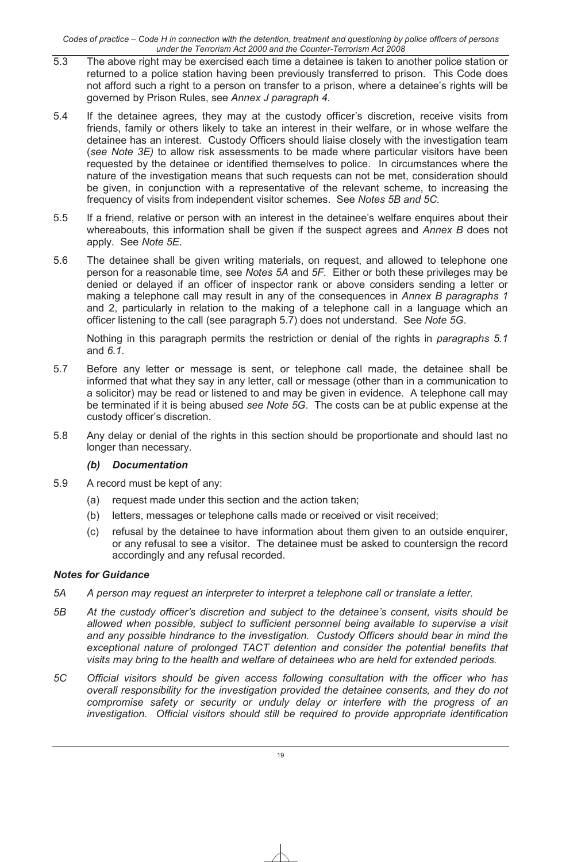- 5.3 The above right may be exercised each time a detainee is taken to another police station or returned to a police station having been previously transferred to prison. This Code does not afford such a right to a person on transfer to a prison, where a detainee's rights will be governed by Prison Rules, see *Annex J paragraph 4.*
- 5.4 If the detainee agrees, they may at the custody officer's discretion, receive visits from friends, family or others likely to take an interest in their welfare, or in whose welfare the detainee has an interest. Custody Officers should liaise closely with the investigation team (*see Note 3E)* to allow risk assessments to be made where particular visitors have been requested by the detainee or identified themselves to police. In circumstances where the nature of the investigation means that such requests can not be met, consideration should be given, in conjunction with a representative of the relevant scheme, to increasing the frequency of visits from independent visitor schemes. See *Notes 5B and 5C.*
- 5.5 If a friend, relative or person with an interest in the detainee's welfare enquires about their whereabouts, this information shall be given if the suspect agrees and *Annex B* does not apply. See *Note 5E*.
- 5.6 The detainee shall be given writing materials, on request, and allowed to telephone one person for a reasonable time, see *Notes 5A* and *5F.* Either or both these privileges may be denied or delayed if an officer of inspector rank or above considers sending a letter or making a telephone call may result in any of the consequences in *Annex B paragraphs 1* and 2, particularly in relation to the making of a telephone call in a language which an officer listening to the call (see paragraph 5.7) does not understand. See *Note 5G*.

Nothing in this paragraph permits the restriction or denial of the rights in *paragraphs 5.1* and *6.1*.

- 5.7 Before any letter or message is sent, or telephone call made, the detainee shall be informed that what they say in any letter, call or message (other than in a communication to a solicitor) may be read or listened to and may be given in evidence. A telephone call may be terminated if it is being abused *see Note 5G*. The costs can be at public expense at the custody officer's discretion.
- 5.8 Any delay or denial of the rights in this section should be proportionate and should last no longer than necessary.

#### *(b) Documentation*

- 5.9 A record must be kept of any:
	- (a) request made under this section and the action taken;
	- (b) letters, messages or telephone calls made or received or visit received;
	- (c) refusal by the detainee to have information about them given to an outside enquirer, or any refusal to see a visitor. The detainee must be asked to countersign the record accordingly and any refusal recorded.

#### *Notes for Guidance*

- *5A A person may request an interpreter to interpret a telephone call or translate a letter.*
- *5B At the custody officer's discretion and subject to the detainee's consent, visits should be allowed when possible, subject to sufficient personnel being available to supervise a visit and any possible hindrance to the investigation. Custody Officers should bear in mind the exceptional nature of prolonged TACT detention and consider the potential benefits that visits may bring to the health and welfare of detainees who are held for extended periods.*
- *5C Official visitors should be given access following consultation with the officer who has overall responsibility for the investigation provided the detainee consents, and they do not compromise safety or security or unduly delay or interfere with the progress of an investigation. Official visitors should still be required to provide appropriate identification*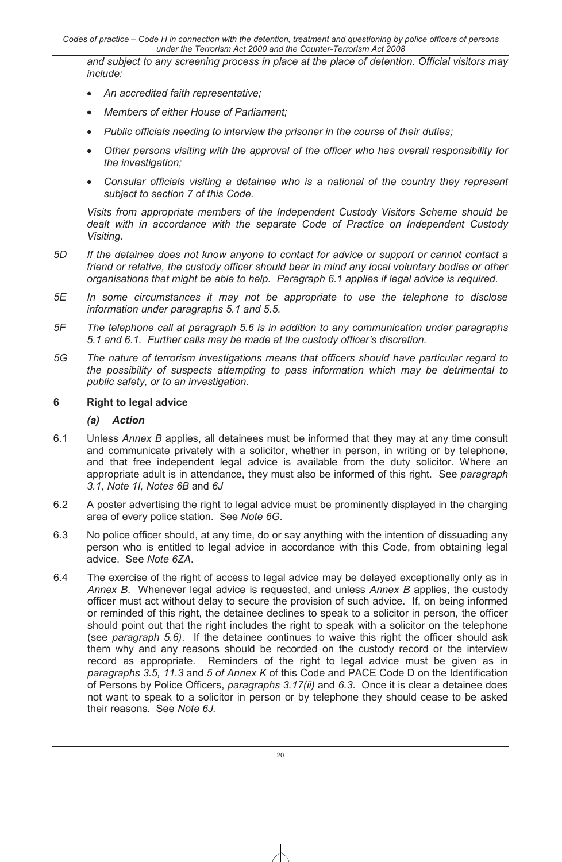*and subject to any screening process in place at the place of detention. Official visitors may include:*

- *An accredited faith representative;*
- *Members of either House of Parliament;*
- *Public officials needing to interview the prisoner in the course of their duties;*
- *Other persons visiting with the approval of the officer who has overall responsibility for the investigation;*
- *Consular officials visiting a detainee who is a national of the country they represent subject to section 7 of this Code.*

*Visits from appropriate members of the Independent Custody Visitors Scheme should be dealt with in accordance with the separate Code of Practice on Independent Custody Visiting.*

- *5D If the detainee does not know anyone to contact for advice or support or cannot contact a friend or relative, the custody officer should bear in mind any local voluntary bodies or other organisations that might be able to help. Paragraph 6.1 applies if legal advice is required.*
- *5E In some circumstances it may not be appropriate to use the telephone to disclose information under paragraphs 5.1 and 5.5.*
- *5F The telephone call at paragraph 5.6 is in addition to any communication under paragraphs 5.1 and 6.1. Further calls may be made at the custody officer's discretion.*
- *5G The nature of terrorism investigations means that officers should have particular regard to the possibility of suspects attempting to pass information which may be detrimental to public safety, or to an investigation.*

#### **6 Right to legal advice**

#### *(a) Action*

- 6.1 Unless *Annex B* applies, all detainees must be informed that they may at any time consult and communicate privately with a solicitor, whether in person, in writing or by telephone, and that free independent legal advice is available from the duty solicitor. Where an appropriate adult is in attendance, they must also be informed of this right. See *paragraph 3.1, Note 1I, Notes 6B* and *6J*
- 6.2 A poster advertising the right to legal advice must be prominently displayed in the charging area of every police station. See *Note 6G*.
- 6.3 No police officer should, at any time, do or say anything with the intention of dissuading any person who is entitled to legal advice in accordance with this Code, from obtaining legal advice. See *Note 6ZA*.
- 6.4 The exercise of the right of access to legal advice may be delayed exceptionally only as in *Annex B*. Whenever legal advice is requested, and unless *Annex B* applies, the custody officer must act without delay to secure the provision of such advice. If, on being informed or reminded of this right, the detainee declines to speak to a solicitor in person, the officer should point out that the right includes the right to speak with a solicitor on the telephone (see *paragraph 5.6)*. If the detainee continues to waive this right the officer should ask them why and any reasons should be recorded on the custody record or the interview record as appropriate. Reminders of the right to legal advice must be given as in *paragraphs 3.5, 11.3* and *5 of Annex K* of this Code and PACE Code D on the Identification of Persons by Police Officers, *paragraphs 3.17(ii)* and *6.3*. Once it is clear a detainee does not want to speak to a solicitor in person or by telephone they should cease to be asked their reasons. See *Note 6J.*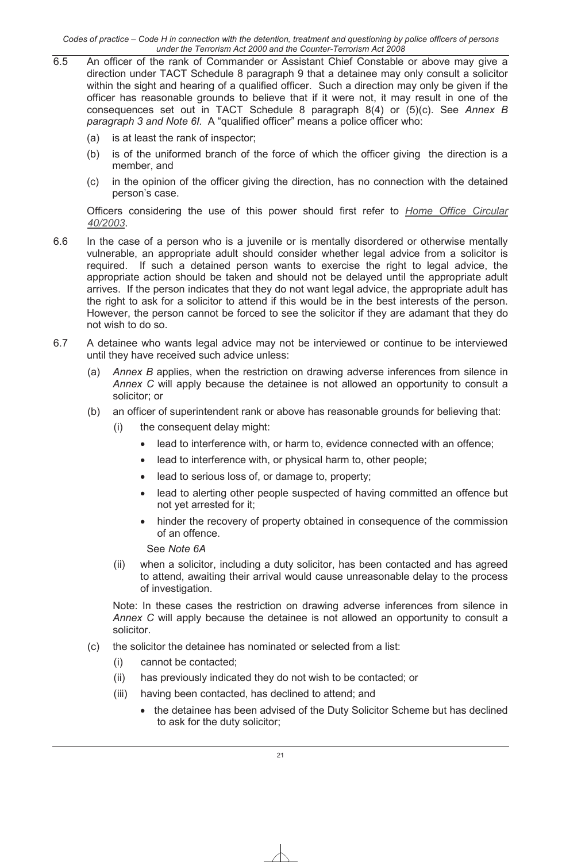- 6.5 An officer of the rank of Commander or Assistant Chief Constable or above may give a direction under TACT Schedule 8 paragraph 9 that a detainee may only consult a solicitor within the sight and hearing of a qualified officer. Such a direction may only be given if the officer has reasonable grounds to believe that if it were not, it may result in one of the consequences set out in TACT Schedule 8 paragraph 8(4) or (5)(c). See *Annex B paragraph 3 and Note 6I.* A "qualified officer" means a police officer who:
	- (a) is at least the rank of inspector;
	- (b) is of the uniformed branch of the force of which the officer giving the direction is a member, and
	- (c) in the opinion of the officer giving the direction, has no connection with the detained person's case.

Officers considering the use of this power should first refer to *[Home Office Circular](http://webarchive.nationalarchives.gov.uk/20130315044536/http:/www.homeoffice.gov.uk/about-us/corporate-publications-strategy/home-office-circulars/circulars-2003/040-2003/)  [40/2003](http://webarchive.nationalarchives.gov.uk/20130315044536/http:/www.homeoffice.gov.uk/about-us/corporate-publications-strategy/home-office-circulars/circulars-2003/040-2003/)*.

- 6.6 In the case of a person who is a juvenile or is mentally disordered or otherwise mentally vulnerable, an appropriate adult should consider whether legal advice from a solicitor is required. If such a detained person wants to exercise the right to legal advice, the appropriate action should be taken and should not be delayed until the appropriate adult arrives. If the person indicates that they do not want legal advice, the appropriate adult has the right to ask for a solicitor to attend if this would be in the best interests of the person. However, the person cannot be forced to see the solicitor if they are adamant that they do not wish to do so.
- 6.7 A detainee who wants legal advice may not be interviewed or continue to be interviewed until they have received such advice unless:
	- (a) *Annex B* applies, when the restriction on drawing adverse inferences from silence in *Annex C* will apply because the detainee is not allowed an opportunity to consult a solicitor; or
	- (b) an officer of superintendent rank or above has reasonable grounds for believing that:
		- (i) the consequent delay might:
			- lead to interference with, or harm to, evidence connected with an offence;
			- lead to interference with, or physical harm to, other people;
			- lead to serious loss of, or damage to, property;
			- lead to alerting other people suspected of having committed an offence but not yet arrested for it;
			- hinder the recovery of property obtained in consequence of the commission of an offence.

See *Note 6A*

(ii) when a solicitor, including a duty solicitor, has been contacted and has agreed to attend, awaiting their arrival would cause unreasonable delay to the process of investigation.

Note: In these cases the restriction on drawing adverse inferences from silence in *Annex C* will apply because the detainee is not allowed an opportunity to consult a solicitor.

- (c) the solicitor the detainee has nominated or selected from a list:
	- (i) cannot be contacted;
	- (ii) has previously indicated they do not wish to be contacted; or
	- (iii) having been contacted, has declined to attend; and
		- the detainee has been advised of the Duty Solicitor Scheme but has declined to ask for the duty solicitor;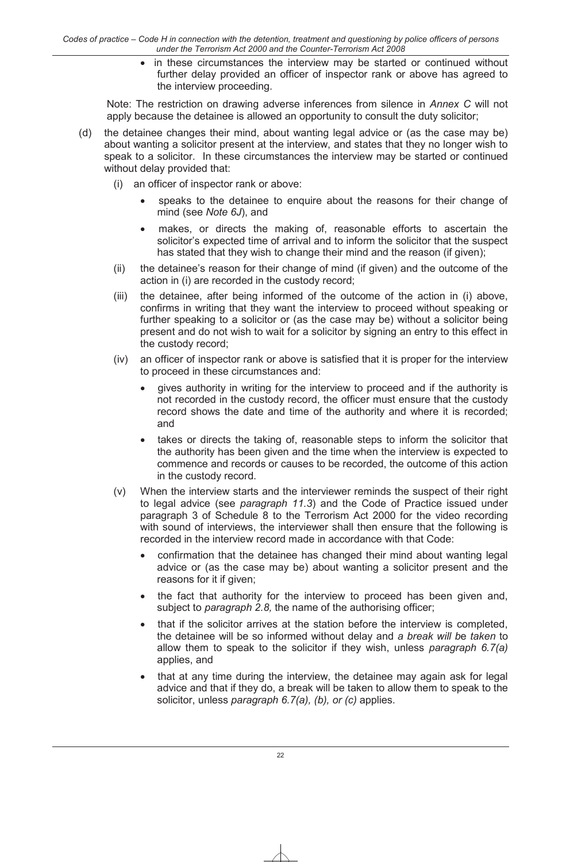in these circumstances the interview may be started or continued without further delay provided an officer of inspector rank or above has agreed to the interview proceeding.

Note: The restriction on drawing adverse inferences from silence in *Annex C* will not apply because the detainee is allowed an opportunity to consult the duty solicitor;

- (d) the detainee changes their mind, about wanting legal advice or (as the case may be) about wanting a solicitor present at the interview, and states that they no longer wish to speak to a solicitor. In these circumstances the interview may be started or continued without delay provided that:
	- (i) an officer of inspector rank or above:
		- speaks to the detainee to enquire about the reasons for their change of mind (see *Note 6J*), and
		- makes, or directs the making of, reasonable efforts to ascertain the solicitor's expected time of arrival and to inform the solicitor that the suspect has stated that they wish to change their mind and the reason (if given);
	- (ii) the detainee's reason for their change of mind (if given) and the outcome of the action in (i) are recorded in the custody record;
	- (iii) the detainee, after being informed of the outcome of the action in (i) above, confirms in writing that they want the interview to proceed without speaking or further speaking to a solicitor or (as the case may be) without a solicitor being present and do not wish to wait for a solicitor by signing an entry to this effect in the custody record;
	- (iv) an officer of inspector rank or above is satisfied that it is proper for the interview to proceed in these circumstances and:
		- gives authority in writing for the interview to proceed and if the authority is not recorded in the custody record, the officer must ensure that the custody record shows the date and time of the authority and where it is recorded; and
		- takes or directs the taking of, reasonable steps to inform the solicitor that the authority has been given and the time when the interview is expected to commence and records or causes to be recorded, the outcome of this action in the custody record.
	- (v) When the interview starts and the interviewer reminds the suspect of their right to legal advice (see *paragraph 11.3*) and the Code of Practice issued under paragraph 3 of Schedule 8 to the Terrorism Act 2000 for the video recording with sound of interviews, the interviewer shall then ensure that the following is recorded in the interview record made in accordance with that Code:
		- confirmation that the detainee has changed their mind about wanting legal advice or (as the case may be) about wanting a solicitor present and the reasons for it if given:
		- the fact that authority for the interview to proceed has been given and, subject to *paragraph 2.8,* the name of the authorising officer;
		- that if the solicitor arrives at the station before the interview is completed, the detainee will be so informed without delay and *a break will b*e *taken* to allow them to speak to the solicitor if they wish, unless *paragraph 6.7(a)*  applies, and
		- that at any time during the interview, the detainee may again ask for legal advice and that if they do, a break will be taken to allow them to speak to the solicitor, unless *paragraph 6.7(a), (b), or (c)* applies.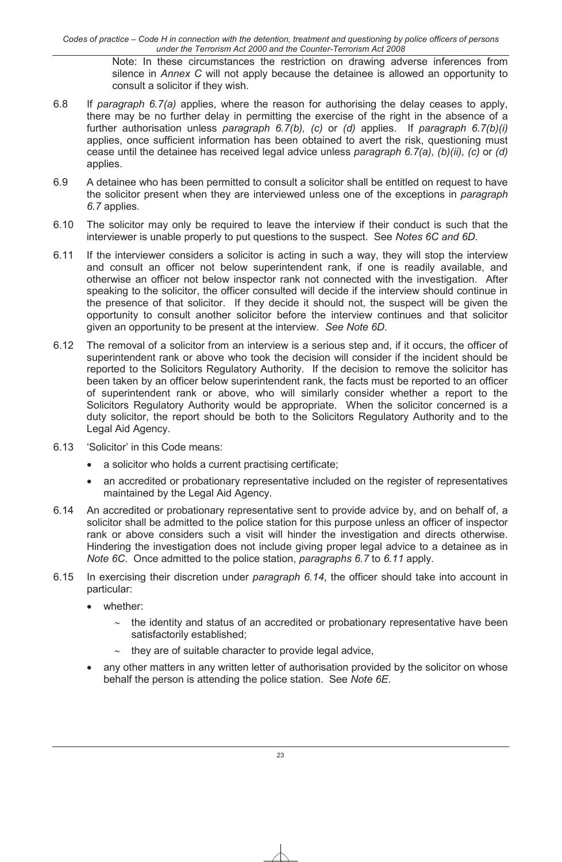Note: In these circumstances the restriction on drawing adverse inferences from silence in *Annex C* will not apply because the detainee is allowed an opportunity to consult a solicitor if they wish.

- 6.8 If *paragraph 6.7(a)* applies, where the reason for authorising the delay ceases to apply, there may be no further delay in permitting the exercise of the right in the absence of a further authorisation unless *paragraph 6.7(b), (c)* or *(d)* applies. If *paragraph 6.7(b)(i)* applies, once sufficient information has been obtained to avert the risk, questioning must cease until the detainee has received legal advice unless *paragraph 6.7(a), (b)(ii), (c)* or *(d)* applies.
- 6.9 A detainee who has been permitted to consult a solicitor shall be entitled on request to have the solicitor present when they are interviewed unless one of the exceptions in *paragraph 6.7* applies.
- 6.10 The solicitor may only be required to leave the interview if their conduct is such that the interviewer is unable properly to put questions to the suspect. See *Notes 6C and 6D*.
- 6.11 If the interviewer considers a solicitor is acting in such a way, they will stop the interview and consult an officer not below superintendent rank, if one is readily available, and otherwise an officer not below inspector rank not connected with the investigation. After speaking to the solicitor, the officer consulted will decide if the interview should continue in the presence of that solicitor. If they decide it should not, the suspect will be given the opportunity to consult another solicitor before the interview continues and that solicitor given an opportunity to be present at the interview. *See Note 6D*.
- 6.12 The removal of a solicitor from an interview is a serious step and, if it occurs, the officer of superintendent rank or above who took the decision will consider if the incident should be reported to the Solicitors Regulatory Authority. If the decision to remove the solicitor has been taken by an officer below superintendent rank, the facts must be reported to an officer of superintendent rank or above, who will similarly consider whether a report to the Solicitors Regulatory Authority would be appropriate. When the solicitor concerned is a duty solicitor, the report should be both to the Solicitors Regulatory Authority and to the Legal Aid Agency.
- 6.13 'Solicitor' in this Code means:
	- a solicitor who holds a current practising certificate;
	- an accredited or probationary representative included on the register of representatives maintained by the Legal Aid Agency.
- 6.14 An accredited or probationary representative sent to provide advice by, and on behalf of, a solicitor shall be admitted to the police station for this purpose unless an officer of inspector rank or above considers such a visit will hinder the investigation and directs otherwise. Hindering the investigation does not include giving proper legal advice to a detainee as in *Note 6C*. Once admitted to the police station, *paragraphs 6.7* to *6.11* apply.
- 6.15 In exercising their discretion under *paragraph 6.14*, the officer should take into account in particular:
	- whether:
		- $\sim$  the identity and status of an accredited or probationary representative have been satisfactorily established;
		- ∼ they are of suitable character to provide legal advice,
	- any other matters in any written letter of authorisation provided by the solicitor on whose behalf the person is attending the police station. See *Note 6E*.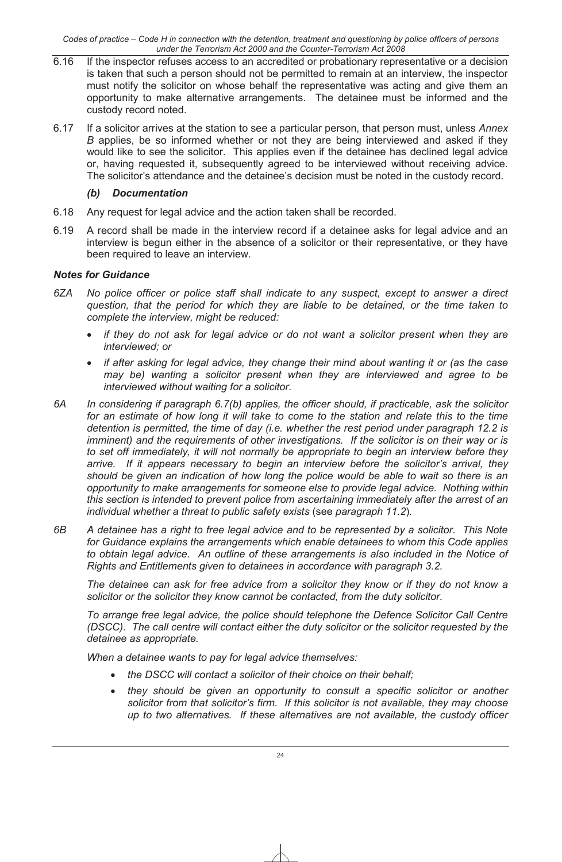- 6.16 If the inspector refuses access to an accredited or probationary representative or a decision is taken that such a person should not be permitted to remain at an interview, the inspector must notify the solicitor on whose behalf the representative was acting and give them an opportunity to make alternative arrangements. The detainee must be informed and the custody record noted.
- 6.17 If a solicitor arrives at the station to see a particular person, that person must, unless *Annex B* applies, be so informed whether or not they are being interviewed and asked if they would like to see the solicitor. This applies even if the detainee has declined legal advice or, having requested it, subsequently agreed to be interviewed without receiving advice. The solicitor's attendance and the detainee's decision must be noted in the custody record.

#### *(b) Documentation*

- 6.18 Any request for legal advice and the action taken shall be recorded.
- 6.19 A record shall be made in the interview record if a detainee asks for legal advice and an interview is begun either in the absence of a solicitor or their representative, or they have been required to leave an interview.

#### *Notes for Guidance*

- *6ZA No police officer or police staff shall indicate to any suspect, except to answer a direct question, that the period for which they are liable to be detained, or the time taken to complete the interview, might be reduced:*
	- *if they do not ask for legal advice or do not want a solicitor present when they are interviewed; or*
	- *if after asking for legal advice, they change their mind about wanting it or (as the case may be) wanting a solicitor present when they are interviewed and agree to be interviewed without waiting for a solicitor.*
- *6A In considering if paragraph 6.7(b) applies, the officer should, if practicable, ask the solicitor for an estimate of how long it will take to come to the station and relate this to the time detention is permitted, the time of day (i.e. whether the rest period under paragraph 12.2 is imminent)* and the requirements of other investigations. If the solicitor is on their way or is *to set off immediately, it will not normally be appropriate to begin an interview before they arrive. If it appears necessary to begin an interview before the solicitor's arrival, they should be given an indication of how long the police would be able to wait so there is an opportunity to make arrangements for someone else to provide legal advice. Nothing within this section is intended to prevent police from ascertaining immediately after the arrest of an individual whether a threat to public safety exists* (see *paragraph 11.2*)*.*
- *6B A detainee has a right to free legal advice and to be represented by a solicitor. This Note for Guidance explains the arrangements which enable detainees to whom this Code applies to obtain legal advice. An outline of these arrangements is also included in the Notice of Rights and Entitlements given to detainees in accordance with paragraph 3.2.*

*The detainee can ask for free advice from a solicitor they know or if they do not know a solicitor or the solicitor they know cannot be contacted, from the duty solicitor.* 

*To arrange free legal advice, the police should telephone the Defence Solicitor Call Centre (DSCC). The call centre will contact either the duty solicitor or the solicitor requested by the detainee as appropriate.*

*When a detainee wants to pay for legal advice themselves:*

- *the DSCC will contact a solicitor of their choice on their behalf;*
- *they should be given an opportunity to consult a specific solicitor or another solicitor from that solicitor's firm. If this solicitor is not available, they may choose up to two alternatives. If these alternatives are not available, the custody officer*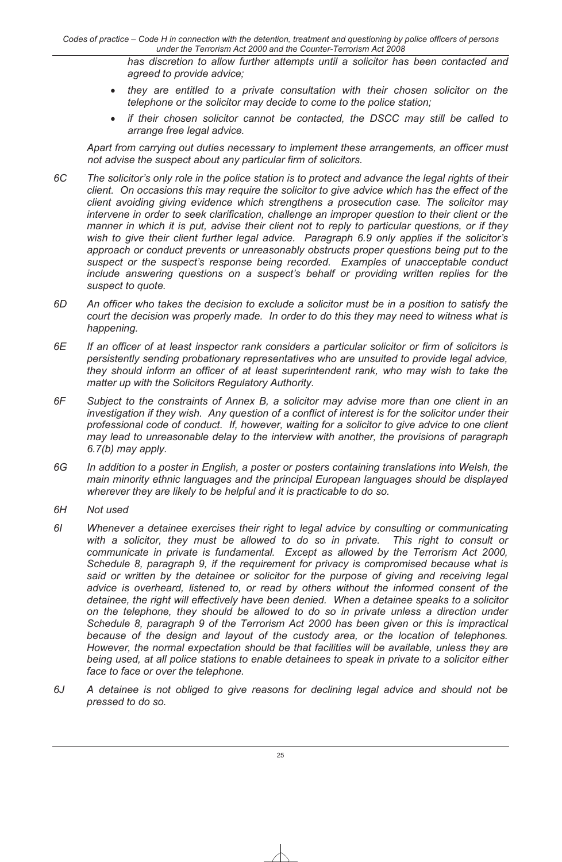*has discretion to allow further attempts until a solicitor has been contacted and agreed to provide advice;*

- *they are entitled to a private consultation with their chosen solicitor on the telephone or the solicitor may decide to come to the police station;*
- *if their chosen solicitor cannot be contacted, the DSCC may still be called to arrange free legal advice.*

*Apart from carrying out duties necessary to implement these arrangements, an officer must not advise the suspect about any particular firm of solicitors.*

- *6C The solicitor's only role in the police station is to protect and advance the legal rights of their client. On occasions this may require the solicitor to give advice which has the effect of the client avoiding giving evidence which strengthens a prosecution case. The solicitor may intervene in order to seek clarification, challenge an improper question to their client or the manner in which it is put, advise their client not to reply to particular questions, or if they wish to give their client further legal advice. Paragraph 6.9 only applies if the solicitor's approach or conduct prevents or unreasonably obstructs proper questions being put to the suspect or the suspect's response being recorded. Examples of unacceptable conduct include answering questions on a suspect's behalf or providing written replies for the suspect to quote.*
- *6D An officer who takes the decision to exclude a solicitor must be in a position to satisfy the court the decision was properly made. In order to do this they may need to witness what is happening.*
- *6E If an officer of at least inspector rank considers a particular solicitor or firm of solicitors is persistently sending probationary representatives who are unsuited to provide legal advice, they should inform an officer of at least superintendent rank, who may wish to take the matter up with the Solicitors Regulatory Authority.*
- *6F Subject to the constraints of Annex B, a solicitor may advise more than one client in an investigation if they wish. Any question of a conflict of interest is for the solicitor under their professional code of conduct. If, however, waiting for a solicitor to give advice to one client may lead to unreasonable delay to the interview with another, the provisions of paragraph 6.7(b) may apply.*
- *6G In addition to a poster in English, a poster or posters containing translations into Welsh, the main minority ethnic languages and the principal European languages should be displayed wherever they are likely to be helpful and it is practicable to do so.*
- *6H Not used*
- *6I Whenever a detainee exercises their right to legal advice by consulting or communicating*  with a solicitor, they must be allowed to do so in private. This right to consult or *communicate in private is fundamental. Except as allowed by the Terrorism Act 2000, Schedule 8, paragraph 9, if the requirement for privacy is compromised because what is said or written by the detainee or solicitor for the purpose of giving and receiving legal advice is overheard, listened to, or read by others without the informed consent of the detainee, the right will effectively have been denied. When a detainee speaks to a solicitor on the telephone, they should be allowed to do so in private unless a direction under Schedule 8, paragraph 9 of the Terrorism Act 2000 has been given or this is impractical because of the design and layout of the custody area, or the location of telephones. However, the normal expectation should be that facilities will be available, unless they are being used, at all police stations to enable detainees to speak in private to a solicitor either face to face or over the telephone.*
- *6J A detainee is not obliged to give reasons for declining legal advice and should not be pressed to do so.*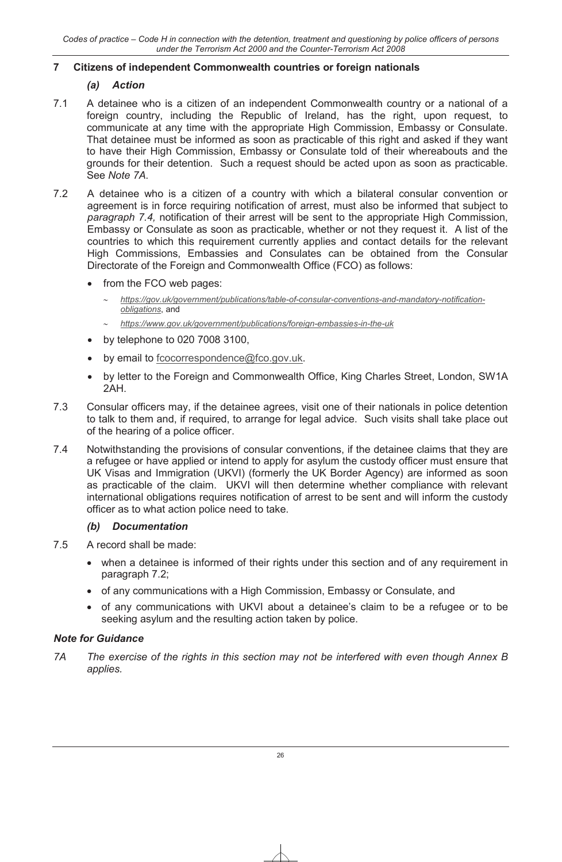### **7 Citizens of independent Commonwealth countries or foreign nationals**

#### *(a) Action*

- 7.1 A detainee who is a citizen of an independent Commonwealth country or a national of a foreign country, including the Republic of Ireland, has the right, upon request, to communicate at any time with the appropriate High Commission, Embassy or Consulate. That detainee must be informed as soon as practicable of this right and asked if they want to have their High Commission, Embassy or Consulate told of their whereabouts and the grounds for their detention. Such a request should be acted upon as soon as practicable. See *Note 7A*.
- 7.2 A detainee who is a citizen of a country with which a bilateral consular convention or agreement is in force requiring notification of arrest, must also be informed that subject to *paragraph 7.4,* notification of their arrest will be sent to the appropriate High Commission, Embassy or Consulate as soon as practicable, whether or not they request it. A list of the countries to which this requirement currently applies and contact details for the relevant High Commissions, Embassies and Consulates can be obtained from the Consular Directorate of the Foreign and Commonwealth Office (FCO) as follows:
	- from the FCO web pages:
		- ∼ *[https://gov.uk/government/publications/table-of-consular-conventions-and-mandatory-notification](https://gov.uk/government/publications/table-of-consular-conventions-and-mandatory-notification-obligations)[obligations](https://gov.uk/government/publications/table-of-consular-conventions-and-mandatory-notification-obligations)*, and
		- ∼ *<https://www.gov.uk/government/publications/foreign-embassies-in-the-uk>*
	- by telephone to 020 7008 3100,
	- by email to [fcocorrespondence@fco.gov.uk.](mailto:fcocorrespondence@fco.gov.uk)
	- by letter to the Foreign and Commonwealth Office, King Charles Street, London, SW1A 2AH.
- 7.3 Consular officers may, if the detainee agrees, visit one of their nationals in police detention to talk to them and, if required, to arrange for legal advice. Such visits shall take place out of the hearing of a police officer.
- 7.4 Notwithstanding the provisions of consular conventions, if the detainee claims that they are a refugee or have applied or intend to apply for asylum the custody officer must ensure that UK Visas and Immigration (UKVI) (formerly the UK Border Agency) are informed as soon as practicable of the claim. UKVI will then determine whether compliance with relevant international obligations requires notification of arrest to be sent and will inform the custody officer as to what action police need to take.

#### *(b) Documentation*

- 7.5 A record shall be made:
	- when a detainee is informed of their rights under this section and of any requirement in paragraph 7.2;
	- of any communications with a High Commission, Embassy or Consulate, and
	- of any communications with UKVI about a detainee's claim to be a refugee or to be seeking asylum and the resulting action taken by police.

#### *Note for Guidance*

*7A The exercise of the rights in this section may not be interfered with even though Annex B applies.*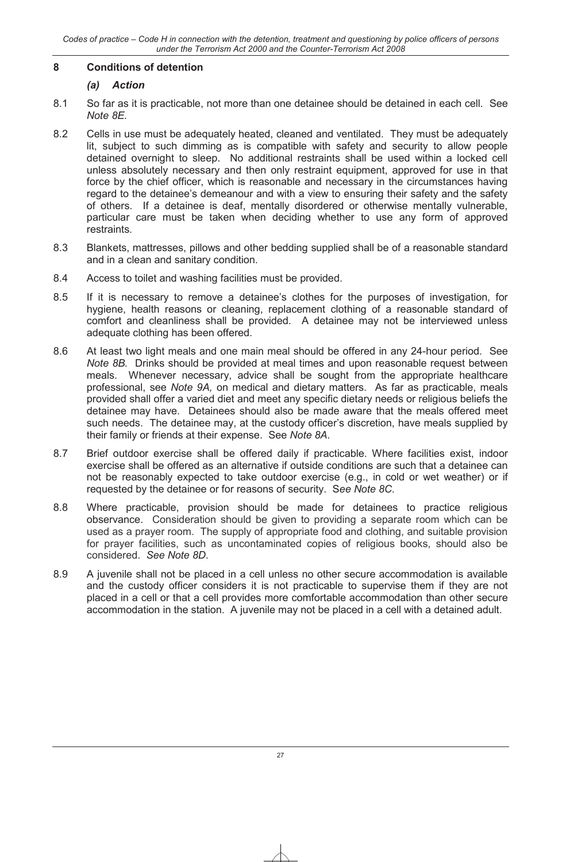#### **8 Conditions of detention**

#### *(a) Action*

- 8.1 So far as it is practicable, not more than one detainee should be detained in each cell. See *Note 8E.*
- 8.2 Cells in use must be adequately heated, cleaned and ventilated. They must be adequately lit, subject to such dimming as is compatible with safety and security to allow people detained overnight to sleep. No additional restraints shall be used within a locked cell unless absolutely necessary and then only restraint equipment, approved for use in that force by the chief officer, which is reasonable and necessary in the circumstances having regard to the detainee's demeanour and with a view to ensuring their safety and the safety of others. If a detainee is deaf, mentally disordered or otherwise mentally vulnerable, particular care must be taken when deciding whether to use any form of approved restraints.
- 8.3 Blankets, mattresses, pillows and other bedding supplied shall be of a reasonable standard and in a clean and sanitary condition.
- 8.4 Access to toilet and washing facilities must be provided.
- 8.5 If it is necessary to remove a detainee's clothes for the purposes of investigation, for hygiene, health reasons or cleaning, replacement clothing of a reasonable standard of comfort and cleanliness shall be provided. A detainee may not be interviewed unless adequate clothing has been offered.
- 8.6 At least two light meals and one main meal should be offered in any 24-hour period. See *Note 8B.* Drinks should be provided at meal times and upon reasonable request between meals. Whenever necessary, advice shall be sought from the appropriate healthcare professional, see *Note 9A,* on medical and dietary matters. As far as practicable, meals provided shall offer a varied diet and meet any specific dietary needs or religious beliefs the detainee may have. Detainees should also be made aware that the meals offered meet such needs. The detainee may, at the custody officer's discretion, have meals supplied by their family or friends at their expense. See *Note 8A*.
- 8.7 Brief outdoor exercise shall be offered daily if practicable. Where facilities exist, indoor exercise shall be offered as an alternative if outside conditions are such that a detainee can not be reasonably expected to take outdoor exercise (e.g., in cold or wet weather) or if requested by the detainee or for reasons of security. S*ee Note 8C*.
- 8.8 Where practicable, provision should be made for detainees to practice religious observance. Consideration should be given to providing a separate room which can be used as a prayer room. The supply of appropriate food and clothing, and suitable provision for prayer facilities, such as uncontaminated copies of religious books, should also be considered. *See Note 8D*.
- 8.9 A juvenile shall not be placed in a cell unless no other secure accommodation is available and the custody officer considers it is not practicable to supervise them if they are not placed in a cell or that a cell provides more comfortable accommodation than other secure accommodation in the station. A juvenile may not be placed in a cell with a detained adult.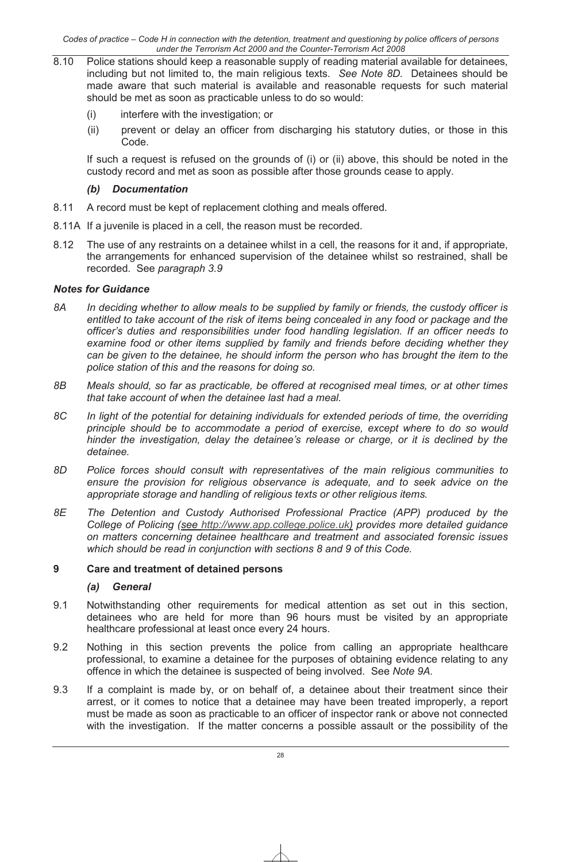- 8.10 Police stations should keep a reasonable supply of reading material available for detainees, including but not limited to, the main religious texts. *See Note 8D.* Detainees should be made aware that such material is available and reasonable requests for such material should be met as soon as practicable unless to do so would:
	- (i) interfere with the investigation; or
	- (ii) prevent or delay an officer from discharging his statutory duties, or those in this Code.

If such a request is refused on the grounds of (i) or (ii) above, this should be noted in the custody record and met as soon as possible after those grounds cease to apply.

#### *(b) Documentation*

- 8.11 A record must be kept of replacement clothing and meals offered.
- 8.11A If a juvenile is placed in a cell, the reason must be recorded.
- 8.12 The use of any restraints on a detainee whilst in a cell, the reasons for it and, if appropriate, the arrangements for enhanced supervision of the detainee whilst so restrained, shall be recorded. See *paragraph 3.9*

#### *Notes for Guidance*

- *8A In deciding whether to allow meals to be supplied by family or friends, the custody officer is entitled to take account of the risk of items being concealed in any food or package and the officer's duties and responsibilities under food handling legislation. If an officer needs to examine food or other items supplied by family and friends before deciding whether they can be given to the detainee, he should inform the person who has brought the item to the police station of this and the reasons for doing so.*
- *8B Meals should, so far as practicable, be offered at recognised meal times, or at other times that take account of when the detainee last had a meal.*
- *8C In light of the potential for detaining individuals for extended periods of time, the overriding principle should be to accommodate a period of exercise, except where to do so would hinder the investigation, delay the detainee's release or charge, or it is declined by the detainee.*
- *8D Police forces should consult with representatives of the main religious communities to ensure the provision for religious observance is adequate, and to seek advice on the appropriate storage and handling of religious texts or other religious items.*
- *8E The Detention and Custody Authorised Professional Practice (APP) produced by the College of Policing (see [http://www.app.college.police.uk\)](http://www.app.college.police.uk/) provides more detailed guidance on matters concerning detainee healthcare and treatment and associated forensic issues which should be read in conjunction with sections 8 and 9 of this Code.*

#### **9 Care and treatment of detained persons**

#### *(a) General*

- 9.1 Notwithstanding other requirements for medical attention as set out in this section, detainees who are held for more than 96 hours must be visited by an appropriate healthcare professional at least once every 24 hours.
- 9.2 Nothing in this section prevents the police from calling an appropriate healthcare professional, to examine a detainee for the purposes of obtaining evidence relating to any offence in which the detainee is suspected of being involved. See *Note 9A*.
- 9.3 If a complaint is made by, or on behalf of, a detainee about their treatment since their arrest, or it comes to notice that a detainee may have been treated improperly, a report must be made as soon as practicable to an officer of inspector rank or above not connected with the investigation. If the matter concerns a possible assault or the possibility of the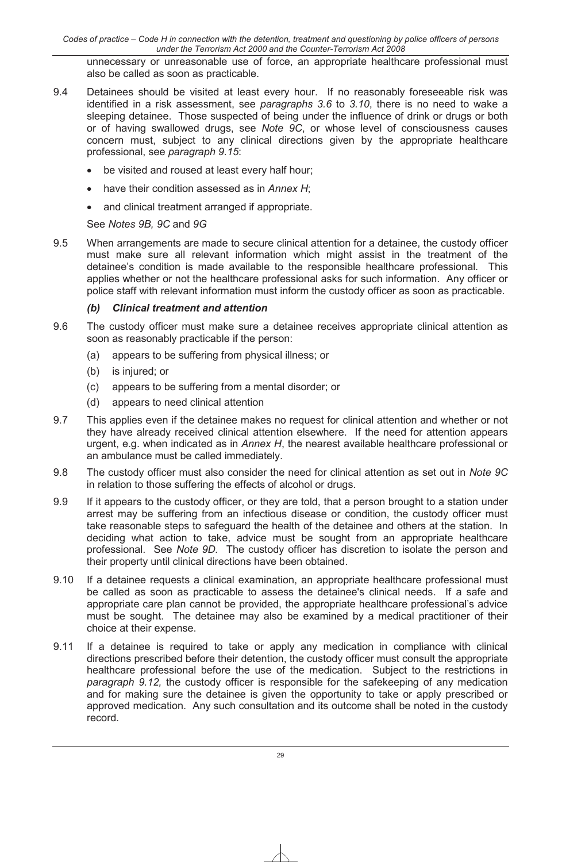unnecessary or unreasonable use of force, an appropriate healthcare professional must also be called as soon as practicable.

- 9.4 Detainees should be visited at least every hour. If no reasonably foreseeable risk was identified in a risk assessment, see *paragraphs 3.6* to *3.10*, there is no need to wake a sleeping detainee. Those suspected of being under the influence of drink or drugs or both or of having swallowed drugs, see *Note 9C*, or whose level of consciousness causes concern must, subject to any clinical directions given by the appropriate healthcare professional, see *paragraph 9.15*:
	- be visited and roused at least every half hour;
	- have their condition assessed as in *Annex H*;
	- and clinical treatment arranged if appropriate.

#### See *Notes 9B, 9C* and *9G*

9.5 When arrangements are made to secure clinical attention for a detainee, the custody officer must make sure all relevant information which might assist in the treatment of the detainee's condition is made available to the responsible healthcare professional. This applies whether or not the healthcare professional asks for such information. Any officer or police staff with relevant information must inform the custody officer as soon as practicable.

#### *(b) Clinical treatment and attention*

- 9.6 The custody officer must make sure a detainee receives appropriate clinical attention as soon as reasonably practicable if the person:
	- (a) appears to be suffering from physical illness; or
	- (b) is injured; or
	- (c) appears to be suffering from a mental disorder; or
	- (d) appears to need clinical attention
- 9.7 This applies even if the detainee makes no request for clinical attention and whether or not they have already received clinical attention elsewhere. If the need for attention appears urgent, e.g. when indicated as in *Annex H*, the nearest available healthcare professional or an ambulance must be called immediately.
- 9.8 The custody officer must also consider the need for clinical attention as set out in *Note 9C* in relation to those suffering the effects of alcohol or drugs.
- 9.9 If it appears to the custody officer, or they are told, that a person brought to a station under arrest may be suffering from an infectious disease or condition, the custody officer must take reasonable steps to safeguard the health of the detainee and others at the station. In deciding what action to take, advice must be sought from an appropriate healthcare professional. See *Note 9D.* The custody officer has discretion to isolate the person and their property until clinical directions have been obtained.
- 9.10 If a detainee requests a clinical examination, an appropriate healthcare professional must be called as soon as practicable to assess the detainee's clinical needs. If a safe and appropriate care plan cannot be provided, the appropriate healthcare professional's advice must be sought. The detainee may also be examined by a medical practitioner of their choice at their expense.
- 9.11 If a detainee is required to take or apply any medication in compliance with clinical directions prescribed before their detention, the custody officer must consult the appropriate healthcare professional before the use of the medication. Subject to the restrictions in *paragraph 9.12,* the custody officer is responsible for the safekeeping of any medication and for making sure the detainee is given the opportunity to take or apply prescribed or approved medication. Any such consultation and its outcome shall be noted in the custody record.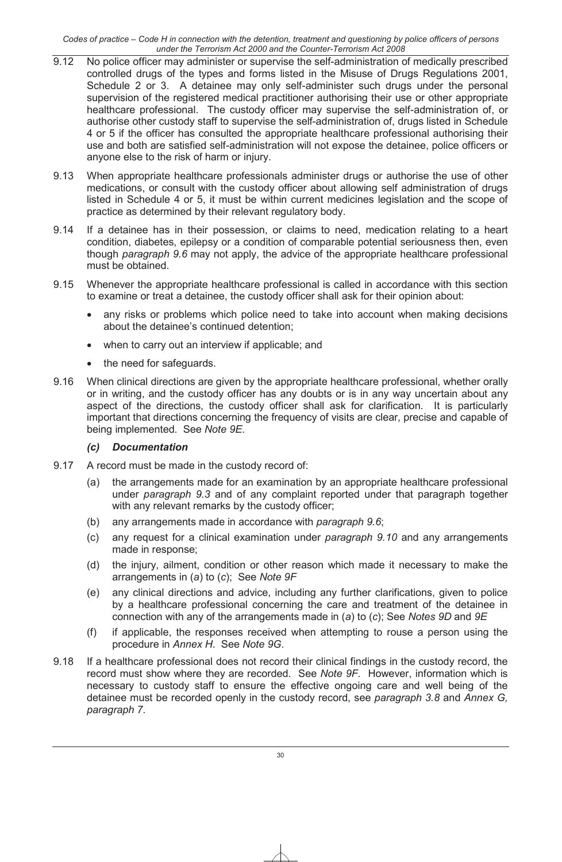*Codes of practice – Code H in connection with the detention, treatment and questioning by police officers of persons under the Terrorism Act 2000 and the Counter-Terrorism Act 2008*

- 9.12 No police officer may administer or supervise the self-administration of medically prescribed controlled drugs of the types and forms listed in the Misuse of Drugs Regulations 2001, Schedule 2 or 3. A detainee may only self-administer such drugs under the personal supervision of the registered medical practitioner authorising their use or other appropriate healthcare professional. The custody officer may supervise the self-administration of, or authorise other custody staff to supervise the self-administration of, drugs listed in Schedule 4 or 5 if the officer has consulted the appropriate healthcare professional authorising their use and both are satisfied self-administration will not expose the detainee, police officers or anyone else to the risk of harm or injury.
- 9.13 When appropriate healthcare professionals administer drugs or authorise the use of other medications, or consult with the custody officer about allowing self administration of drugs listed in Schedule 4 or 5, it must be within current medicines legislation and the scope of practice as determined by their relevant regulatory body.
- 9.14 If a detainee has in their possession, or claims to need, medication relating to a heart condition, diabetes, epilepsy or a condition of comparable potential seriousness then, even though *paragraph 9.6* may not apply, the advice of the appropriate healthcare professional must be obtained.
- 9.15 Whenever the appropriate healthcare professional is called in accordance with this section to examine or treat a detainee, the custody officer shall ask for their opinion about:
	- any risks or problems which police need to take into account when making decisions about the detainee's continued detention;
	- when to carry out an interview if applicable; and
	- the need for safeguards.
- 9.16 When clinical directions are given by the appropriate healthcare professional, whether orally or in writing, and the custody officer has any doubts or is in any way uncertain about any aspect of the directions, the custody officer shall ask for clarification. It is particularly important that directions concerning the frequency of visits are clear, precise and capable of being implemented. See *Note 9E*.

#### *(c) Documentation*

- 9.17 A record must be made in the custody record of:
	- (a) the arrangements made for an examination by an appropriate healthcare professional under *paragraph 9.3* and of any complaint reported under that paragraph together with any relevant remarks by the custody officer;
	- (b) any arrangements made in accordance with *paragraph 9.6*;
	- (c) any request for a clinical examination under *paragraph 9.10* and any arrangements made in response;
	- (d) the injury, ailment, condition or other reason which made it necessary to make the arrangements in (*a*) to (*c*); See *Note 9F*
	- (e) any clinical directions and advice, including any further clarifications, given to police by a healthcare professional concerning the care and treatment of the detainee in connection with any of the arrangements made in (*a*) to (*c*); See *Notes 9D* and *9E*
	- (f) if applicable, the responses received when attempting to rouse a person using the procedure in *Annex H.* See *Note 9G*.
- 9.18 If a healthcare professional does not record their clinical findings in the custody record, the record must show where they are recorded. See *Note 9F.* However, information which is necessary to custody staff to ensure the effective ongoing care and well being of the detainee must be recorded openly in the custody record, see *paragraph 3.8* and *Annex G, paragraph 7*.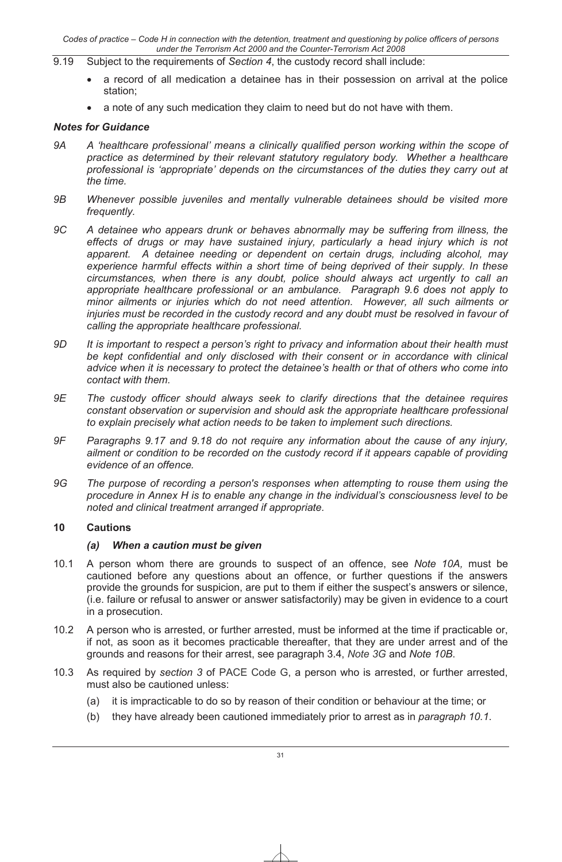- 9.19 Subject to the requirements of *Section 4*, the custody record shall include:
	- a record of all medication a detainee has in their possession on arrival at the police station;
	- a note of any such medication they claim to need but do not have with them.

#### *Notes for Guidance*

- *9A A 'healthcare professional' means a clinically qualified person working within the scope of practice as determined by their relevant statutory regulatory body. Whether a healthcare professional is 'appropriate' depends on the circumstances of the duties they carry out at the time.*
- *9B Whenever possible juveniles and mentally vulnerable detainees should be visited more frequently.*
- *9C A detainee who appears drunk or behaves abnormally may be suffering from illness, the effects of drugs or may have sustained injury, particularly a head injury which is not apparent. A detainee needing or dependent on certain drugs, including alcohol, may experience harmful effects within a short time of being deprived of their supply. In these circumstances, when there is any doubt, police should always act urgently to call an appropriate healthcare professional or an ambulance. Paragraph 9.6 does not apply to minor ailments or injuries which do not need attention. However, all such ailments or injuries must be recorded in the custody record and any doubt must be resolved in favour of calling the appropriate healthcare professional.*
- *9D It is important to respect a person's right to privacy and information about their health must be kept confidential and only disclosed with their consent or in accordance with clinical advice when it is necessary to protect the detainee's health or that of others who come into contact with them.*
- *9E The custody officer should always seek to clarify directions that the detainee requires constant observation or supervision and should ask the appropriate healthcare professional to explain precisely what action needs to be taken to implement such directions.*
- *9F Paragraphs 9.17 and 9.18 do not require any information about the cause of any injury, ailment or condition to be recorded on the custody record if it appears capable of providing evidence of an offence.*
- *9G The purpose of recording a person's responses when attempting to rouse them using the procedure in Annex H is to enable any change in the individual's consciousness level to be noted and clinical treatment arranged if appropriate.*

#### **10 Cautions**

#### *(a) When a caution must be given*

- 10.1 A person whom there are grounds to suspect of an offence, see *Note 10A,* must be cautioned before any questions about an offence, or further questions if the answers provide the grounds for suspicion, are put to them if either the suspect's answers or silence, (i.e. failure or refusal to answer or answer satisfactorily) may be given in evidence to a court in a prosecution.
- 10.2 A person who is arrested, or further arrested, must be informed at the time if practicable or, if not, as soon as it becomes practicable thereafter, that they are under arrest and of the grounds and reasons for their arrest, see paragraph 3.4, *Note 3G* and *Note 10B*.
- 10.3 As required by *section 3* of PACE Code G, a person who is arrested, or further arrested, must also be cautioned unless:
	- (a) it is impracticable to do so by reason of their condition or behaviour at the time; or
	- (b) they have already been cautioned immediately prior to arrest as in *paragraph 10.1*.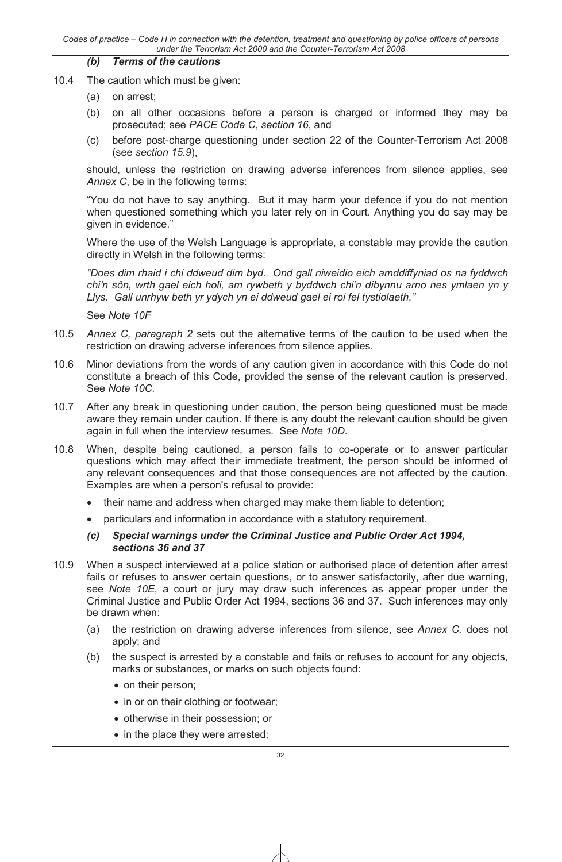#### *(b) Terms of the cautions*

- 10.4 The caution which must be given:
	- (a) on arrest;
	- (b) on all other occasions before a person is charged or informed they may be prosecuted; see *PACE Code C*, *section 16*, and
	- (c) before post-charge questioning under section 22 of the Counter-Terrorism Act 2008 (see *section 15.9*),

should, unless the restriction on drawing adverse inferences from silence applies, see *Annex C*, be in the following terms:

"You do not have to say anything. But it may harm your defence if you do not mention when questioned something which you later rely on in Court. Anything you do say may be given in evidence."

Where the use of the Welsh Language is appropriate, a constable may provide the caution directly in Welsh in the following terms:

*"Does dim rhaid i chi ddweud dim byd. Ond gall niweidio eich amddiffyniad os na fyddwch chi'n sôn, wrth gael eich holi, am rywbeth y byddwch chi'n dibynnu arno nes ymlaen yn y Llys. Gall unrhyw beth yr ydych yn ei ddweud gael ei roi fel tystiolaeth."*

See *Note 10F*

- 10.5 *Annex C, paragraph 2* sets out the alternative terms of the caution to be used when the restriction on drawing adverse inferences from silence applies.
- 10.6 Minor deviations from the words of any caution given in accordance with this Code do not constitute a breach of this Code, provided the sense of the relevant caution is preserved. See *Note 10C*.
- 10.7 After any break in questioning under caution, the person being questioned must be made aware they remain under caution. If there is any doubt the relevant caution should be given again in full when the interview resumes. See *Note 10D*.
- 10.8 When, despite being cautioned, a person fails to co-operate or to answer particular questions which may affect their immediate treatment, the person should be informed of any relevant consequences and that those consequences are not affected by the caution. Examples are when a person's refusal to provide:
	- their name and address when charged may make them liable to detention;
	- particulars and information in accordance with a statutory requirement.

#### *(c) Special warnings under the Criminal Justice and Public Order Act 1994, sections 36 and 37*

- 10.9 When a suspect interviewed at a police station or authorised place of detention after arrest fails or refuses to answer certain questions, or to answer satisfactorily, after due warning, see *Note 10E*, a court or jury may draw such inferences as appear proper under the Criminal Justice and Public Order Act 1994, sections 36 and 37. Such inferences may only be drawn when:
	- (a) the restriction on drawing adverse inferences from silence, see *Annex C,* does not apply; and
	- (b) the suspect is arrested by a constable and fails or refuses to account for any objects, marks or substances, or marks on such objects found:
		- on their person:
		- in or on their clothing or footwear;
		- otherwise in their possession; or
		- in the place they were arrested;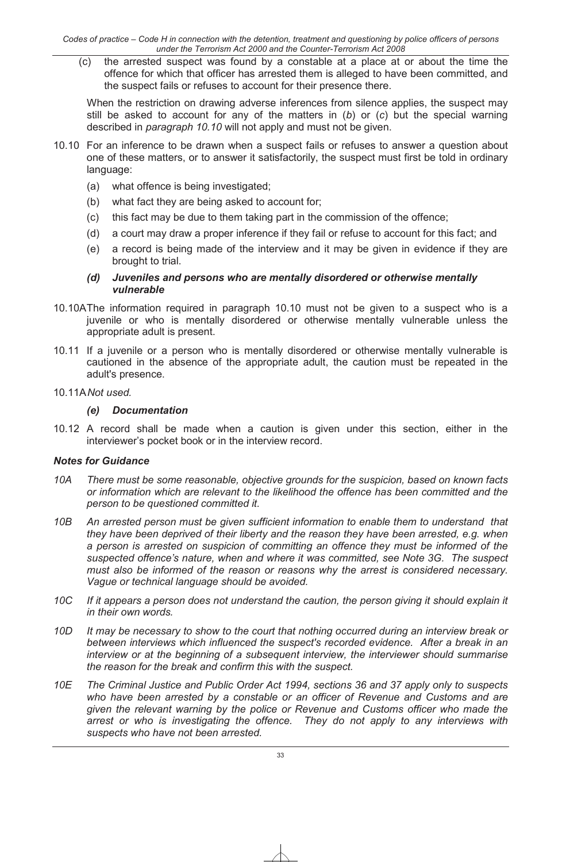(c) the arrested suspect was found by a constable at a place at or about the time the offence for which that officer has arrested them is alleged to have been committed, and the suspect fails or refuses to account for their presence there.

When the restriction on drawing adverse inferences from silence applies, the suspect may still be asked to account for any of the matters in (*b*) or (*c*) but the special warning described in *paragraph 10.10* will not apply and must not be given.

- 10.10 For an inference to be drawn when a suspect fails or refuses to answer a question about one of these matters, or to answer it satisfactorily, the suspect must first be told in ordinary language:
	- (a) what offence is being investigated;
	- (b) what fact they are being asked to account for;
	- (c) this fact may be due to them taking part in the commission of the offence;
	- (d) a court may draw a proper inference if they fail or refuse to account for this fact; and
	- (e) a record is being made of the interview and it may be given in evidence if they are brought to trial.
	- *(d) Juveniles and persons who are mentally disordered or otherwise mentally vulnerable*
- 10.10AThe information required in paragraph 10.10 must not be given to a suspect who is a juvenile or who is mentally disordered or otherwise mentally vulnerable unless the appropriate adult is present.
- 10.11 If a juvenile or a person who is mentally disordered or otherwise mentally vulnerable is cautioned in the absence of the appropriate adult, the caution must be repeated in the adult's presence.

#### 10.11A*Not used.*

#### *(e) Documentation*

10.12 A record shall be made when a caution is given under this section, either in the interviewer's pocket book or in the interview record.

#### *Notes for Guidance*

- *10A There must be some reasonable, objective grounds for the suspicion, based on known facts or information which are relevant to the likelihood the offence has been committed and the person to be questioned committed it.*
- *10B An arrested person must be given sufficient information to enable them to understand that they have been deprived of their liberty and the reason they have been arrested, e.g. when a person is arrested on suspicion of committing an offence they must be informed of the suspected offence's nature, when and where it was committed, see Note 3G. The suspect must also be informed of the reason or reasons why the arrest is considered necessary. Vague or technical language should be avoided.*
- *10C If it appears a person does not understand the caution, the person giving it should explain it in their own words.*
- *10D It may be necessary to show to the court that nothing occurred during an interview break or between interviews which influenced the suspect's recorded evidence. After a break in an interview or at the beginning of a subsequent interview, the interviewer should summarise the reason for the break and confirm this with the suspect.*
- *10E The Criminal Justice and Public Order Act 1994, sections 36 and 37 apply only to suspects who have been arrested by a constable or an officer of Revenue and Customs and are given the relevant warning by the police or Revenue and Customs officer who made the arrest or who is investigating the offence. They do not apply to any interviews with suspects who have not been arrested.*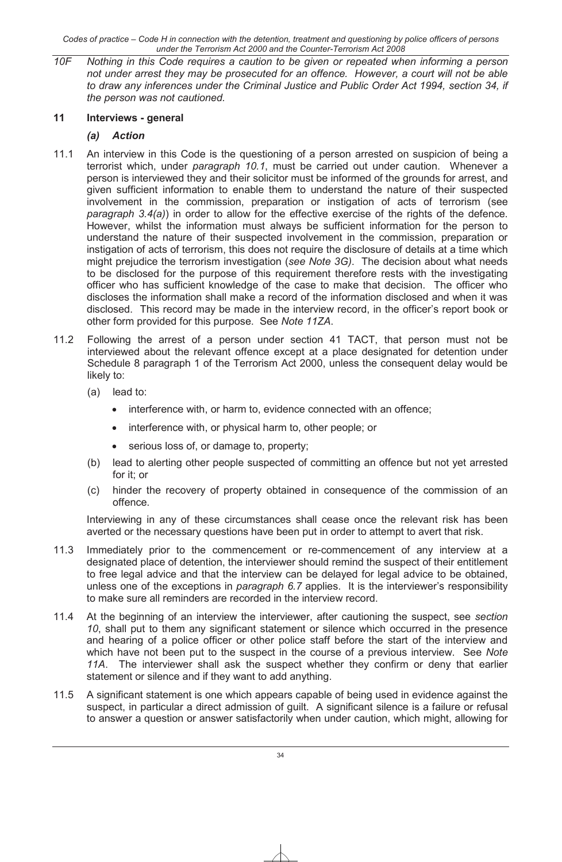*10F Nothing in this Code requires a caution to be given or repeated when informing a person not under arrest they may be prosecuted for an offence. However, a court will not be able to draw any inferences under the Criminal Justice and Public Order Act 1994, section 34, if the person was not cautioned.*

### **11 Interviews - general**

### *(a) Action*

- 11.1 An interview in this Code is the questioning of a person arrested on suspicion of being a terrorist which, under *paragraph 10.1*, must be carried out under caution. Whenever a person is interviewed they and their solicitor must be informed of the grounds for arrest, and given sufficient information to enable them to understand the nature of their suspected involvement in the commission, preparation or instigation of acts of terrorism (see *paragraph 3.4(a)*) in order to allow for the effective exercise of the rights of the defence. However, whilst the information must always be sufficient information for the person to understand the nature of their suspected involvement in the commission, preparation or instigation of acts of terrorism, this does not require the disclosure of details at a time which might prejudice the terrorism investigation (*see Note 3G)*. The decision about what needs to be disclosed for the purpose of this requirement therefore rests with the investigating officer who has sufficient knowledge of the case to make that decision. The officer who discloses the information shall make a record of the information disclosed and when it was disclosed. This record may be made in the interview record, in the officer's report book or other form provided for this purpose. See *Note 11ZA*.
- 11.2 Following the arrest of a person under section 41 TACT, that person must not be interviewed about the relevant offence except at a place designated for detention under Schedule 8 paragraph 1 of the Terrorism Act 2000, unless the consequent delay would be likely to:
	- (a) lead to:
		- interference with, or harm to, evidence connected with an offence:
		- interference with, or physical harm to, other people; or
		- serious loss of, or damage to, property;
	- (b) lead to alerting other people suspected of committing an offence but not yet arrested for it; or
	- (c) hinder the recovery of property obtained in consequence of the commission of an offence.

Interviewing in any of these circumstances shall cease once the relevant risk has been averted or the necessary questions have been put in order to attempt to avert that risk.

- 11.3 Immediately prior to the commencement or re-commencement of any interview at a designated place of detention, the interviewer should remind the suspect of their entitlement to free legal advice and that the interview can be delayed for legal advice to be obtained, unless one of the exceptions in *paragraph 6.7* applies. It is the interviewer's responsibility to make sure all reminders are recorded in the interview record.
- 11.4 At the beginning of an interview the interviewer, after cautioning the suspect, see *section 10*, shall put to them any significant statement or silence which occurred in the presence and hearing of a police officer or other police staff before the start of the interview and which have not been put to the suspect in the course of a previous interview. See *Note 11A*. The interviewer shall ask the suspect whether they confirm or deny that earlier statement or silence and if they want to add anything.
- 11.5 A significant statement is one which appears capable of being used in evidence against the suspect, in particular a direct admission of guilt. A significant silence is a failure or refusal to answer a question or answer satisfactorily when under caution, which might, allowing for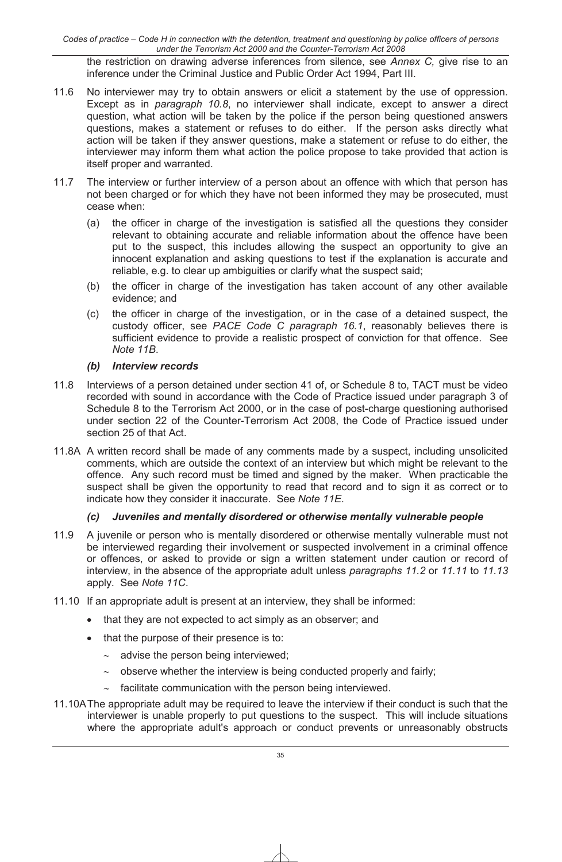the restriction on drawing adverse inferences from silence, see *Annex C,* give rise to an inference under the Criminal Justice and Public Order Act 1994, Part III*.*

- 11.6 No interviewer may try to obtain answers or elicit a statement by the use of oppression. Except as in *paragraph 10.8*, no interviewer shall indicate, except to answer a direct question, what action will be taken by the police if the person being questioned answers questions, makes a statement or refuses to do either. If the person asks directly what action will be taken if they answer questions, make a statement or refuse to do either, the interviewer may inform them what action the police propose to take provided that action is itself proper and warranted.
- 11.7 The interview or further interview of a person about an offence with which that person has not been charged or for which they have not been informed they may be prosecuted, must cease when:
	- (a) the officer in charge of the investigation is satisfied all the questions they consider relevant to obtaining accurate and reliable information about the offence have been put to the suspect, this includes allowing the suspect an opportunity to give an innocent explanation and asking questions to test if the explanation is accurate and reliable, e.g. to clear up ambiguities or clarify what the suspect said;
	- (b) the officer in charge of the investigation has taken account of any other available evidence; and
	- (c) the officer in charge of the investigation, or in the case of a detained suspect, the custody officer, see *PACE Code C paragraph 16.1*, reasonably believes there is sufficient evidence to provide a realistic prospect of conviction for that offence. See *Note 11B*.

#### *(b) Interview records*

- 11.8 Interviews of a person detained under section 41 of, or Schedule 8 to, TACT must be video recorded with sound in accordance with the Code of Practice issued under paragraph 3 of Schedule 8 to the Terrorism Act 2000, or in the case of post-charge questioning authorised under section 22 of the Counter-Terrorism Act 2008, the Code of Practice issued under section 25 of that Act.
- 11.8A A written record shall be made of any comments made by a suspect, including unsolicited comments, which are outside the context of an interview but which might be relevant to the offence. Any such record must be timed and signed by the maker. When practicable the suspect shall be given the opportunity to read that record and to sign it as correct or to indicate how they consider it inaccurate. See *Note 11E*.

### *(c) Juveniles and mentally disordered or otherwise mentally vulnerable people*

- 11.9 A juvenile or person who is mentally disordered or otherwise mentally vulnerable must not be interviewed regarding their involvement or suspected involvement in a criminal offence or offences, or asked to provide or sign a written statement under caution or record of interview, in the absence of the appropriate adult unless *paragraphs 11.2* or *11.11* to *11.13* apply. See *Note 11C*.
- 11.10 If an appropriate adult is present at an interview, they shall be informed:
	- that they are not expected to act simply as an observer; and
	- that the purpose of their presence is to:
		- ∼ advise the person being interviewed;
		- ∼ observe whether the interview is being conducted properly and fairly;
		- ∼ facilitate communication with the person being interviewed.
- 11.10AThe appropriate adult may be required to leave the interview if their conduct is such that the interviewer is unable properly to put questions to the suspect. This will include situations where the appropriate adult's approach or conduct prevents or unreasonably obstructs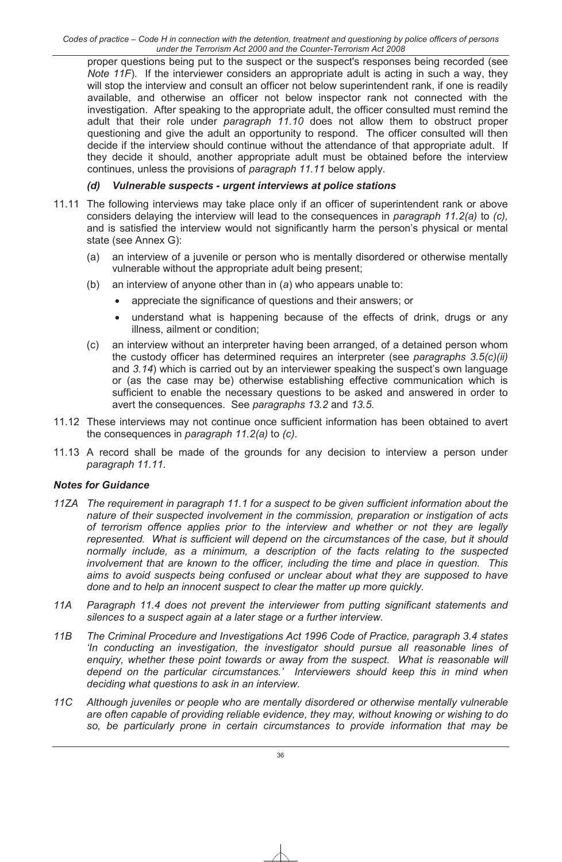*Codes of practice – Code H in connection with the detention, treatment and questioning by police officers of persons under the Terrorism Act 2000 and the Counter-Terrorism Act 2008*

proper questions being put to the suspect or the suspect's responses being recorded (see *Note 11F*). If the interviewer considers an appropriate adult is acting in such a way, they will stop the interview and consult an officer not below superintendent rank, if one is readily available, and otherwise an officer not below inspector rank not connected with the investigation. After speaking to the appropriate adult, the officer consulted must remind the adult that their role under *paragraph 11.10* does not allow them to obstruct proper questioning and give the adult an opportunity to respond. The officer consulted will then decide if the interview should continue without the attendance of that appropriate adult. If they decide it should, another appropriate adult must be obtained before the interview continues, unless the provisions of *paragraph 11.11* below apply.

### *(d) Vulnerable suspects - urgent interviews at police stations*

- 11.11 The following interviews may take place only if an officer of superintendent rank or above considers delaying the interview will lead to the consequences in *paragraph 11.2(a)* to *(c),* and is satisfied the interview would not significantly harm the person's physical or mental state (see Annex G):
	- (a) an interview of a juvenile or person who is mentally disordered or otherwise mentally vulnerable without the appropriate adult being present;
	- (b) an interview of anyone other than in (*a*) who appears unable to:
		- appreciate the significance of questions and their answers; or
		- understand what is happening because of the effects of drink, drugs or any illness, ailment or condition;
	- (c) an interview without an interpreter having been arranged, of a detained person whom the custody officer has determined requires an interpreter (see *paragraphs 3.5(c)(ii)*  and *3.14*) which is carried out by an interviewer speaking the suspect's own language or (as the case may be) otherwise establishing effective communication which is sufficient to enable the necessary questions to be asked and answered in order to avert the consequences. See *paragraphs 13.2* and *13.5*.
- 11.12 These interviews may not continue once sufficient information has been obtained to avert the consequences in *paragraph 11.2(a)* to *(c)*.
- 11.13 A record shall be made of the grounds for any decision to interview a person under *paragraph 11.11*.

- *11ZA The requirement in paragraph 11.1 for a suspect to be given sufficient information about the nature of their suspected involvement in the commission, preparation or instigation of acts of terrorism offence applies prior to the interview and whether or not they are legally represented. What is sufficient will depend on the circumstances of the case, but it should normally include, as a minimum, a description of the facts relating to the suspected involvement that are known to the officer, including the time and place in question. This aims to avoid suspects being confused or unclear about what they are supposed to have done and to help an innocent suspect to clear the matter up more quickly.*
- *11A Paragraph 11.4 does not prevent the interviewer from putting significant statements and silences to a suspect again at a later stage or a further interview.*
- *11B The Criminal Procedure and Investigations Act 1996 Code of Practice, paragraph 3.4 states 'In conducting an investigation, the investigator should pursue all reasonable lines of enquiry, whether these point towards or away from the suspect. What is reasonable will depend on the particular circumstances.' Interviewers should keep this in mind when deciding what questions to ask in an interview.*
- *11C Although juveniles or people who are mentally disordered or otherwise mentally vulnerable are often capable of providing reliable evidence, they may, without knowing or wishing to do so, be particularly prone in certain circumstances to provide information that may be*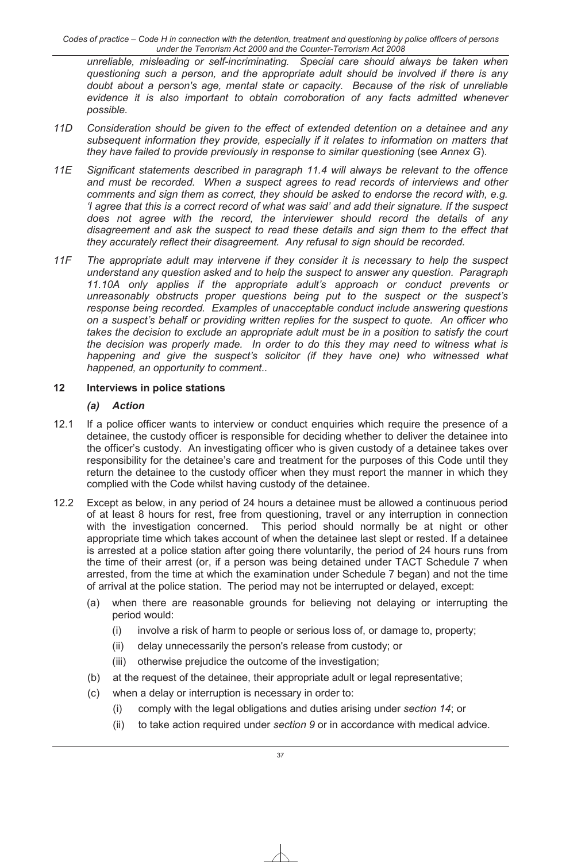*unreliable, misleading or self-incriminating. Special care should always be taken when questioning such a person, and the appropriate adult should be involved if there is any doubt about a person's age, mental state or capacity. Because of the risk of unreliable evidence it is also important to obtain corroboration of any facts admitted whenever possible.* 

- *11D Consideration should be given to the effect of extended detention on a detainee and any subsequent information they provide, especially if it relates to information on matters that they have failed to provide previously in response to similar questioning* (see *Annex G*).
- *11E Significant statements described in paragraph 11.4 will always be relevant to the offence and must be recorded. When a suspect agrees to read records of interviews and other comments and sign them as correct, they should be asked to endorse the record with, e.g. 'I agree that this is a correct record of what was said' and add their signature. If the suspect does not agree with the record, the interviewer should record the details of any disagreement and ask the suspect to read these details and sign them to the effect that they accurately reflect their disagreement. Any refusal to sign should be recorded.*
- *11F The appropriate adult may intervene if they consider it is necessary to help the suspect understand any question asked and to help the suspect to answer any question. Paragraph 11.10A only applies if the appropriate adult's approach or conduct prevents or unreasonably obstructs proper questions being put to the suspect or the suspect's response being recorded. Examples of unacceptable conduct include answering questions on a suspect's behalf or providing written replies for the suspect to quote. An officer who takes the decision to exclude an appropriate adult must be in a position to satisfy the court the decision was properly made. In order to do this they may need to witness what is happening and give the suspect's solicitor (if they have one) who witnessed what happened, an opportunity to comment..*

### **12 Interviews in police stations**

#### *(a) Action*

- 12.1 If a police officer wants to interview or conduct enquiries which require the presence of a detainee, the custody officer is responsible for deciding whether to deliver the detainee into the officer's custody. An investigating officer who is given custody of a detainee takes over responsibility for the detainee's care and treatment for the purposes of this Code until they return the detainee to the custody officer when they must report the manner in which they complied with the Code whilst having custody of the detainee.
- 12.2 Except as below, in any period of 24 hours a detainee must be allowed a continuous period of at least 8 hours for rest, free from questioning, travel or any interruption in connection with the investigation concerned. This period should normally be at night or other appropriate time which takes account of when the detainee last slept or rested. If a detainee is arrested at a police station after going there voluntarily, the period of 24 hours runs from the time of their arrest (or, if a person was being detained under TACT Schedule 7 when arrested, from the time at which the examination under Schedule 7 began) and not the time of arrival at the police station. The period may not be interrupted or delayed, except:
	- (a) when there are reasonable grounds for believing not delaying or interrupting the period would:
		- (i) involve a risk of harm to people or serious loss of, or damage to, property;
		- (ii) delay unnecessarily the person's release from custody; or
		- (iii) otherwise prejudice the outcome of the investigation;
	- (b) at the request of the detainee, their appropriate adult or legal representative;
	- (c) when a delay or interruption is necessary in order to:
		- (i) comply with the legal obligations and duties arising under *section 14*; or
		- (ii) to take action required under *section 9* or in accordance with medical advice.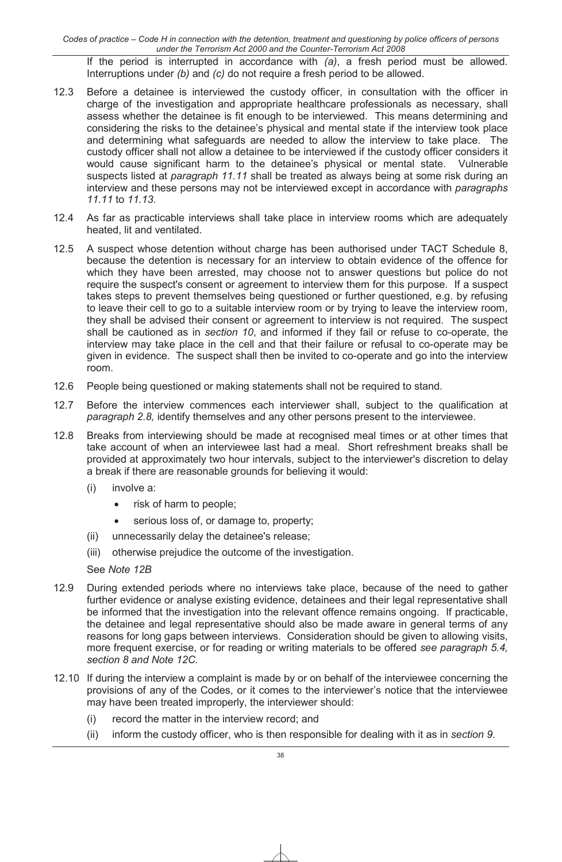If the period is interrupted in accordance with *(a)*, a fresh period must be allowed. Interruptions under *(b)* and *(c)* do not require a fresh period to be allowed.

- 12.3 Before a detainee is interviewed the custody officer, in consultation with the officer in charge of the investigation and appropriate healthcare professionals as necessary, shall assess whether the detainee is fit enough to be interviewed. This means determining and considering the risks to the detainee's physical and mental state if the interview took place and determining what safeguards are needed to allow the interview to take place. The custody officer shall not allow a detainee to be interviewed if the custody officer considers it would cause significant harm to the detainee's physical or mental state. Vulnerable suspects listed at *paragraph 11.11* shall be treated as always being at some risk during an interview and these persons may not be interviewed except in accordance with *paragraphs 11.11* to *11.13*.
- 12.4 As far as practicable interviews shall take place in interview rooms which are adequately heated, lit and ventilated.
- 12.5 A suspect whose detention without charge has been authorised under TACT Schedule 8, because the detention is necessary for an interview to obtain evidence of the offence for which they have been arrested, may choose not to answer questions but police do not require the suspect's consent or agreement to interview them for this purpose. If a suspect takes steps to prevent themselves being questioned or further questioned, e.g. by refusing to leave their cell to go to a suitable interview room or by trying to leave the interview room, they shall be advised their consent or agreement to interview is not required. The suspect shall be cautioned as in *section 10*, and informed if they fail or refuse to co-operate, the interview may take place in the cell and that their failure or refusal to co-operate may be given in evidence. The suspect shall then be invited to co-operate and go into the interview room.
- 12.6 People being questioned or making statements shall not be required to stand.
- 12.7 Before the interview commences each interviewer shall, subject to the qualification at *paragraph 2.8,* identify themselves and any other persons present to the interviewee.
- 12.8 Breaks from interviewing should be made at recognised meal times or at other times that take account of when an interviewee last had a meal. Short refreshment breaks shall be provided at approximately two hour intervals, subject to the interviewer's discretion to delay a break if there are reasonable grounds for believing it would:
	- (i) involve a:
		- risk of harm to people;
		- serious loss of, or damage to, property;
	- (ii) unnecessarily delay the detainee's release;
	- (iii) otherwise prejudice the outcome of the investigation.

#### See *Note 12B*

- 12.9 During extended periods where no interviews take place, because of the need to gather further evidence or analyse existing evidence, detainees and their legal representative shall be informed that the investigation into the relevant offence remains ongoing. If practicable, the detainee and legal representative should also be made aware in general terms of any reasons for long gaps between interviews. Consideration should be given to allowing visits, more frequent exercise, or for reading or writing materials to be offered *see paragraph 5.4, section 8 and Note 12C.*
- 12.10 If during the interview a complaint is made by or on behalf of the interviewee concerning the provisions of any of the Codes, or it comes to the interviewer's notice that the interviewee may have been treated improperly, the interviewer should:
	- (i) record the matter in the interview record; and
	- (ii) inform the custody officer, who is then responsible for dealing with it as in *section 9*.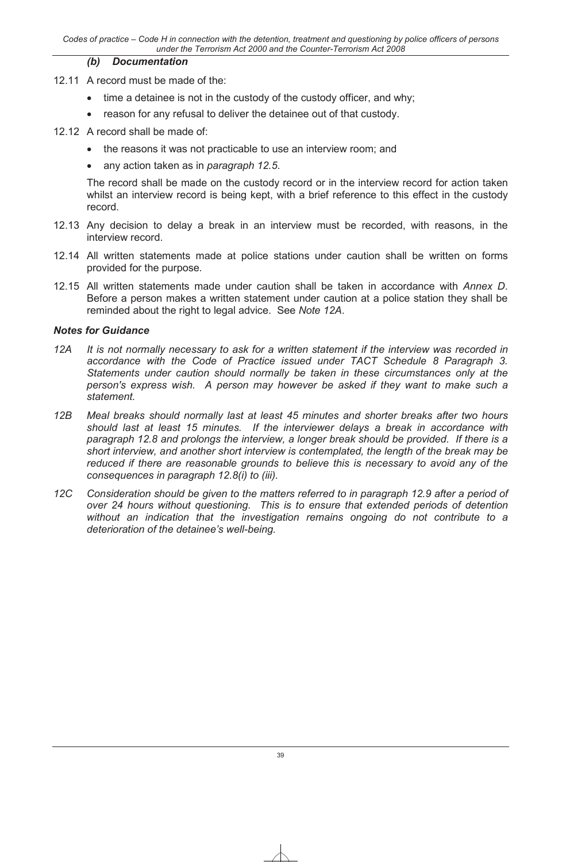#### *(b) Documentation*

- 12.11 A record must be made of the:
	- time a detainee is not in the custody of the custody officer, and why;
	- reason for any refusal to deliver the detainee out of that custody.
- 12.12 A record shall be made of:
	- the reasons it was not practicable to use an interview room; and
	- any action taken as in *paragraph 12.5*.

The record shall be made on the custody record or in the interview record for action taken whilst an interview record is being kept, with a brief reference to this effect in the custody record.

- 12.13 Any decision to delay a break in an interview must be recorded, with reasons, in the interview record.
- 12.14 All written statements made at police stations under caution shall be written on forms provided for the purpose.
- 12.15 All written statements made under caution shall be taken in accordance with *Annex D*. Before a person makes a written statement under caution at a police station they shall be reminded about the right to legal advice. See *Note 12A*.

- *12A It is not normally necessary to ask for a written statement if the interview was recorded in accordance with the Code of Practice issued under TACT Schedule 8 Paragraph 3. Statements under caution should normally be taken in these circumstances only at the person's express wish. A person may however be asked if they want to make such a statement.*
- *12B Meal breaks should normally last at least 45 minutes and shorter breaks after two hours should last at least 15 minutes. If the interviewer delays a break in accordance with paragraph 12.8 and prolongs the interview, a longer break should be provided. If there is a short interview, and another short interview is contemplated, the length of the break may be reduced if there are reasonable grounds to believe this is necessary to avoid any of the consequences in paragraph 12.8(i) to (iii).*
- *12C Consideration should be given to the matters referred to in paragraph 12.9 after a period of over 24 hours without questioning. This is to ensure that extended periods of detention without an indication that the investigation remains ongoing do not contribute to a deterioration of the detainee's well-being.*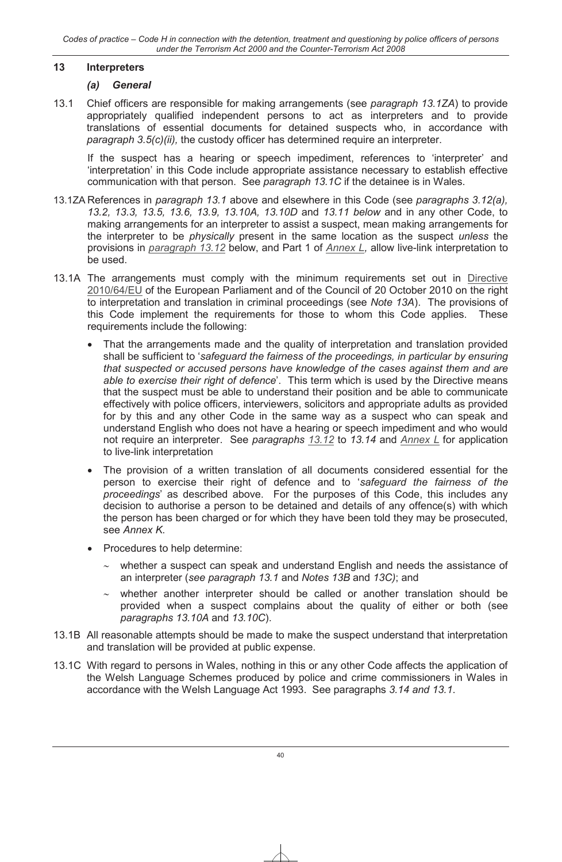#### **13 Interpreters**

### *(a) General*

13.1 Chief officers are responsible for making arrangements (see *paragraph 13.1ZA*) to provide appropriately qualified independent persons to act as interpreters and to provide translations of essential documents for detained suspects who, in accordance with *paragraph 3.5(c)(ii),* the custody officer has determined require an interpreter.

If the suspect has a hearing or speech impediment, references to 'interpreter' and 'interpretation' in this Code include appropriate assistance necessary to establish effective communication with that person. See *paragraph 13.1C* if the detainee is in Wales.

- 13.1ZA References in *paragraph 13.1* above and elsewhere in this Code (see *paragraphs 3.12(a), 13.2, 13.3, 13.5, 13.6, 13.9, 13.10A, 13.10D* and *13.11 below* and in any other Code, to making arrangements for an interpreter to assist a suspect, mean making arrangements for the interpreter to be *physically* present in the same location as the suspect *unless* the provisions in *paragraph 13.12* below, and Part 1 of *Annex L,* allow live-link interpretation to be used.
- 13.1A The arrangements must comply with the minimum requirements set out in [Directive](http://eur-lex.europa.eu/LexUriServ/LexUriServ.do?uri=OJ:L:2010:280:0001:0007:en:PDF)  [2010/64/EU](http://eur-lex.europa.eu/LexUriServ/LexUriServ.do?uri=OJ:L:2010:280:0001:0007:en:PDF) of the European Parliament and of the Council of 20 October 2010 on the right to interpretation and translation in criminal proceedings (see *Note 13A*). The provisions of this Code implement the requirements for those to whom this Code applies. These requirements include the following:
	- That the arrangements made and the quality of interpretation and translation provided shall be sufficient to '*safeguard the fairness of the proceedings, in particular by ensuring that suspected or accused persons have knowledge of the cases against them and are able to exercise their right of defence*'. This term which is used by the Directive means that the suspect must be able to understand their position and be able to communicate effectively with police officers, interviewers, solicitors and appropriate adults as provided for by this and any other Code in the same way as a suspect who can speak and understand English who does not have a hearing or speech impediment and who would not require an interpreter. See *paragraphs 13.12* to *13.14* and *Annex L* for application to live-link interpretation
	- The provision of a written translation of all documents considered essential for the person to exercise their right of defence and to '*safeguard the fairness of the proceedings*' as described above. For the purposes of this Code, this includes any decision to authorise a person to be detained and details of any offence(s) with which the person has been charged or for which they have been told they may be prosecuted, see *Annex K*.
	- Procedures to help determine:
		- ∼ whether a suspect can speak and understand English and needs the assistance of an interpreter (*see paragraph 13.1* and *Notes 13B* and *13C)*; and
		- ∼ whether another interpreter should be called or another translation should be provided when a suspect complains about the quality of either or both (see *paragraphs 13.10A* and *13.10C*).
- 13.1B All reasonable attempts should be made to make the suspect understand that interpretation and translation will be provided at public expense.
- 13.1C With regard to persons in Wales, nothing in this or any other Code affects the application of the Welsh Language Schemes produced by police and crime commissioners in Wales in accordance with the Welsh Language Act 1993. See paragraphs *3.14 and 13.1*.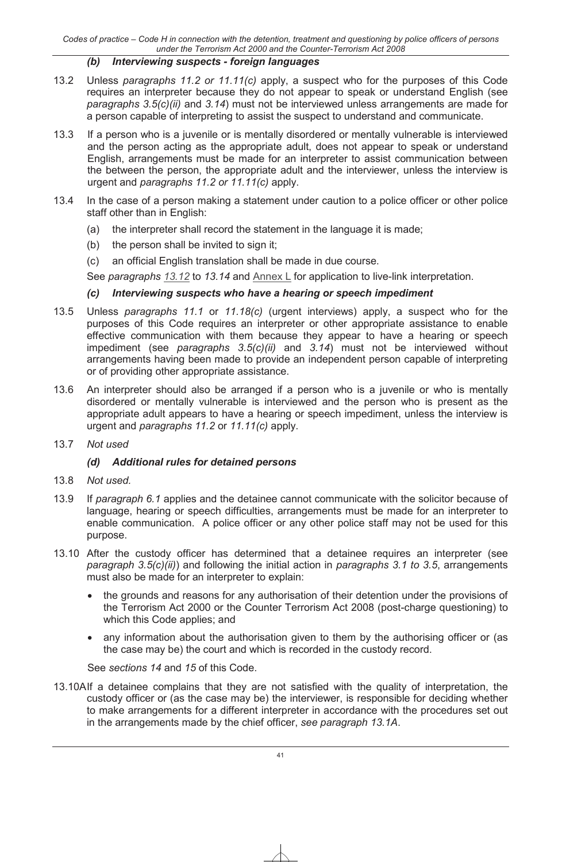#### *(b) Interviewing suspects - foreign languages*

- 13.2 Unless *paragraphs 11.2 or 11.11(c)* apply, a suspect who for the purposes of this Code requires an interpreter because they do not appear to speak or understand English (see *paragraphs 3.5(c)(ii)* and *3.14*) must not be interviewed unless arrangements are made for a person capable of interpreting to assist the suspect to understand and communicate.
- 13.3 If a person who is a juvenile or is mentally disordered or mentally vulnerable is interviewed and the person acting as the appropriate adult, does not appear to speak or understand English, arrangements must be made for an interpreter to assist communication between the between the person, the appropriate adult and the interviewer, unless the interview is urgent and *paragraphs 11.2 or 11.11(c)* apply.
- 13.4 In the case of a person making a statement under caution to a police officer or other police staff other than in English:
	- (a) the interpreter shall record the statement in the language it is made;
	- (b) the person shall be invited to sign it;
	- (c) an official English translation shall be made in due course.

See *paragraphs [13.12](#page--1-0)* to *13.14* and [Annex L](#page--1-1) for application to live-link interpretation.

#### *(c) Interviewing suspects who have a hearing or speech impediment*

- 13.5 Unless *paragraphs 11.1* or *11.18(c)* (urgent interviews) apply, a suspect who for the purposes of this Code requires an interpreter or other appropriate assistance to enable effective communication with them because they appear to have a hearing or speech impediment (see *paragraphs 3.5(c)(ii)* and *3.14*) must not be interviewed without arrangements having been made to provide an independent person capable of interpreting or of providing other appropriate assistance.
- 13.6 An interpreter should also be arranged if a person who is a juvenile or who is mentally disordered or mentally vulnerable is interviewed and the person who is present as the appropriate adult appears to have a hearing or speech impediment, unless the interview is urgent and *paragraphs 11.2* or *11.11(c)* apply.
- 13.7 *Not used*

### *(d) Additional rules for detained persons*

- 13.8 *Not used.*
- 13.9 If *paragraph 6.1* applies and the detainee cannot communicate with the solicitor because of language, hearing or speech difficulties, arrangements must be made for an interpreter to enable communication. A police officer or any other police staff may not be used for this purpose.
- 13.10 After the custody officer has determined that a detainee requires an interpreter (see *paragraph 3.5(c)(ii)*) and following the initial action in *paragraphs 3.1 to 3.5*, arrangements must also be made for an interpreter to explain:
	- the grounds and reasons for any authorisation of their detention under the provisions of the Terrorism Act 2000 or the Counter Terrorism Act 2008 (post-charge questioning) to which this Code applies; and
	- any information about the authorisation given to them by the authorising officer or (as the case may be) the court and which is recorded in the custody record.

See *sections 14* and *15* of this Code.

13.10AIf a detainee complains that they are not satisfied with the quality of interpretation, the custody officer or (as the case may be) the interviewer, is responsible for deciding whether to make arrangements for a different interpreter in accordance with the procedures set out in the arrangements made by the chief officer, *see paragraph 13.1A*.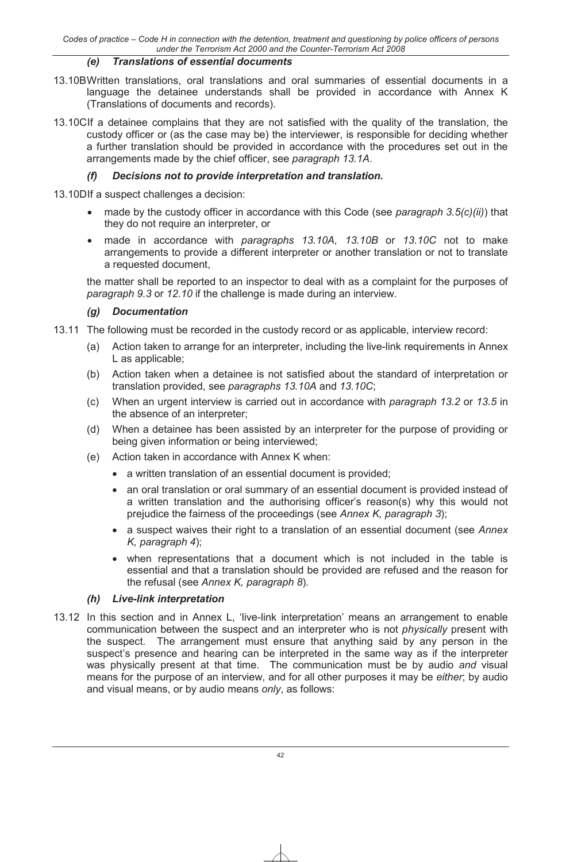### *(e) Translations of essential documents*

- 13.10BWritten translations, oral translations and oral summaries of essential documents in a language the detainee understands shall be provided in accordance with Annex K (Translations of documents and records).
- 13.10CIf a detainee complains that they are not satisfied with the quality of the translation, the custody officer or (as the case may be) the interviewer, is responsible for deciding whether a further translation should be provided in accordance with the procedures set out in the arrangements made by the chief officer, see *paragraph 13.1A*.

### *(f) Decisions not to provide interpretation and translation.*

13.10DIf a suspect challenges a decision:

- made by the custody officer in accordance with this Code (see *paragraph 3.5(c)(ii)*) that they do not require an interpreter, or
- made in accordance with *paragraphs 13.10A, 13.10B* or *13.10C* not to make arrangements to provide a different interpreter or another translation or not to translate a requested document,

the matter shall be reported to an inspector to deal with as a complaint for the purposes of *paragraph 9.3* or *12.10* if the challenge is made during an interview.

#### *(g) Documentation*

- 13.11 The following must be recorded in the custody record or as applicable, interview record:
	- (a) Action taken to arrange for an interpreter, including the live-link requirements in Annex L as applicable;
	- (b) Action taken when a detainee is not satisfied about the standard of interpretation or translation provided, see *paragraphs 13.10A* and *13.10C*;
	- (c) When an urgent interview is carried out in accordance with *paragraph 13.2* or *13.5* in the absence of an interpreter;
	- (d) When a detainee has been assisted by an interpreter for the purpose of providing or being given information or being interviewed:
	- (e) Action taken in accordance with Annex K when:
		- a written translation of an essential document is provided;
		- an oral translation or oral summary of an essential document is provided instead of a written translation and the authorising officer's reason(s) why this would not prejudice the fairness of the proceedings (see *Annex K, paragraph 3*);
		- a suspect waives their right to a translation of an essential document (see *Annex K, paragraph 4*);
		- when representations that a document which is not included in the table is essential and that a translation should be provided are refused and the reason for the refusal (see *Annex K, paragraph 8*).

### *(h) Live-link interpretation*

13.12 In this section and in Annex L, 'live-link interpretation' means an arrangement to enable communication between the suspect and an interpreter who is not *physically* present with the suspect. The arrangement must ensure that anything said by any person in the suspect's presence and hearing can be interpreted in the same way as if the interpreter was physically present at that time. The communication must be by audio *and* visual means for the purpose of an interview, and for all other purposes it may be *either*; by audio and visual means, or by audio means *only*, as follows: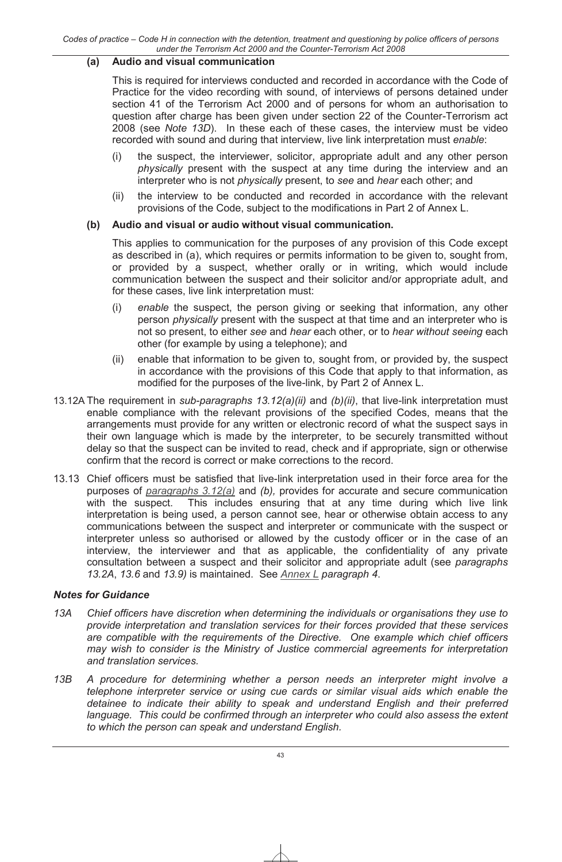#### **(a) Audio and visual communication**

This is required for interviews conducted and recorded in accordance with the Code of Practice for the video recording with sound, of interviews of persons detained under section 41 of the Terrorism Act 2000 and of persons for whom an authorisation to question after charge has been given under section 22 of the Counter-Terrorism act 2008 (see *Note 13D*). In these each of these cases, the interview must be video recorded with sound and during that interview, live link interpretation must *enable*:

- (i) the suspect, the interviewer, solicitor, appropriate adult and any other person *physically* present with the suspect at any time during the interview and an interpreter who is not *physically* present, to *see* and *hear* each other; and
- (ii) the interview to be conducted and recorded in accordance with the relevant provisions of the Code, subject to the modifications in Part 2 of Annex L.

#### **(b) Audio and visual or audio without visual communication.**

This applies to communication for the purposes of any provision of this Code except as described in (a), which requires or permits information to be given to, sought from, or provided by a suspect, whether orally or in writing, which would include communication between the suspect and their solicitor and/or appropriate adult, and for these cases, live link interpretation must:

- (i) *enable* the suspect, the person giving or seeking that information, any other person *physically* present with the suspect at that time and an interpreter who is not so present, to either *see* and *hear* each other, or to *hear without seeing* each other (for example by using a telephone); and
- (ii) enable that information to be given to, sought from, or provided by, the suspect in accordance with the provisions of this Code that apply to that information, as modified for the purposes of the live-link, by Part 2 of Annex L.
- 13.12A The requirement in *sub-paragraphs 13.12(a)(ii)* and *(b)(ii)*, that live-link interpretation must enable compliance with the relevant provisions of the specified Codes, means that the arrangements must provide for any written or electronic record of what the suspect says in their own language which is made by the interpreter, to be securely transmitted without delay so that the suspect can be invited to read, check and if appropriate, sign or otherwise confirm that the record is correct or make corrections to the record.
- 13.13 Chief officers must be satisfied that live-link interpretation used in their force area for the purposes of *paragraphs 3.12(a)* and *(b),* provides for accurate and secure communication with the suspect. This includes ensuring that at any time during which live link interpretation is being used, a person cannot see, hear or otherwise obtain access to any communications between the suspect and interpreter or communicate with the suspect or interpreter unless so authorised or allowed by the custody officer or in the case of an interview, the interviewer and that as applicable, the confidentiality of any private consultation between a suspect and their solicitor and appropriate adult (see *paragraphs 13.2A*, *13.6* and *13.9)* is maintained. See *Annex L paragraph 4*.

- *13A Chief officers have discretion when determining the individuals or organisations they use to provide interpretation and translation services for their forces provided that these services are compatible with the requirements of the Directive. One example which chief officers may wish to consider is the Ministry of Justice commercial agreements for interpretation and translation services.*
- *13B A procedure for determining whether a person needs an interpreter might involve a telephone interpreter service or using cue cards or similar visual aids which enable the detainee to indicate their ability to speak and understand English and their preferred language. This could be confirmed through an interpreter who could also assess the extent to which the person can speak and understand English.*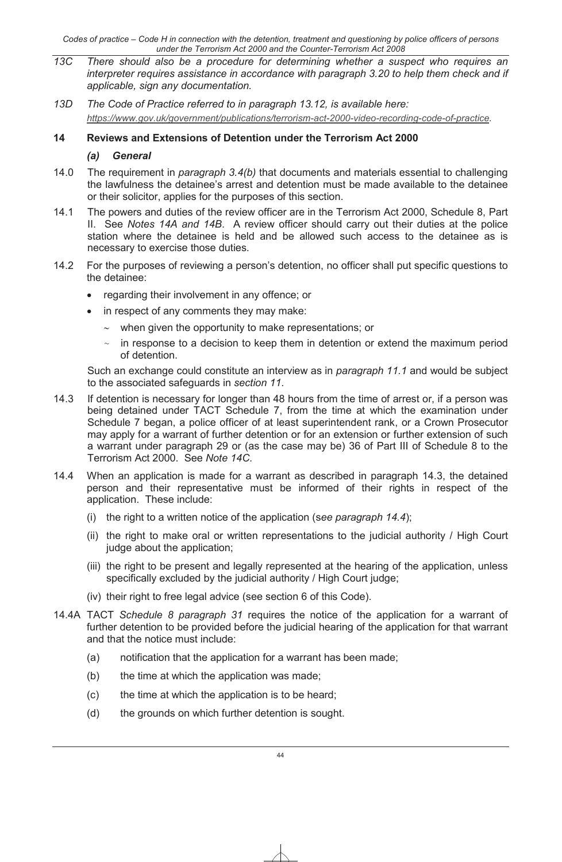- *13C There should also be a procedure for determining whether a suspect who requires an interpreter requires assistance in accordance with paragraph 3.20 to help them check and if applicable, sign any documentation.*
- *13D The Code of Practice referred to in paragraph 13.12, is available here: [https://www.gov.uk/government/publications/terrorism-act-2000-video-recording-code-of-practice.](https://www.gov.uk/government/publications/terrorism-act-2000-video-recording-code-of-practice)*

### **14 Reviews and Extensions of Detention under the Terrorism Act 2000**

### *(a) General*

- 14.0 The requirement in *paragraph 3.4(b)* that documents and materials essential to challenging the lawfulness the detainee's arrest and detention must be made available to the detainee or their solicitor, applies for the purposes of this section.
- 14.1 The powers and duties of the review officer are in the Terrorism Act 2000, Schedule 8, Part II. See *Notes 14A and 14B*. A review officer should carry out their duties at the police station where the detainee is held and be allowed such access to the detainee as is necessary to exercise those duties.
- 14.2 For the purposes of reviewing a person's detention, no officer shall put specific questions to the detainee:
	- regarding their involvement in any offence; or
	- in respect of any comments they may make:
		- ∼ when given the opportunity to make representations; or
		- $\sim$  in response to a decision to keep them in detention or extend the maximum period of detention.

Such an exchange could constitute an interview as in *paragraph 11.1* and would be subject to the associated safeguards in *section 11*.

- 14.3 If detention is necessary for longer than 48 hours from the time of arrest or, if a person was being detained under TACT Schedule 7, from the time at which the examination under Schedule 7 began, a police officer of at least superintendent rank, or a Crown Prosecutor may apply for a warrant of further detention or for an extension or further extension of such a warrant under paragraph 29 or (as the case may be) 36 of Part III of Schedule 8 to the Terrorism Act 2000. See *Note 14C*.
- 14.4 When an application is made for a warrant as described in paragraph 14.3, the detained person and their representative must be informed of their rights in respect of the application. These include:
	- (i) the right to a written notice of the application (s*ee paragraph 14.4*);
	- (ii) the right to make oral or written representations to the judicial authority / High Court judge about the application;
	- (iii) the right to be present and legally represented at the hearing of the application, unless specifically excluded by the judicial authority / High Court judge;
	- (iv) their right to free legal advice (see section 6 of this Code).
- 14.4A TACT *Schedule 8 paragraph 31* requires the notice of the application for a warrant of further detention to be provided before the judicial hearing of the application for that warrant and that the notice must include:
	- (a) notification that the application for a warrant has been made;
	- (b) the time at which the application was made:
	- (c) the time at which the application is to be heard;
	- (d) the grounds on which further detention is sought.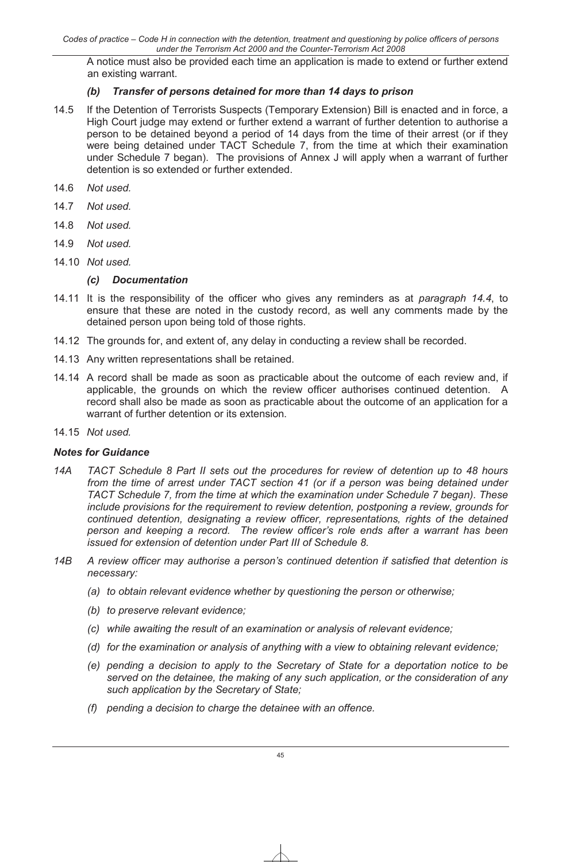A notice must also be provided each time an application is made to extend or further extend an existing warrant.

### *(b) Transfer of persons detained for more than 14 days to prison*

- 14.5 If the Detention of Terrorists Suspects (Temporary Extension) Bill is enacted and in force, a High Court judge may extend or further extend a warrant of further detention to authorise a person to be detained beyond a period of 14 days from the time of their arrest (or if they were being detained under TACT Schedule 7, from the time at which their examination under Schedule 7 began). The provisions of Annex J will apply when a warrant of further detention is so extended or further extended.
- 14.6 *Not used.*
- 14.7 *Not used.*
- 14.8 *Not used.*
- 14.9 *Not used.*
- 14.10 *Not used.*

#### *(c) Documentation*

- 14.11 It is the responsibility of the officer who gives any reminders as at *paragraph 14.4*, to ensure that these are noted in the custody record, as well any comments made by the detained person upon being told of those rights.
- 14.12 The grounds for, and extent of, any delay in conducting a review shall be recorded.
- 14.13 Any written representations shall be retained.
- 14.14 A record shall be made as soon as practicable about the outcome of each review and, if applicable, the grounds on which the review officer authorises continued detention. A record shall also be made as soon as practicable about the outcome of an application for a warrant of further detention or its extension
- 14.15 *Not used.*

- *14A TACT Schedule 8 Part II sets out the procedures for review of detention up to 48 hours from the time of arrest under TACT section 41 (or if a person was being detained under TACT Schedule 7, from the time at which the examination under Schedule 7 began). These include provisions for the requirement to review detention, postponing a review, grounds for continued detention, designating a review officer, representations, rights of the detained person and keeping a record. The review officer's role ends after a warrant has been issued for extension of detention under Part III of Schedule 8.*
- *14B A review officer may authorise a person's continued detention if satisfied that detention is necessary:*
	- *(a) to obtain relevant evidence whether by questioning the person or otherwise;*
	- *(b) to preserve relevant evidence;*
	- *(c) while awaiting the result of an examination or analysis of relevant evidence;*
	- *(d) for the examination or analysis of anything with a view to obtaining relevant evidence;*
	- *(e) pending a decision to apply to the Secretary of State for a deportation notice to be served on the detainee, the making of any such application, or the consideration of any such application by the Secretary of State;*
	- *(f) pending a decision to charge the detainee with an offence.*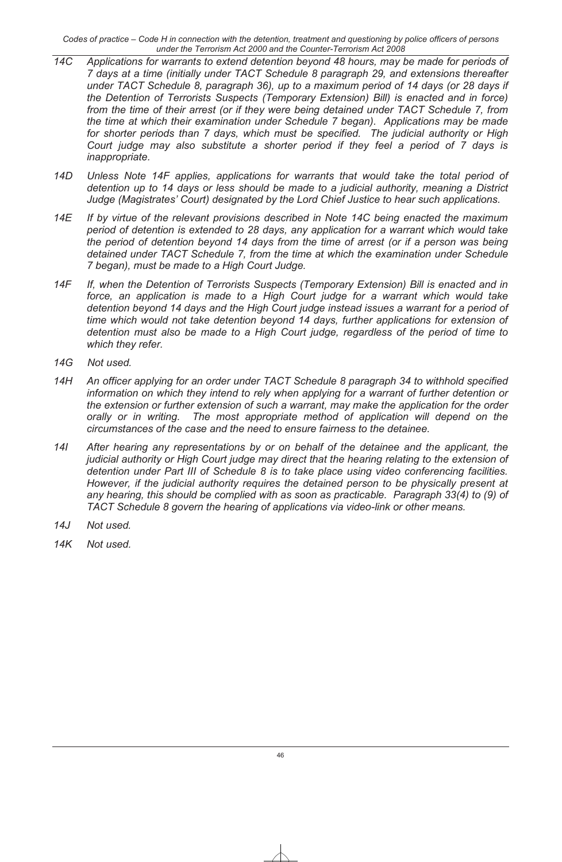*Codes of practice – Code H in connection with the detention, treatment and questioning by police officers of persons under the Terrorism Act 2000 and the Counter-Terrorism Act 2008*

- *14C Applications for warrants to extend detention beyond 48 hours, may be made for periods of 7 days at a time (initially under TACT Schedule 8 paragraph 29, and extensions thereafter under TACT Schedule 8, paragraph 36), up to a maximum period of 14 days (or 28 days if the Detention of Terrorists Suspects (Temporary Extension) Bill) is enacted and in force) from the time of their arrest (or if they were being detained under TACT Schedule 7, from the time at which their examination under Schedule 7 began). Applications may be made for shorter periods than 7 days, which must be specified. The judicial authority or High Court judge may also substitute a shorter period if they feel a period of 7 days is inappropriate.*
- *14D Unless Note 14F applies, applications for warrants that would take the total period of detention up to 14 days or less should be made to a judicial authority, meaning a District Judge (Magistrates' Court) designated by the Lord Chief Justice to hear such applications.*
- *14E If by virtue of the relevant provisions described in Note 14C being enacted the maximum period of detention is extended to 28 days, any application for a warrant which would take the period of detention beyond 14 days from the time of arrest (or if a person was being detained under TACT Schedule 7, from the time at which the examination under Schedule 7 began), must be made to a High Court Judge.*
- *14F If, when the Detention of Terrorists Suspects (Temporary Extension) Bill is enacted and in force, an application is made to a High Court judge for a warrant which would take detention beyond 14 days and the High Court judge instead issues a warrant for a period of time which would not take detention beyond 14 days, further applications for extension of detention must also be made to a High Court judge, regardless of the period of time to which they refer.*
- *14G Not used.*
- *14H An officer applying for an order under TACT Schedule 8 paragraph 34 to withhold specified information on which they intend to rely when applying for a warrant of further detention or the extension or further extension of such a warrant, may make the application for the order orally or in writing. The most appropriate method of application will depend on the circumstances of the case and the need to ensure fairness to the detainee.*
- *14I After hearing any representations by or on behalf of the detainee and the applicant, the judicial authority or High Court judge may direct that the hearing relating to the extension of detention under Part III of Schedule 8 is to take place using video conferencing facilities. However, if the judicial authority requires the detained person to be physically present at any hearing, this should be complied with as soon as practicable. Paragraph 33(4) to (9) of TACT Schedule 8 govern the hearing of applications via video-link or other means.*
- *14J Not used.*
- *14K Not used.*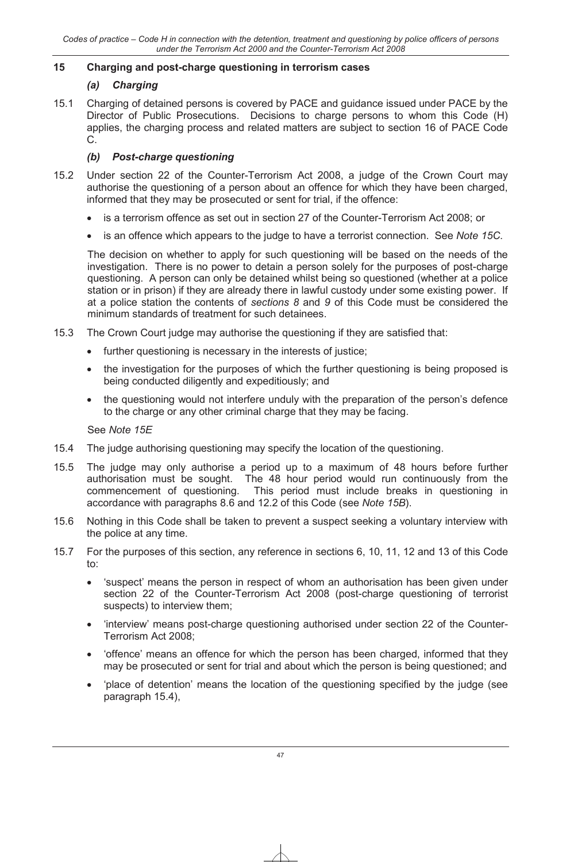### **15 Charging and post-charge questioning in terrorism cases**

# *(a) Charging*

15.1 Charging of detained persons is covered by PACE and guidance issued under PACE by the Director of Public Prosecutions. Decisions to charge persons to whom this Code (H) applies, the charging process and related matters are subject to section 16 of PACE Code C.

### *(b) Post-charge questioning*

- 15.2 Under section 22 of the Counter-Terrorism Act 2008, a judge of the Crown Court may authorise the questioning of a person about an offence for which they have been charged, informed that they may be prosecuted or sent for trial, if the offence:
	- is a terrorism offence as set out in section 27 of the Counter-Terrorism Act 2008; or
	- is an offence which appears to the judge to have a terrorist connection. See *Note 15C*.

The decision on whether to apply for such questioning will be based on the needs of the investigation. There is no power to detain a person solely for the purposes of post-charge questioning. A person can only be detained whilst being so questioned (whether at a police station or in prison) if they are already there in lawful custody under some existing power. If at a police station the contents of *sections 8* and *9* of this Code must be considered the minimum standards of treatment for such detainees.

- 15.3 The Crown Court judge may authorise the questioning if they are satisfied that:
	- further questioning is necessary in the interests of justice;
	- the investigation for the purposes of which the further questioning is being proposed is being conducted diligently and expeditiously; and
	- the questioning would not interfere unduly with the preparation of the person's defence to the charge or any other criminal charge that they may be facing.

See *Note 15E*

- 15.4 The judge authorising questioning may specify the location of the questioning.
- 15.5 The judge may only authorise a period up to a maximum of 48 hours before further authorisation must be sought. The 48 hour period would run continuously from the commencement of questioning. This period must include breaks in questioning in This period must include breaks in questioning in accordance with paragraphs 8.6 and 12.2 of this Code (see *Note 15B*).
- 15.6 Nothing in this Code shall be taken to prevent a suspect seeking a voluntary interview with the police at any time.
- 15.7 For the purposes of this section, any reference in sections 6, 10, 11, 12 and 13 of this Code to:
	- 'suspect' means the person in respect of whom an authorisation has been given under section 22 of the Counter-Terrorism Act 2008 (post-charge questioning of terrorist suspects) to interview them;
	- 'interview' means post-charge questioning authorised under section 22 of the Counter-Terrorism Act 2008;
	- 'offence' means an offence for which the person has been charged, informed that they may be prosecuted or sent for trial and about which the person is being questioned; and
	- 'place of detention' means the location of the questioning specified by the judge (see paragraph 15.4),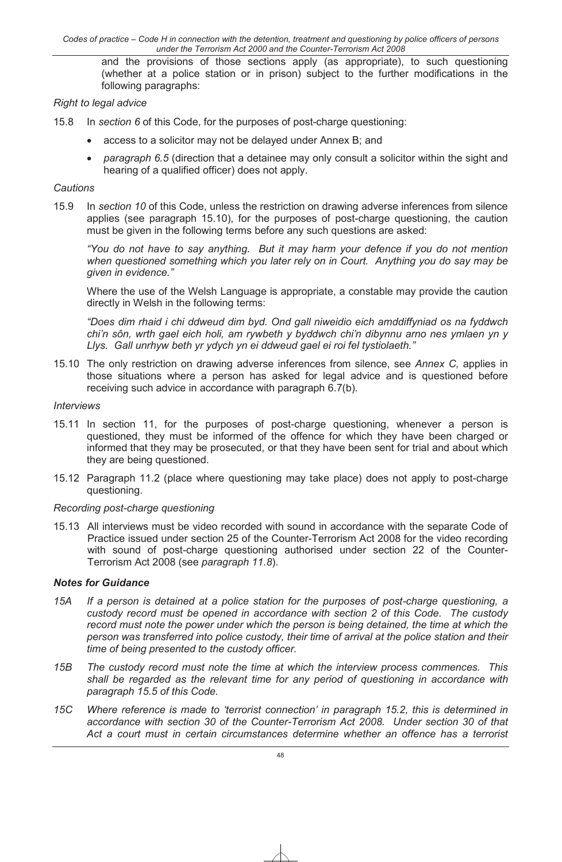and the provisions of those sections apply (as appropriate), to such questioning (whether at a police station or in prison) subject to the further modifications in the following paragraphs:

#### *Right to legal advice*

- 15.8 In *section 6* of this Code, for the purposes of post-charge questioning:
	- access to a solicitor may not be delayed under Annex B; and
	- *paragraph 6.5* (direction that a detainee may only consult a solicitor within the sight and hearing of a qualified officer) does not apply.

#### *Cautions*

15.9 In *section 10* of this Code, unless the restriction on drawing adverse inferences from silence applies (see paragraph 15.10), for the purposes of post-charge questioning, the caution must be given in the following terms before any such questions are asked:

*"You do not have to say anything. But it may harm your defence if you do not mention when questioned something which you later rely on in Court. Anything you do say may be given in evidence."*

Where the use of the Welsh Language is appropriate, a constable may provide the caution directly in Welsh in the following terms:

*"Does dim rhaid i chi ddweud dim byd. Ond gall niweidio eich amddiffyniad os na fyddwch chi'n sôn, wrth gael eich holi, am rywbeth y byddwch chi'n dibynnu arno nes ymlaen yn y Llys. Gall unrhyw beth yr ydych yn ei ddweud gael ei roi fel tystiolaeth."*

15.10 The only restriction on drawing adverse inferences from silence, see *Annex C,* applies in those situations where a person has asked for legal advice and is questioned before receiving such advice in accordance with paragraph 6.7(b).

#### *Interviews*

- 15.11 In section 11, for the purposes of post-charge questioning, whenever a person is questioned, they must be informed of the offence for which they have been charged or informed that they may be prosecuted, or that they have been sent for trial and about which they are being questioned.
- 15.12 Paragraph 11.2 (place where questioning may take place) does not apply to post-charge questioning.

#### *Recording post-charge questioning*

15.13 All interviews must be video recorded with sound in accordance with the separate Code of Practice issued under section 25 of the Counter-Terrorism Act 2008 for the video recording with sound of post-charge questioning authorised under section 22 of the Counter-Terrorism Act 2008 (see *paragraph 11.8*).

- *15A If a person is detained at a police station for the purposes of post-charge questioning, a custody record must be opened in accordance with section 2 of this Code. The custody*  record must note the power under which the person is being detained, the time at which the *person was transferred into police custody, their time of arrival at the police station and their time of being presented to the custody officer.*
- *15B The custody record must note the time at which the interview process commences. This shall be regarded as the relevant time for any period of questioning in accordance with paragraph 15.5 of this Code.*
- *15C Where reference is made to 'terrorist connection' in paragraph 15.2, this is determined in accordance with section 30 of the Counter-Terrorism Act 2008. Under section 30 of that Act a court must in certain circumstances determine whether an offence has a terrorist*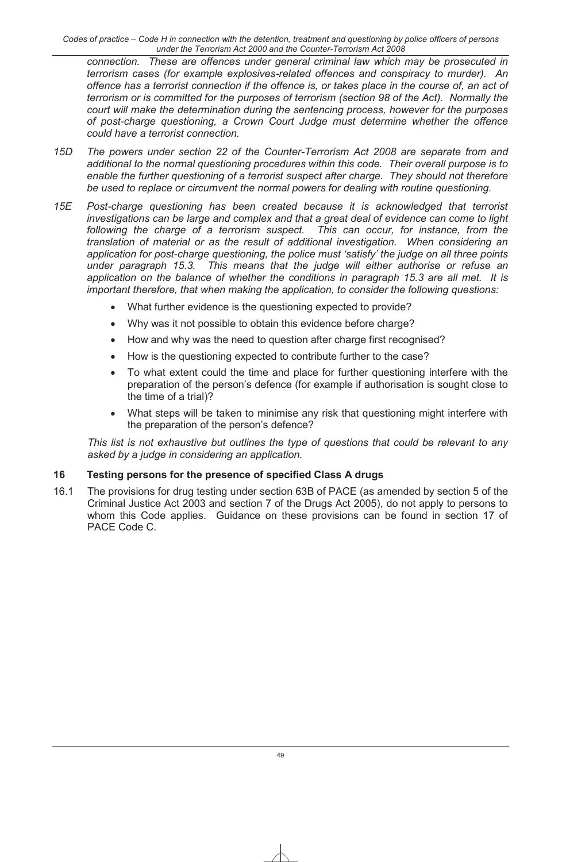*connection. These are offences under general criminal law which may be prosecuted in terrorism cases (for example explosives-related offences and conspiracy to murder). An offence has a terrorist connection if the offence is, or takes place in the course of, an act of terrorism or is committed for the purposes of terrorism (section 98 of the Act). Normally the court will make the determination during the sentencing process, however for the purposes of post-charge questioning, a Crown Court Judge must determine whether the offence could have a terrorist connection.* 

- *15D The powers under section 22 of the Counter-Terrorism Act 2008 are separate from and additional to the normal questioning procedures within this code. Their overall purpose is to enable the further questioning of a terrorist suspect after charge. They should not therefore be used to replace or circumvent the normal powers for dealing with routine questioning.*
- *15E Post-charge questioning has been created because it is acknowledged that terrorist investigations can be large and complex and that a great deal of evidence can come to light following the charge of a terrorism suspect. This can occur, for instance, from the translation of material or as the result of additional investigation. When considering an application for post-charge questioning, the police must 'satisfy' the judge on all three points under paragraph 15.3. This means that the judge will either authorise or refuse an application on the balance of whether the conditions in paragraph 15.3 are all met. It is important therefore, that when making the application, to consider the following questions:*
	- What further evidence is the questioning expected to provide?
	- Why was it not possible to obtain this evidence before charge?
	- How and why was the need to question after charge first recognised?
	- How is the questioning expected to contribute further to the case?
	- To what extent could the time and place for further questioning interfere with the preparation of the person's defence (for example if authorisation is sought close to the time of a trial)?
	- What steps will be taken to minimise any risk that questioning might interfere with the preparation of the person's defence?

*This list is not exhaustive but outlines the type of questions that could be relevant to any asked by a judge in considering an application.*

# **16 Testing persons for the presence of specified Class A drugs**

16.1 The provisions for drug testing under section 63B of PACE (as amended by section 5 of the Criminal Justice Act 2003 and section 7 of the Drugs Act 2005), do not apply to persons to whom this Code applies. Guidance on these provisions can be found in section 17 of PACE Code C.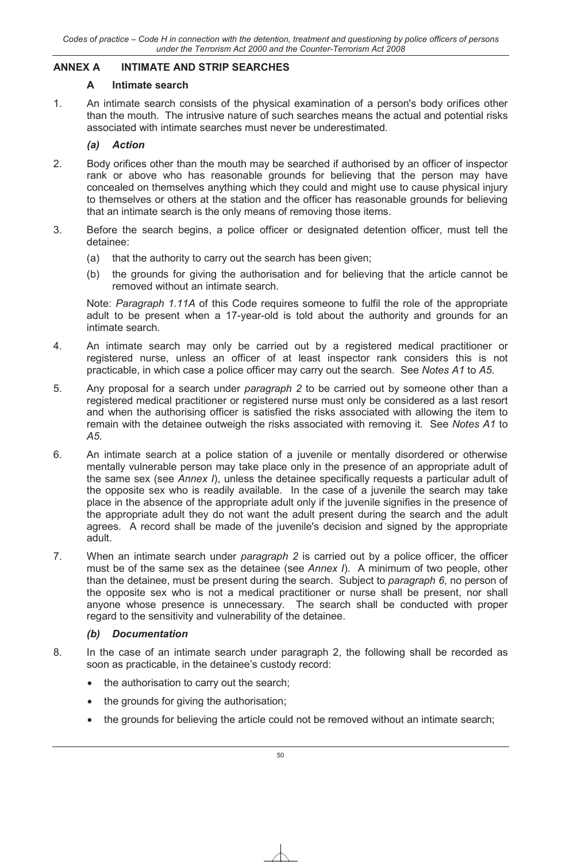### **ANNEX A INTIMATE AND STRIP SEARCHES**

### **A Intimate search**

1. An intimate search consists of the physical examination of a person's body orifices other than the mouth. The intrusive nature of such searches means the actual and potential risks associated with intimate searches must never be underestimated.

### *(a) Action*

- 2. Body orifices other than the mouth may be searched if authorised by an officer of inspector rank or above who has reasonable grounds for believing that the person may have concealed on themselves anything which they could and might use to cause physical injury to themselves or others at the station and the officer has reasonable grounds for believing that an intimate search is the only means of removing those items.
- 3. Before the search begins, a police officer or designated detention officer, must tell the detainee:
	- (a) that the authority to carry out the search has been given;
	- (b) the grounds for giving the authorisation and for believing that the article cannot be removed without an intimate search.

Note: *Paragraph 1.11A* of this Code requires someone to fulfil the role of the appropriate adult to be present when a 17-year-old is told about the authority and grounds for an intimate search.

- 4. An intimate search may only be carried out by a registered medical practitioner or registered nurse, unless an officer of at least inspector rank considers this is not practicable, in which case a police officer may carry out the search. See *Notes A1* to *A5*.
- 5. Any proposal for a search under *paragraph 2* to be carried out by someone other than a registered medical practitioner or registered nurse must only be considered as a last resort and when the authorising officer is satisfied the risks associated with allowing the item to remain with the detainee outweigh the risks associated with removing it. See *Notes A1* to *A5*.
- 6. An intimate search at a police station of a juvenile or mentally disordered or otherwise mentally vulnerable person may take place only in the presence of an appropriate adult of the same sex (see *Annex I*), unless the detainee specifically requests a particular adult of the opposite sex who is readily available. In the case of a juvenile the search may take place in the absence of the appropriate adult only if the juvenile signifies in the presence of the appropriate adult they do not want the adult present during the search and the adult agrees. A record shall be made of the juvenile's decision and signed by the appropriate adult.
- 7. When an intimate search under *paragraph 2* is carried out by a police officer, the officer must be of the same sex as the detainee (see *Annex I*). A minimum of two people, other than the detainee, must be present during the search. Subject to *paragraph 6*, no person of the opposite sex who is not a medical practitioner or nurse shall be present, nor shall anyone whose presence is unnecessary. The search shall be conducted with proper regard to the sensitivity and vulnerability of the detainee.

### *(b) Documentation*

- 8. In the case of an intimate search under paragraph 2, the following shall be recorded as soon as practicable, in the detainee's custody record:
	- the authorisation to carry out the search;
	- the grounds for giving the authorisation;
	- the grounds for believing the article could not be removed without an intimate search: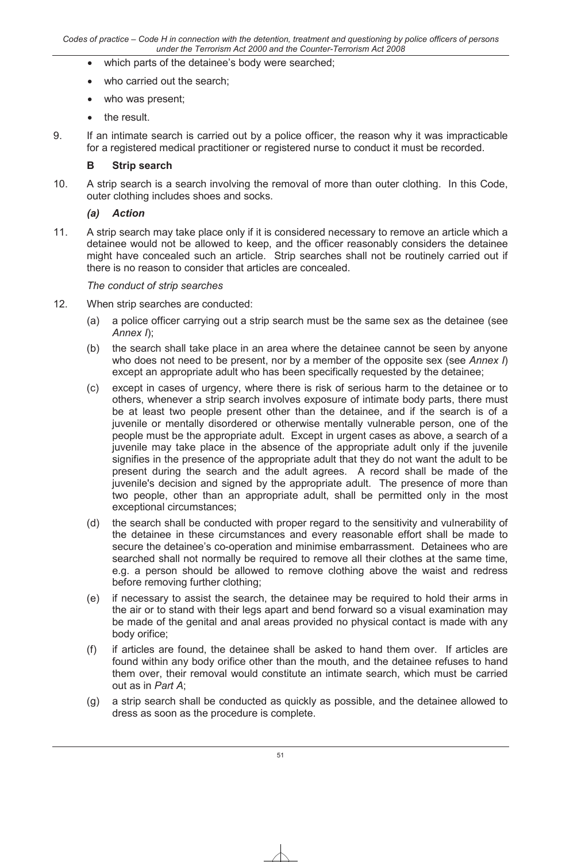- which parts of the detainee's body were searched;
- who carried out the search:
- who was present;
- the result.
- 9. If an intimate search is carried out by a police officer, the reason why it was impracticable for a registered medical practitioner or registered nurse to conduct it must be recorded.

#### **B Strip search**

10. A strip search is a search involving the removal of more than outer clothing. In this Code, outer clothing includes shoes and socks.

#### *(a) Action*

11. A strip search may take place only if it is considered necessary to remove an article which a detainee would not be allowed to keep, and the officer reasonably considers the detainee might have concealed such an article. Strip searches shall not be routinely carried out if there is no reason to consider that articles are concealed.

*The conduct of strip searches*

- 12. When strip searches are conducted:
	- (a) a police officer carrying out a strip search must be the same sex as the detainee (see *Annex I*);
	- (b) the search shall take place in an area where the detainee cannot be seen by anyone who does not need to be present, nor by a member of the opposite sex (see *Annex I*) except an appropriate adult who has been specifically requested by the detainee;
	- (c) except in cases of urgency, where there is risk of serious harm to the detainee or to others, whenever a strip search involves exposure of intimate body parts, there must be at least two people present other than the detainee, and if the search is of a juvenile or mentally disordered or otherwise mentally vulnerable person, one of the people must be the appropriate adult. Except in urgent cases as above, a search of a juvenile may take place in the absence of the appropriate adult only if the juvenile signifies in the presence of the appropriate adult that they do not want the adult to be present during the search and the adult agrees. A record shall be made of the juvenile's decision and signed by the appropriate adult. The presence of more than two people, other than an appropriate adult, shall be permitted only in the most exceptional circumstances;
	- (d) the search shall be conducted with proper regard to the sensitivity and vulnerability of the detainee in these circumstances and every reasonable effort shall be made to secure the detainee's co-operation and minimise embarrassment. Detainees who are searched shall not normally be required to remove all their clothes at the same time, e.g. a person should be allowed to remove clothing above the waist and redress before removing further clothing;
	- (e) if necessary to assist the search, the detainee may be required to hold their arms in the air or to stand with their legs apart and bend forward so a visual examination may be made of the genital and anal areas provided no physical contact is made with any body orifice;
	- (f) if articles are found, the detainee shall be asked to hand them over. If articles are found within any body orifice other than the mouth, and the detainee refuses to hand them over, their removal would constitute an intimate search, which must be carried out as in *Part A*;
	- (g) a strip search shall be conducted as quickly as possible, and the detainee allowed to dress as soon as the procedure is complete.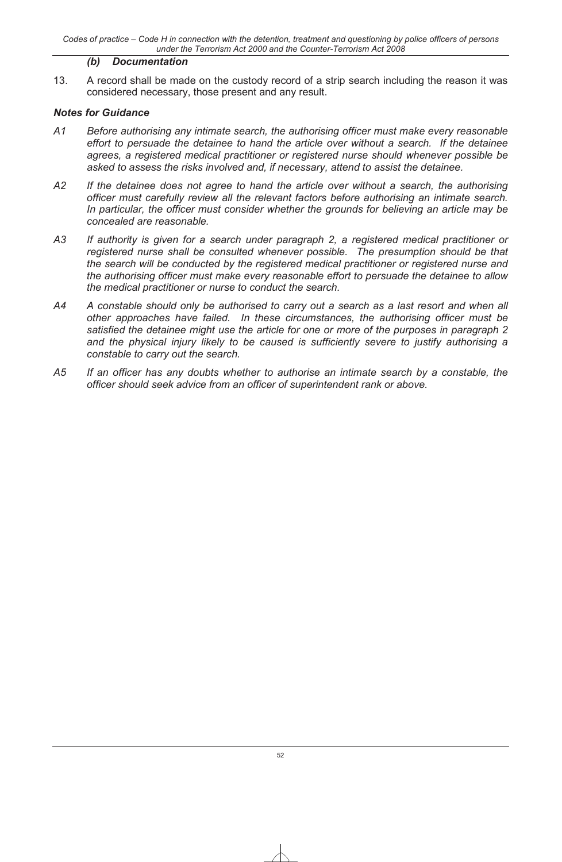### *(b) Documentation*

13. A record shall be made on the custody record of a strip search including the reason it was considered necessary, those present and any result.

- *A1 Before authorising any intimate search, the authorising officer must make every reasonable effort to persuade the detainee to hand the article over without a search. If the detainee agrees, a registered medical practitioner or registered nurse should whenever possible be asked to assess the risks involved and, if necessary, attend to assist the detainee.*
- *A2 If the detainee does not agree to hand the article over without a search, the authorising officer must carefully review all the relevant factors before authorising an intimate search. In particular, the officer must consider whether the grounds for believing an article may be concealed are reasonable.*
- *A3 If authority is given for a search under paragraph 2, a registered medical practitioner or registered nurse shall be consulted whenever possible. The presumption should be that the search will be conducted by the registered medical practitioner or registered nurse and the authorising officer must make every reasonable effort to persuade the detainee to allow the medical practitioner or nurse to conduct the search.*
- *A4 A constable should only be authorised to carry out a search as a last resort and when all other approaches have failed. In these circumstances, the authorising officer must be satisfied the detainee might use the article for one or more of the purposes in paragraph 2 and the physical injury likely to be caused is sufficiently severe to justify authorising a constable to carry out the search.*
- *A5 If an officer has any doubts whether to authorise an intimate search by a constable, the officer should seek advice from an officer of superintendent rank or above.*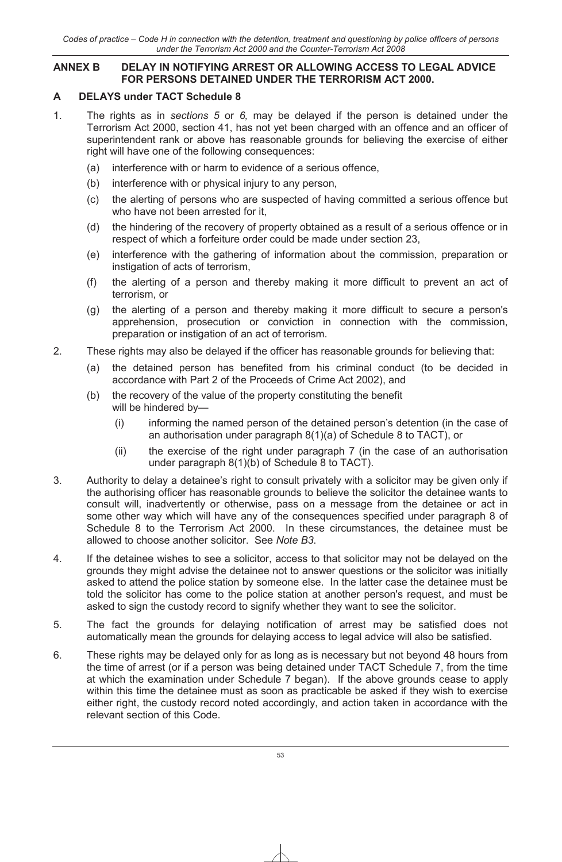#### **ANNEX B DELAY IN NOTIFYING ARREST OR ALLOWING ACCESS TO LEGAL ADVICE FOR PERSONS DETAINED UNDER THE TERRORISM ACT 2000.**

### **A DELAYS under TACT Schedule 8**

- 1. The rights as in *sections 5* or *6,* may be delayed if the person is detained under the Terrorism Act 2000, section 41, has not yet been charged with an offence and an officer of superintendent rank or above has reasonable grounds for believing the exercise of either right will have one of the following consequences:
	- (a) interference with or harm to evidence of a serious offence,
	- (b) interference with or physical injury to any person,
	- (c) the alerting of persons who are suspected of having committed a serious offence but who have not been arrested for it,
	- (d) the hindering of the recovery of property obtained as a result of a serious offence or in respect of which a forfeiture order could be made under section 23,
	- (e) interference with the gathering of information about the commission, preparation or instigation of acts of terrorism,
	- (f) the alerting of a person and thereby making it more difficult to prevent an act of terrorism, or
	- (g) the alerting of a person and thereby making it more difficult to secure a person's apprehension, prosecution or conviction in connection with the commission, preparation or instigation of an act of terrorism.
- 2. These rights may also be delayed if the officer has reasonable grounds for believing that:
	- (a) the detained person has benefited from his criminal conduct (to be decided in accordance with Part 2 of the Proceeds of Crime Act 2002), and
	- (b) the recovery of the value of the property constituting the benefit will be hindered by—
		- (i) informing the named person of the detained person's detention (in the case of an authorisation under paragraph 8(1)(a) of Schedule 8 to TACT), or
		- (ii) the exercise of the right under paragraph 7 (in the case of an authorisation under paragraph 8(1)(b) of Schedule 8 to TACT).
- 3. Authority to delay a detainee's right to consult privately with a solicitor may be given only if the authorising officer has reasonable grounds to believe the solicitor the detainee wants to consult will, inadvertently or otherwise, pass on a message from the detainee or act in some other way which will have any of the consequences specified under paragraph 8 of Schedule 8 to the Terrorism Act 2000. In these circumstances, the detainee must be allowed to choose another solicitor. See *Note B3*.
- 4. If the detainee wishes to see a solicitor, access to that solicitor may not be delayed on the grounds they might advise the detainee not to answer questions or the solicitor was initially asked to attend the police station by someone else. In the latter case the detainee must be told the solicitor has come to the police station at another person's request, and must be asked to sign the custody record to signify whether they want to see the solicitor.
- 5. The fact the grounds for delaying notification of arrest may be satisfied does not automatically mean the grounds for delaying access to legal advice will also be satisfied.
- 6. These rights may be delayed only for as long as is necessary but not beyond 48 hours from the time of arrest (or if a person was being detained under TACT Schedule 7, from the time at which the examination under Schedule 7 began). If the above grounds cease to apply within this time the detainee must as soon as practicable be asked if they wish to exercise either right, the custody record noted accordingly, and action taken in accordance with the relevant section of this Code.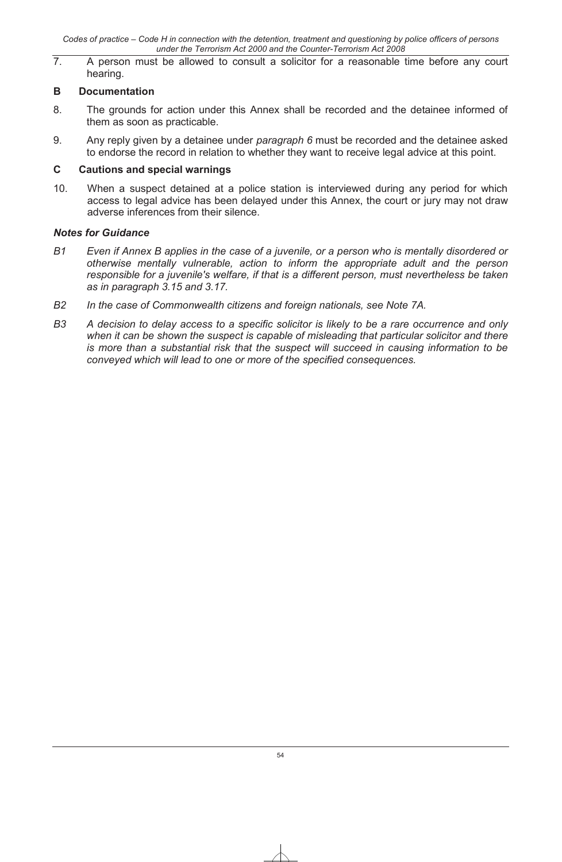7. A person must be allowed to consult a solicitor for a reasonable time before any court hearing.

### **B Documentation**

- 8. The grounds for action under this Annex shall be recorded and the detainee informed of them as soon as practicable.
- 9. Any reply given by a detainee under *paragraph 6* must be recorded and the detainee asked to endorse the record in relation to whether they want to receive legal advice at this point.

#### **C Cautions and special warnings**

10. When a suspect detained at a police station is interviewed during any period for which access to legal advice has been delayed under this Annex, the court or jury may not draw adverse inferences from their silence.

- *B1 Even if Annex B applies in the case of a juvenile, or a person who is mentally disordered or otherwise mentally vulnerable, action to inform the appropriate adult and the person responsible for a juvenile's welfare, if that is a different person, must nevertheless be taken as in paragraph 3.15 and 3.17.*
- *B2 In the case of Commonwealth citizens and foreign nationals, see Note 7A.*
- *B3 A decision to delay access to a specific solicitor is likely to be a rare occurrence and only when it can be shown the suspect is capable of misleading that particular solicitor and there is more than a substantial risk that the suspect will succeed in causing information to be conveyed which will lead to one or more of the specified consequences.*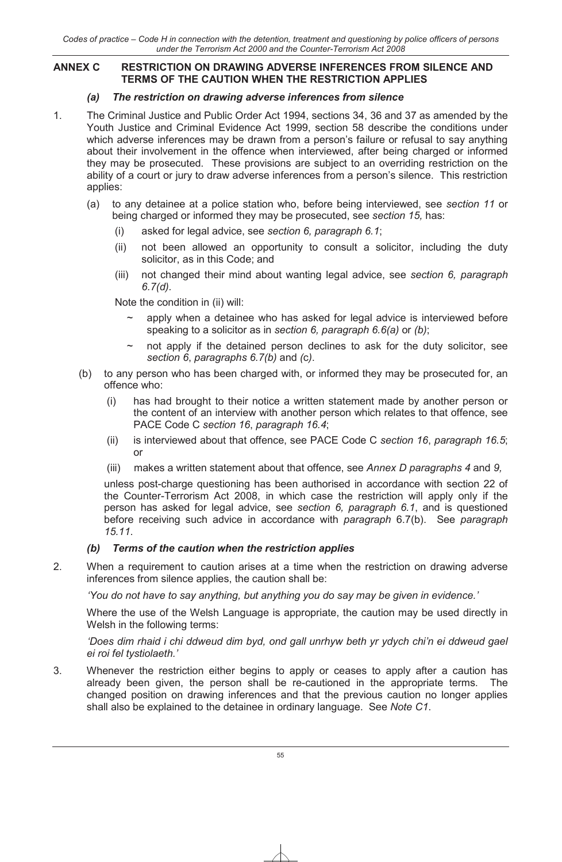#### **ANNEX C RESTRICTION ON DRAWING ADVERSE INFERENCES FROM SILENCE AND TERMS OF THE CAUTION WHEN THE RESTRICTION APPLIES**

### *(a) The restriction on drawing adverse inferences from silence*

- 1. The Criminal Justice and Public Order Act 1994, sections 34, 36 and 37 as amended by the Youth Justice and Criminal Evidence Act 1999, section 58 describe the conditions under which adverse inferences may be drawn from a person's failure or refusal to say anything about their involvement in the offence when interviewed, after being charged or informed they may be prosecuted. These provisions are subject to an overriding restriction on the ability of a court or jury to draw adverse inferences from a person's silence. This restriction applies:
	- (a) to any detainee at a police station who, before being interviewed, see *section 11* or being charged or informed they may be prosecuted, see *section 15,* has:
		- (i) asked for legal advice, see *section 6, paragraph 6.1*;
		- (ii) not been allowed an opportunity to consult a solicitor, including the duty solicitor, as in this Code; and
		- (iii) not changed their mind about wanting legal advice, see *section 6, paragraph 6.7(d).*

Note the condition in (ii) will:

- apply when a detainee who has asked for legal advice is interviewed before speaking to a solicitor as in *section 6, paragraph 6.6(a)* or *(b)*;
- $\sim$  not apply if the detained person declines to ask for the duty solicitor, see *section 6*, *paragraphs 6.7(b)* and *(*c*)*.
- (b) to any person who has been charged with, or informed they may be prosecuted for, an offence who:
	- (i) has had brought to their notice a written statement made by another person or the content of an interview with another person which relates to that offence, see PACE Code C *section 16*, *paragraph 16.4*;
	- (ii) is interviewed about that offence, see PACE Code C *section 16*, *paragraph 16.5*; or
	- (iii) makes a written statement about that offence, see *Annex D paragraphs 4* and *9,*

unless post-charge questioning has been authorised in accordance with section 22 of the Counter-Terrorism Act 2008, in which case the restriction will apply only if the person has asked for legal advice, see *section 6, paragraph 6.1*, and is questioned before receiving such advice in accordance with *paragraph* 6.7(b). See *paragraph 15.11*.

### *(b) Terms of the caution when the restriction applies*

2. When a requirement to caution arises at a time when the restriction on drawing adverse inferences from silence applies, the caution shall be:

*'You do not have to say anything, but anything you do say may be given in evidence.'*

Where the use of the Welsh Language is appropriate, the caution may be used directly in Welsh in the following terms:

*'Does dim rhaid i chi ddweud dim byd, ond gall unrhyw beth yr ydych chi'n ei ddweud gael ei roi fel tystiolaeth.'*

3. Whenever the restriction either begins to apply or ceases to apply after a caution has already been given, the person shall be re-cautioned in the appropriate terms. The changed position on drawing inferences and that the previous caution no longer applies shall also be explained to the detainee in ordinary language. See *Note C1*.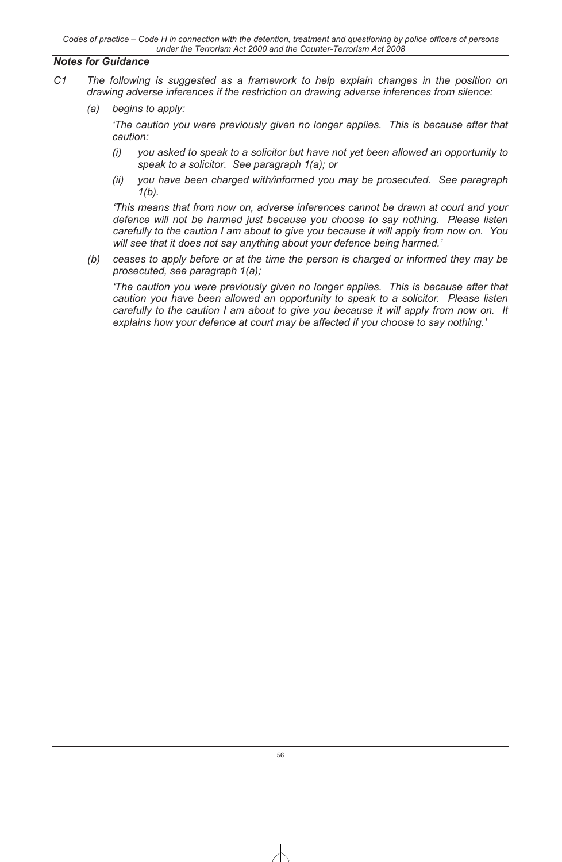#### *Notes for Guidance*

- *C1 The following is suggested as a framework to help explain changes in the position on drawing adverse inferences if the restriction on drawing adverse inferences from silence:*
	- *(a) begins to apply:*

*'The caution you were previously given no longer applies. This is because after that caution:*

- *(i) you asked to speak to a solicitor but have not yet been allowed an opportunity to speak to a solicitor. See paragraph 1(a); or*
- *(ii) you have been charged with/informed you may be prosecuted. See paragraph 1(b).*

*'This means that from now on, adverse inferences cannot be drawn at court and your defence will not be harmed just because you choose to say nothing. Please listen carefully to the caution I am about to give you because it will apply from now on. You will see that it does not say anything about your defence being harmed.'*

*(b) ceases to apply before or at the time the person is charged or informed they may be prosecuted, see paragraph 1(a);*

*'The caution you were previously given no longer applies. This is because after that caution you have been allowed an opportunity to speak to a solicitor. Please listen carefully to the caution I am about to give you because it will apply from now on. It explains how your defence at court may be affected if you choose to say nothing.'*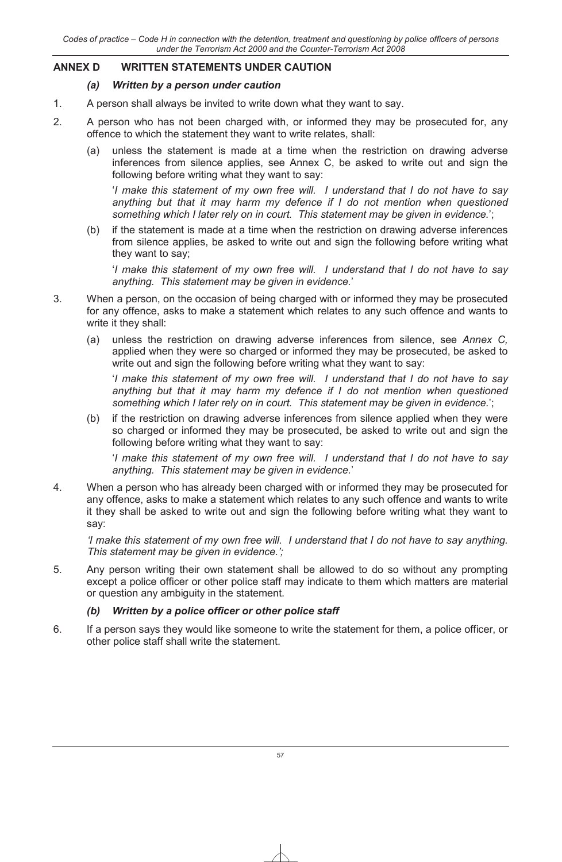### **ANNEX D WRITTEN STATEMENTS UNDER CAUTION**

### *(a) Written by a person under caution*

- 1. A person shall always be invited to write down what they want to say.
- 2. A person who has not been charged with, or informed they may be prosecuted for, any offence to which the statement they want to write relates, shall:
	- (a) unless the statement is made at a time when the restriction on drawing adverse inferences from silence applies, see Annex C, be asked to write out and sign the following before writing what they want to say:

'*I make this statement of my own free will. I understand that I do not have to say anything but that it may harm my defence if I do not mention when questioned something which I later rely on in court. This statement may be given in evidence.*';

(b) if the statement is made at a time when the restriction on drawing adverse inferences from silence applies, be asked to write out and sign the following before writing what they want to say;

'*I make this statement of my own free will. I understand that I do not have to say anything. This statement may be given in evidence.*'

- 3. When a person, on the occasion of being charged with or informed they may be prosecuted for any offence, asks to make a statement which relates to any such offence and wants to write it they shall:
	- (a) unless the restriction on drawing adverse inferences from silence, see *Annex C,* applied when they were so charged or informed they may be prosecuted, be asked to write out and sign the following before writing what they want to say:

'*I make this statement of my own free will. I understand that I do not have to say anything but that it may harm my defence if I do not mention when questioned something which I later rely on in court. This statement may be given in evidence.*';

(b) if the restriction on drawing adverse inferences from silence applied when they were so charged or informed they may be prosecuted, be asked to write out and sign the following before writing what they want to say:

'*I make this statement of my own free will. I understand that I do not have to say anything. This statement may be given in evidence.*'

4. When a person who has already been charged with or informed they may be prosecuted for any offence, asks to make a statement which relates to any such offence and wants to write it they shall be asked to write out and sign the following before writing what they want to say:

*'I make this statement of my own free will. I understand that I do not have to say anything. This statement may be given in evidence.';*

5. Any person writing their own statement shall be allowed to do so without any prompting except a police officer or other police staff may indicate to them which matters are material or question any ambiguity in the statement.

### *(b) Written by a police officer or other police staff*

6. If a person says they would like someone to write the statement for them, a police officer, or other police staff shall write the statement.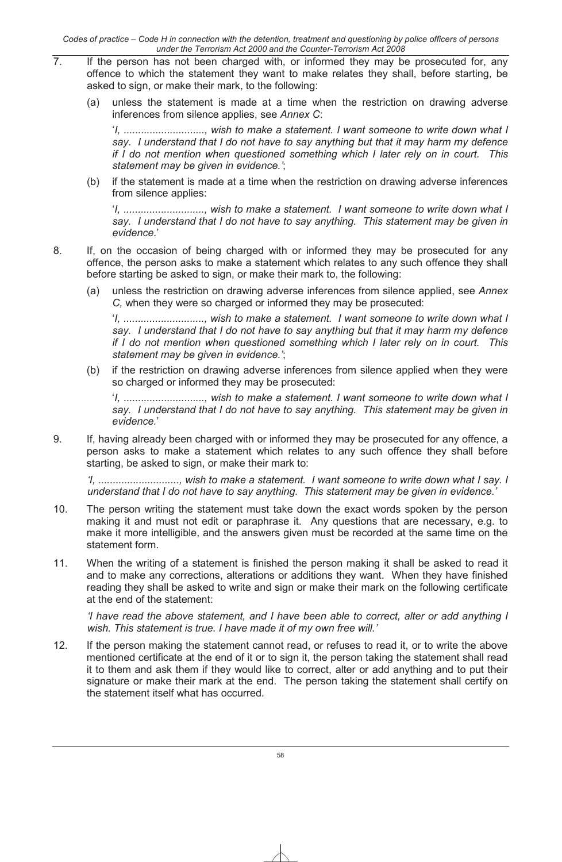- 7. If the person has not been charged with, or informed they may be prosecuted for, any offence to which the statement they want to make relates they shall, before starting, be asked to sign, or make their mark, to the following:
	- (a) unless the statement is made at a time when the restriction on drawing adverse inferences from silence applies, see *Annex C*:

'*I, ............................, wish to make a statement. I want someone to write down what I say. I understand that I do not have to say anything but that it may harm my defence if I do not mention when questioned something which I later rely on in court. This statement may be given in evidence.'*;

(b) if the statement is made at a time when the restriction on drawing adverse inferences from silence applies:

'*I, ............................, wish to make a statement. I want someone to write down what I say. I understand that I do not have to say anything. This statement may be given in evidence.*'

- 8. If, on the occasion of being charged with or informed they may be prosecuted for any offence, the person asks to make a statement which relates to any such offence they shall before starting be asked to sign, or make their mark to, the following:
	- (a) unless the restriction on drawing adverse inferences from silence applied, see *Annex C,* when they were so charged or informed they may be prosecuted:

'*I, ............................, wish to make a statement. I want someone to write down what I say. I understand that I do not have to say anything but that it may harm my defence if I do not mention when questioned something which I later rely on in court. This statement may be given in evidence.'*;

(b) if the restriction on drawing adverse inferences from silence applied when they were so charged or informed they may be prosecuted:

'*I, ............................, wish to make a statement. I want someone to write down what I say. I understand that I do not have to say anything. This statement may be given in evidence.*'

9. If, having already been charged with or informed they may be prosecuted for any offence, a person asks to make a statement which relates to any such offence they shall before starting, be asked to sign, or make their mark to:

*'I, ............................, wish to make a statement. I want someone to write down what I say. I understand that I do not have to say anything. This statement may be given in evidence.'*

- 10. The person writing the statement must take down the exact words spoken by the person making it and must not edit or paraphrase it. Any questions that are necessary, e.g. to make it more intelligible, and the answers given must be recorded at the same time on the statement form.
- 11. When the writing of a statement is finished the person making it shall be asked to read it and to make any corrections, alterations or additions they want. When they have finished reading they shall be asked to write and sign or make their mark on the following certificate at the end of the statement:

*'I have read the above statement, and I have been able to correct, alter or add anything I wish. This statement is true. I have made it of my own free will.'* 

12. If the person making the statement cannot read, or refuses to read it, or to write the above mentioned certificate at the end of it or to sign it, the person taking the statement shall read it to them and ask them if they would like to correct, alter or add anything and to put their signature or make their mark at the end. The person taking the statement shall certify on the statement itself what has occurred.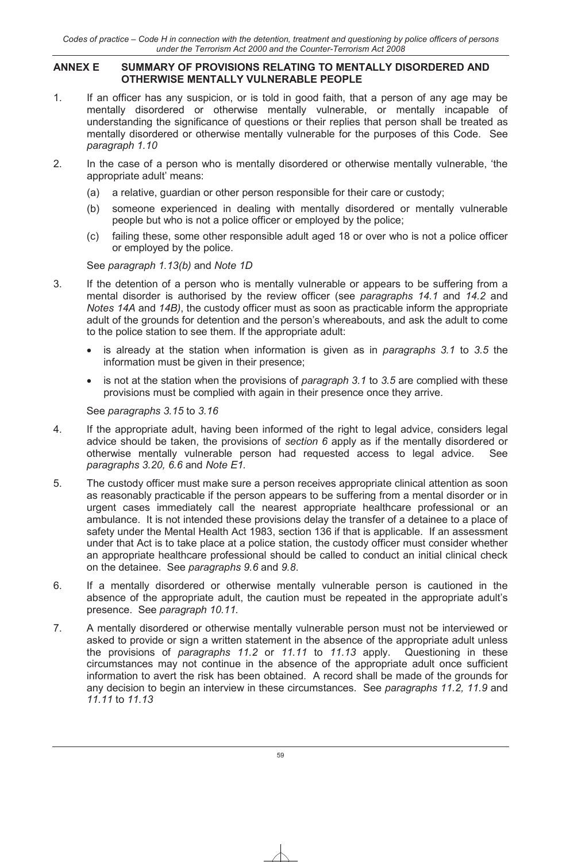#### **ANNEX E SUMMARY OF PROVISIONS RELATING TO MENTALLY DISORDERED AND OTHERWISE MENTALLY VULNERABLE PEOPLE**

- 1. If an officer has any suspicion, or is told in good faith, that a person of any age may be mentally disordered or otherwise mentally vulnerable, or mentally incapable of understanding the significance of questions or their replies that person shall be treated as mentally disordered or otherwise mentally vulnerable for the purposes of this Code. See *paragraph 1.10*
- 2. In the case of a person who is mentally disordered or otherwise mentally vulnerable, 'the appropriate adult' means:
	- (a) a relative, guardian or other person responsible for their care or custody;
	- (b) someone experienced in dealing with mentally disordered or mentally vulnerable people but who is not a police officer or employed by the police;
	- (c) failing these, some other responsible adult aged 18 or over who is not a police officer or employed by the police.

#### See *paragraph 1.13(b)* and *Note 1D*

- 3. If the detention of a person who is mentally vulnerable or appears to be suffering from a mental disorder is authorised by the review officer (see *paragraphs 14.1* and *14.2* and *Notes 14A* and *14B)*, the custody officer must as soon as practicable inform the appropriate adult of the grounds for detention and the person's whereabouts, and ask the adult to come to the police station to see them. If the appropriate adult:
	- is already at the station when information is given as in *paragraphs 3.1* to *3.5* the information must be given in their presence;
	- is not at the station when the provisions of *paragraph 3.1* to *3.5* are complied with these provisions must be complied with again in their presence once they arrive.

#### See *paragraphs 3.15* to *3.16*

- 4. If the appropriate adult, having been informed of the right to legal advice, considers legal advice should be taken, the provisions of *section 6* apply as if the mentally disordered or otherwise mentally vulnerable person had requested access to legal advice. See *paragraphs 3.20, 6.6* and *Note E1.*
- 5. The custody officer must make sure a person receives appropriate clinical attention as soon as reasonably practicable if the person appears to be suffering from a mental disorder or in urgent cases immediately call the nearest appropriate healthcare professional or an ambulance. It is not intended these provisions delay the transfer of a detainee to a place of safety under the Mental Health Act 1983, section 136 if that is applicable. If an assessment under that Act is to take place at a police station, the custody officer must consider whether an appropriate healthcare professional should be called to conduct an initial clinical check on the detainee. See *paragraphs 9.6* and *9.8*.
- 6. If a mentally disordered or otherwise mentally vulnerable person is cautioned in the absence of the appropriate adult, the caution must be repeated in the appropriate adult's presence. See *paragraph 10.11.*
- 7. A mentally disordered or otherwise mentally vulnerable person must not be interviewed or asked to provide or sign a written statement in the absence of the appropriate adult unless the provisions of *paragraphs 11.2* or *11.11* to *11.13* apply. Questioning in these circumstances may not continue in the absence of the appropriate adult once sufficient information to avert the risk has been obtained. A record shall be made of the grounds for any decision to begin an interview in these circumstances. See *paragraphs 11.2, 11.9* and *11.11* to *11.13*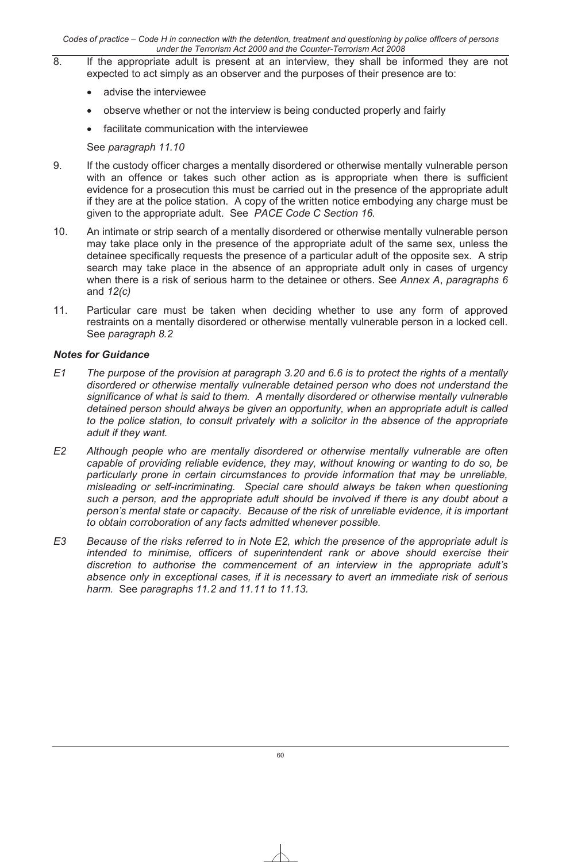- 8. If the appropriate adult is present at an interview, they shall be informed they are not expected to act simply as an observer and the purposes of their presence are to:
	- advise the interviewee
	- observe whether or not the interview is being conducted properly and fairly
	- facilitate communication with the interviewee

See *paragraph 11.10*

- 9. If the custody officer charges a mentally disordered or otherwise mentally vulnerable person with an offence or takes such other action as is appropriate when there is sufficient evidence for a prosecution this must be carried out in the presence of the appropriate adult if they are at the police station. A copy of the written notice embodying any charge must be given to the appropriate adult. See *PACE Code C Section 16.*
- 10. An intimate or strip search of a mentally disordered or otherwise mentally vulnerable person may take place only in the presence of the appropriate adult of the same sex, unless the detainee specifically requests the presence of a particular adult of the opposite sex. A strip search may take place in the absence of an appropriate adult only in cases of urgency when there is a risk of serious harm to the detainee or others. See *Annex A*, *paragraphs 6* and *12(c)*
- 11. Particular care must be taken when deciding whether to use any form of approved restraints on a mentally disordered or otherwise mentally vulnerable person in a locked cell. See *paragraph 8.2*

- *E1 The purpose of the provision at paragraph 3.20 and 6.6 is to protect the rights of a mentally disordered or otherwise mentally vulnerable detained person who does not understand the significance of what is said to them. A mentally disordered or otherwise mentally vulnerable detained person should always be given an opportunity, when an appropriate adult is called to the police station, to consult privately with a solicitor in the absence of the appropriate adult if they want.*
- *E2 Although people who are mentally disordered or otherwise mentally vulnerable are often capable of providing reliable evidence, they may, without knowing or wanting to do so, be particularly prone in certain circumstances to provide information that may be unreliable, misleading or self-incriminating. Special care should always be taken when questioning such a person, and the appropriate adult should be involved if there is any doubt about a person's mental state or capacity. Because of the risk of unreliable evidence, it is important to obtain corroboration of any facts admitted whenever possible.*
- *E3 Because of the risks referred to in Note E2, which the presence of the appropriate adult is intended to minimise, officers of superintendent rank or above should exercise their discretion to authorise the commencement of an interview in the appropriate adult's absence only in exceptional cases, if it is necessary to avert an immediate risk of serious harm.* See *paragraphs 11.2 and 11.11 to 11.13.*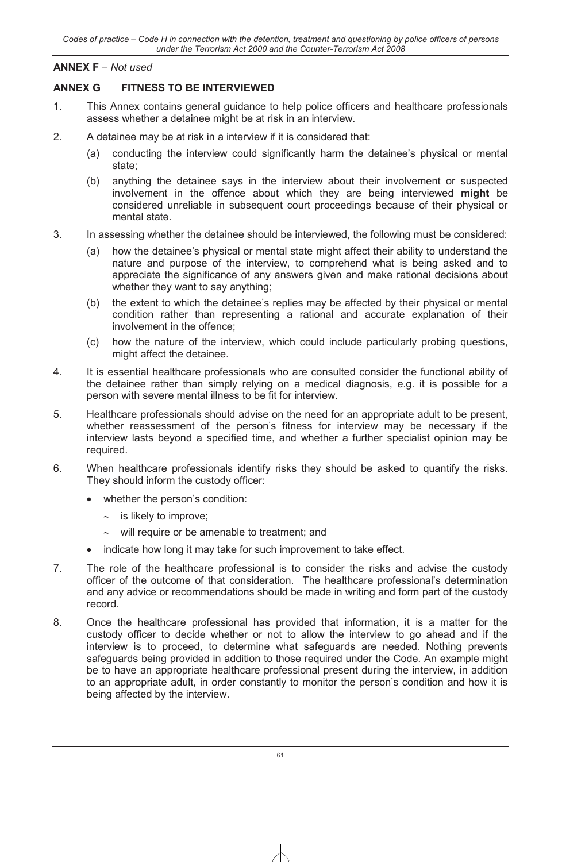# **ANNEX F** – *Not used*

### **ANNEX G FITNESS TO BE INTERVIEWED**

- 1. This Annex contains general guidance to help police officers and healthcare professionals assess whether a detainee might be at risk in an interview.
- 2. A detainee may be at risk in a interview if it is considered that:
	- (a) conducting the interview could significantly harm the detainee's physical or mental state;
	- (b) anything the detainee says in the interview about their involvement or suspected involvement in the offence about which they are being interviewed **might** be considered unreliable in subsequent court proceedings because of their physical or mental state.
- 3. In assessing whether the detainee should be interviewed, the following must be considered:
	- (a) how the detainee's physical or mental state might affect their ability to understand the nature and purpose of the interview, to comprehend what is being asked and to appreciate the significance of any answers given and make rational decisions about whether they want to say anything;
	- (b) the extent to which the detainee's replies may be affected by their physical or mental condition rather than representing a rational and accurate explanation of their involvement in the offence;
	- (c) how the nature of the interview, which could include particularly probing questions, might affect the detainee.
- 4. It is essential healthcare professionals who are consulted consider the functional ability of the detainee rather than simply relying on a medical diagnosis, e.g. it is possible for a person with severe mental illness to be fit for interview.
- 5. Healthcare professionals should advise on the need for an appropriate adult to be present, whether reassessment of the person's fitness for interview may be necessary if the interview lasts beyond a specified time, and whether a further specialist opinion may be required.
- 6. When healthcare professionals identify risks they should be asked to quantify the risks. They should inform the custody officer:
	- whether the person's condition:
		- ∼ is likely to improve;
		- ∼ will require or be amenable to treatment; and
	- indicate how long it may take for such improvement to take effect.
- 7. The role of the healthcare professional is to consider the risks and advise the custody officer of the outcome of that consideration. The healthcare professional's determination and any advice or recommendations should be made in writing and form part of the custody record.
- 8. Once the healthcare professional has provided that information, it is a matter for the custody officer to decide whether or not to allow the interview to go ahead and if the interview is to proceed, to determine what safeguards are needed. Nothing prevents safeguards being provided in addition to those required under the Code. An example might be to have an appropriate healthcare professional present during the interview, in addition to an appropriate adult, in order constantly to monitor the person's condition and how it is being affected by the interview.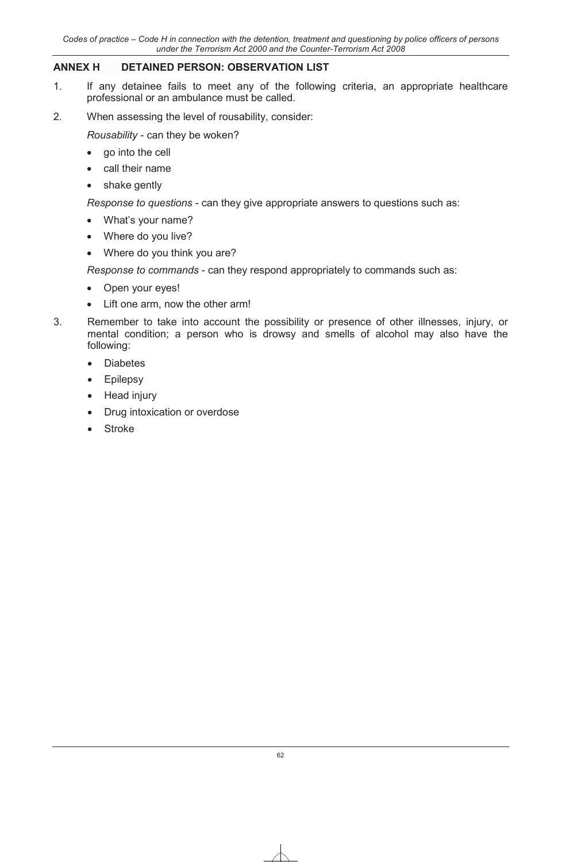# **ANNEX H DETAINED PERSON: OBSERVATION LIST**

- 1. If any detainee fails to meet any of the following criteria, an appropriate healthcare professional or an ambulance must be called.
- 2. When assessing the level of rousability, consider:

*Rousability* - can they be woken?

- go into the cell
- call their name
- shake gently

*Response to questions* - can they give appropriate answers to questions such as:

- What's your name?
- Where do you live?
- Where do you think you are?

*Response to commands* - can they respond appropriately to commands such as:

- Open your eyes!
- Lift one arm, now the other arm!
- 3. Remember to take into account the possibility or presence of other illnesses, injury, or mental condition; a person who is drowsy and smells of alcohol may also have the following:
	- **Diabetes**
	- Epilepsy
	- Head injury
	- Drug intoxication or overdose
	- **Stroke**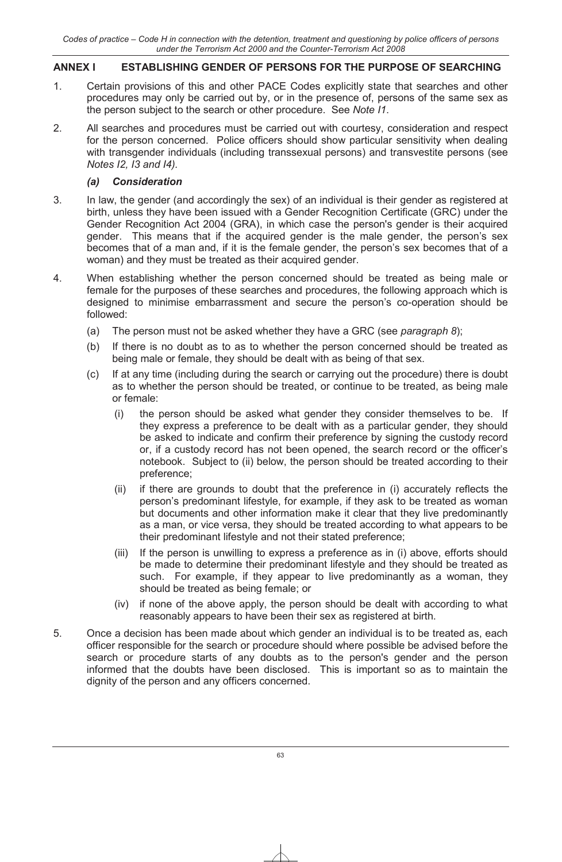### **ANNEX I ESTABLISHING GENDER OF PERSONS FOR THE PURPOSE OF SEARCHING**

- 1. Certain provisions of this and other PACE Codes explicitly state that searches and other procedures may only be carried out by, or in the presence of, persons of the same sex as the person subject to the search or other procedure. See *Note I1*.
- 2. All searches and procedures must be carried out with courtesy, consideration and respect for the person concerned. Police officers should show particular sensitivity when dealing with transgender individuals (including transsexual persons) and transvestite persons (see *Notes I2, I3 and I4).*

### *(a) Consideration*

- 3. In law, the gender (and accordingly the sex) of an individual is their gender as registered at birth, unless they have been issued with a Gender Recognition Certificate (GRC) under the Gender Recognition Act 2004 (GRA), in which case the person's gender is their acquired gender. This means that if the acquired gender is the male gender, the person's sex becomes that of a man and, if it is the female gender, the person's sex becomes that of a woman) and they must be treated as their acquired gender.
- 4. When establishing whether the person concerned should be treated as being male or female for the purposes of these searches and procedures, the following approach which is designed to minimise embarrassment and secure the person's co-operation should be followed:
	- (a) The person must not be asked whether they have a GRC (see *paragraph 8*);
	- (b) If there is no doubt as to as to whether the person concerned should be treated as being male or female, they should be dealt with as being of that sex.
	- (c) If at any time (including during the search or carrying out the procedure) there is doubt as to whether the person should be treated, or continue to be treated, as being male or female:
		- (i) the person should be asked what gender they consider themselves to be. If they express a preference to be dealt with as a particular gender, they should be asked to indicate and confirm their preference by signing the custody record or, if a custody record has not been opened, the search record or the officer's notebook. Subject to (ii) below, the person should be treated according to their preference;
		- (ii) if there are grounds to doubt that the preference in (i) accurately reflects the person's predominant lifestyle, for example, if they ask to be treated as woman but documents and other information make it clear that they live predominantly as a man, or vice versa, they should be treated according to what appears to be their predominant lifestyle and not their stated preference;
		- (iii) If the person is unwilling to express a preference as in (i) above, efforts should be made to determine their predominant lifestyle and they should be treated as such. For example, if they appear to live predominantly as a woman, they should be treated as being female; or
		- (iv) if none of the above apply, the person should be dealt with according to what reasonably appears to have been their sex as registered at birth.
- 5. Once a decision has been made about which gender an individual is to be treated as, each officer responsible for the search or procedure should where possible be advised before the search or procedure starts of any doubts as to the person's gender and the person informed that the doubts have been disclosed. This is important so as to maintain the dignity of the person and any officers concerned.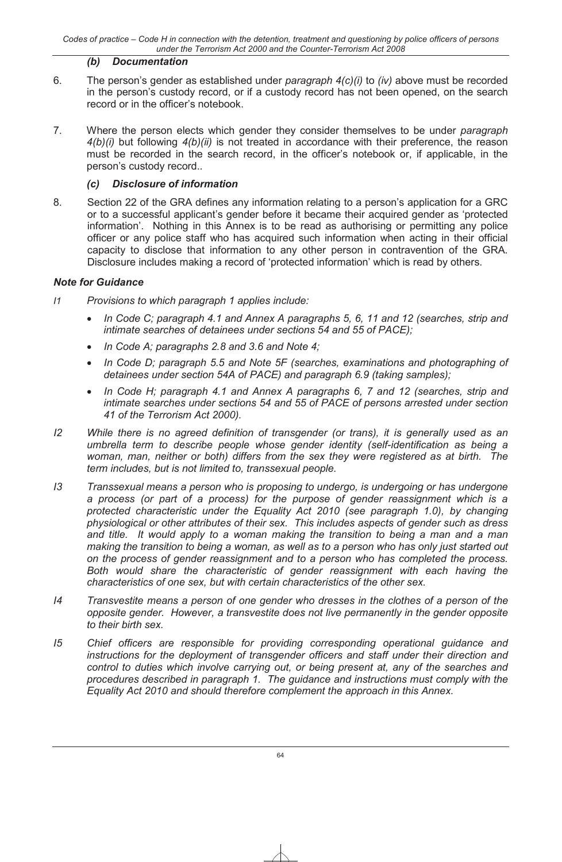### *(b) Documentation*

- 6. The person's gender as established under *paragraph 4(c)(i)* to *(iv)* above must be recorded in the person's custody record, or if a custody record has not been opened, on the search record or in the officer's notebook.
- 7. Where the person elects which gender they consider themselves to be under *paragraph 4(b)(i)* but following *4(b)(ii)* is not treated in accordance with their preference, the reason must be recorded in the search record, in the officer's notebook or, if applicable, in the person's custody record..

### *(c) Disclosure of information*

8. Section 22 of the GRA defines any information relating to a person's application for a GRC or to a successful applicant's gender before it became their acquired gender as 'protected information'. Nothing in this Annex is to be read as authorising or permitting any police officer or any police staff who has acquired such information when acting in their official capacity to disclose that information to any other person in contravention of the GRA. Disclosure includes making a record of 'protected information' which is read by others.

- *I1 Provisions to which paragraph 1 applies include:*
	- *In Code C; paragraph 4.1 and Annex A paragraphs 5, 6, 11 and 12 (searches, strip and intimate searches of detainees under sections 54 and 55 of PACE);*
	- *In Code A; paragraphs 2.8 and 3.6 and Note 4;*
	- *In Code D; paragraph 5.5 and Note 5F (searches, examinations and photographing of detainees under section 54A of PACE) and paragraph 6.9 (taking samples);*
	- *In Code H; paragraph 4.1 and Annex A paragraphs 6, 7 and 12 (searches, strip and intimate searches under sections 54 and 55 of PACE of persons arrested under section 41 of the Terrorism Act 2000).*
- *I2 While there is no agreed definition of transgender (or trans), it is generally used as an umbrella term to describe people whose gender identity (self-identification as being a woman, man, neither or both) differs from the sex they were registered as at birth. The term includes, but is not limited to, transsexual people.*
- *I3 Transsexual means a person who is proposing to undergo, is undergoing or has undergone a process (or part of a process) for the purpose of gender reassignment which is a protected characteristic under the Equality Act 2010 (see paragraph 1.0), by changing physiological or other attributes of their sex. This includes aspects of gender such as dress and title. It would apply to a woman making the transition to being a man and a man making the transition to being a woman, as well as to a person who has only just started out on the process of gender reassignment and to a person who has completed the process. Both would share the characteristic of gender reassignment with each having the characteristics of one sex, but with certain characteristics of the other sex.*
- *I4 Transvestite means a person of one gender who dresses in the clothes of a person of the opposite gender. However, a transvestite does not live permanently in the gender opposite to their birth sex.*
- *I5 Chief officers are responsible for providing corresponding operational guidance and instructions for the deployment of transgender officers and staff under their direction and control to duties which involve carrying out, or being present at, any of the searches and procedures described in paragraph 1. The guidance and instructions must comply with the Equality Act 2010 and should therefore complement the approach in this Annex.*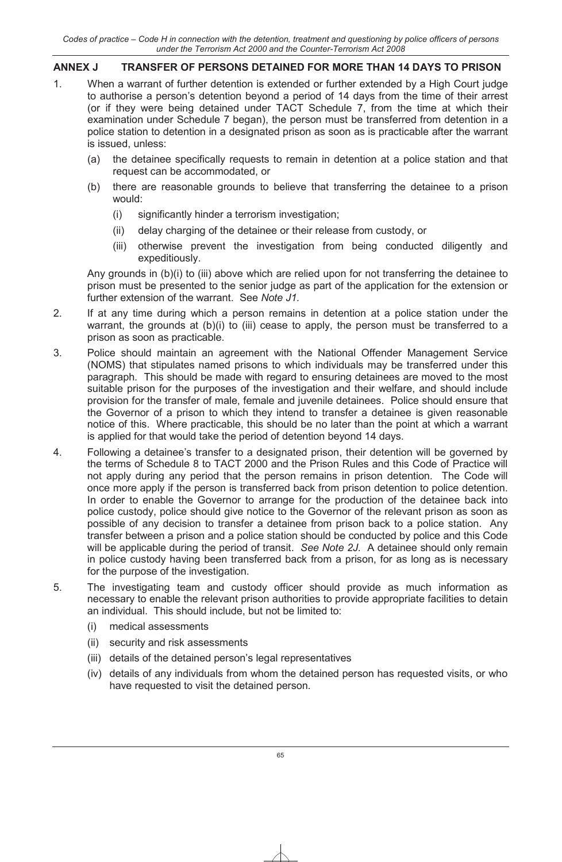### **ANNEX J TRANSFER OF PERSONS DETAINED FOR MORE THAN 14 DAYS TO PRISON**

- 1. When a warrant of further detention is extended or further extended by a High Court judge to authorise a person's detention beyond a period of 14 days from the time of their arrest (or if they were being detained under TACT Schedule 7, from the time at which their examination under Schedule 7 began), the person must be transferred from detention in a police station to detention in a designated prison as soon as is practicable after the warrant is issued, unless:
	- (a) the detainee specifically requests to remain in detention at a police station and that request can be accommodated, or
	- (b) there are reasonable grounds to believe that transferring the detainee to a prison would:
		- (i) significantly hinder a terrorism investigation;
		- (ii) delay charging of the detainee or their release from custody, or
		- (iii) otherwise prevent the investigation from being conducted diligently and expeditiously.

Any grounds in (b)(i) to (iii) above which are relied upon for not transferring the detainee to prison must be presented to the senior judge as part of the application for the extension or further extension of the warrant. See *Note J1.*

- 2. If at any time during which a person remains in detention at a police station under the warrant, the grounds at (b)(i) to (iii) cease to apply, the person must be transferred to a prison as soon as practicable.
- 3. Police should maintain an agreement with the National Offender Management Service (NOMS) that stipulates named prisons to which individuals may be transferred under this paragraph. This should be made with regard to ensuring detainees are moved to the most suitable prison for the purposes of the investigation and their welfare, and should include provision for the transfer of male, female and juvenile detainees. Police should ensure that the Governor of a prison to which they intend to transfer a detainee is given reasonable notice of this. Where practicable, this should be no later than the point at which a warrant is applied for that would take the period of detention beyond 14 days.
- 4. Following a detainee's transfer to a designated prison, their detention will be governed by the terms of Schedule 8 to TACT 2000 and the Prison Rules and this Code of Practice will not apply during any period that the person remains in prison detention. The Code will once more apply if the person is transferred back from prison detention to police detention. In order to enable the Governor to arrange for the production of the detainee back into police custody, police should give notice to the Governor of the relevant prison as soon as possible of any decision to transfer a detainee from prison back to a police station. Any transfer between a prison and a police station should be conducted by police and this Code will be applicable during the period of transit. *See Note 2J.* A detainee should only remain in police custody having been transferred back from a prison, for as long as is necessary for the purpose of the investigation.
- 5. The investigating team and custody officer should provide as much information as necessary to enable the relevant prison authorities to provide appropriate facilities to detain an individual. This should include, but not be limited to:
	- (i) medical assessments
	- (ii) security and risk assessments
	- (iii) details of the detained person's legal representatives
	- (iv) details of any individuals from whom the detained person has requested visits, or who have requested to visit the detained person.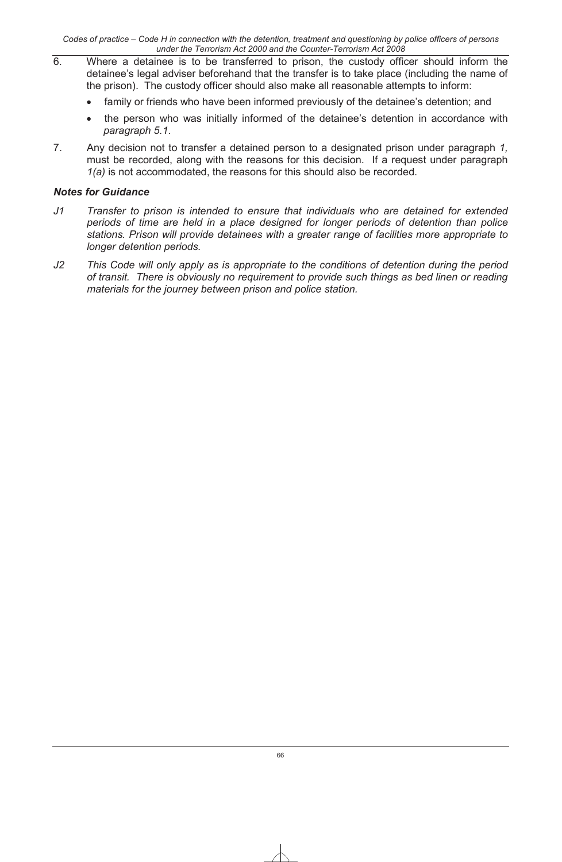- 6. Where a detainee is to be transferred to prison, the custody officer should inform the detainee's legal adviser beforehand that the transfer is to take place (including the name of the prison). The custody officer should also make all reasonable attempts to inform:
	- family or friends who have been informed previously of the detainee's detention; and
	- the person who was initially informed of the detainee's detention in accordance with *paragraph 5.1*.
- 7. Any decision not to transfer a detained person to a designated prison under paragraph *1,*  must be recorded, along with the reasons for this decision. If a request under paragraph *1(a)* is not accommodated, the reasons for this should also be recorded.

- *J1 Transfer to prison is intended to ensure that individuals who are detained for extended periods of time are held in a place designed for longer periods of detention than police stations. Prison will provide detainees with a greater range of facilities more appropriate to longer detention periods.*
- *J2 This Code will only apply as is appropriate to the conditions of detention during the period of transit. There is obviously no requirement to provide such things as bed linen or reading materials for the journey between prison and police station.*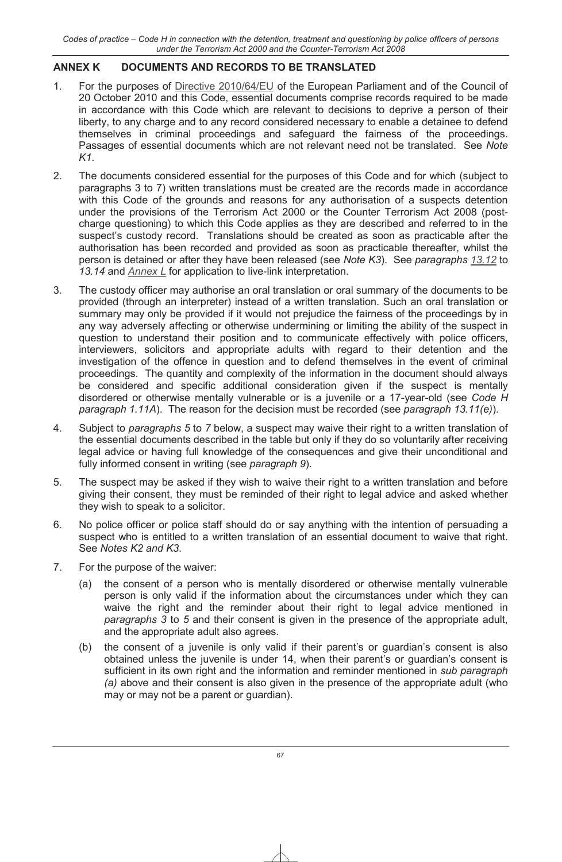# **ANNEX K DOCUMENTS AND RECORDS TO BE TRANSLATED**

- 1. For the purposes of [Directive 2010/64/EU](http://eur-lex.europa.eu/LexUriServ/LexUriServ.do?uri=OJ:L:2010:280:0001:0007:en:PDF) of the European Parliament and of the Council of 20 October 2010 and this Code, essential documents comprise records required to be made in accordance with this Code which are relevant to decisions to deprive a person of their liberty, to any charge and to any record considered necessary to enable a detainee to defend themselves in criminal proceedings and safeguard the fairness of the proceedings. Passages of essential documents which are not relevant need not be translated. See *Note K1*.
- 2. The documents considered essential for the purposes of this Code and for which (subject to paragraphs 3 to 7) written translations must be created are the records made in accordance with this Code of the grounds and reasons for any authorisation of a suspects detention under the provisions of the Terrorism Act 2000 or the Counter Terrorism Act 2008 (postcharge questioning) to which this Code applies as they are described and referred to in the suspect's custody record. Translations should be created as soon as practicable after the authorisation has been recorded and provided as soon as practicable thereafter, whilst the person is detained or after they have been released (see *Note K3*). See *paragraphs [13.12](#page--1-0)* to *13.14* and *[Annex L](#page--1-1)* for application to live-link interpretation.
- 3. The custody officer may authorise an oral translation or oral summary of the documents to be provided (through an interpreter) instead of a written translation. Such an oral translation or summary may only be provided if it would not prejudice the fairness of the proceedings by in any way adversely affecting or otherwise undermining or limiting the ability of the suspect in question to understand their position and to communicate effectively with police officers, interviewers, solicitors and appropriate adults with regard to their detention and the investigation of the offence in question and to defend themselves in the event of criminal proceedings. The quantity and complexity of the information in the document should always be considered and specific additional consideration given if the suspect is mentally disordered or otherwise mentally vulnerable or is a juvenile or a 17-year-old (see *Code H paragraph 1.11A*). The reason for the decision must be recorded (see *paragraph 13.11(e)*).
- 4. Subject to *paragraphs 5* to *7* below, a suspect may waive their right to a written translation of the essential documents described in the table but only if they do so voluntarily after receiving legal advice or having full knowledge of the consequences and give their unconditional and fully informed consent in writing (see *paragraph 9*).
- 5. The suspect may be asked if they wish to waive their right to a written translation and before giving their consent, they must be reminded of their right to legal advice and asked whether they wish to speak to a solicitor.
- 6. No police officer or police staff should do or say anything with the intention of persuading a suspect who is entitled to a written translation of an essential document to waive that right. See *Notes K2 and K3*.
- 7. For the purpose of the waiver:
	- (a) the consent of a person who is mentally disordered or otherwise mentally vulnerable person is only valid if the information about the circumstances under which they can waive the right and the reminder about their right to legal advice mentioned in *paragraphs 3* to *5* and their consent is given in the presence of the appropriate adult, and the appropriate adult also agrees.
	- (b) the consent of a juvenile is only valid if their parent's or guardian's consent is also obtained unless the juvenile is under 14, when their parent's or guardian's consent is sufficient in its own right and the information and reminder mentioned in *sub paragraph (a)* above and their consent is also given in the presence of the appropriate adult (who may or may not be a parent or guardian).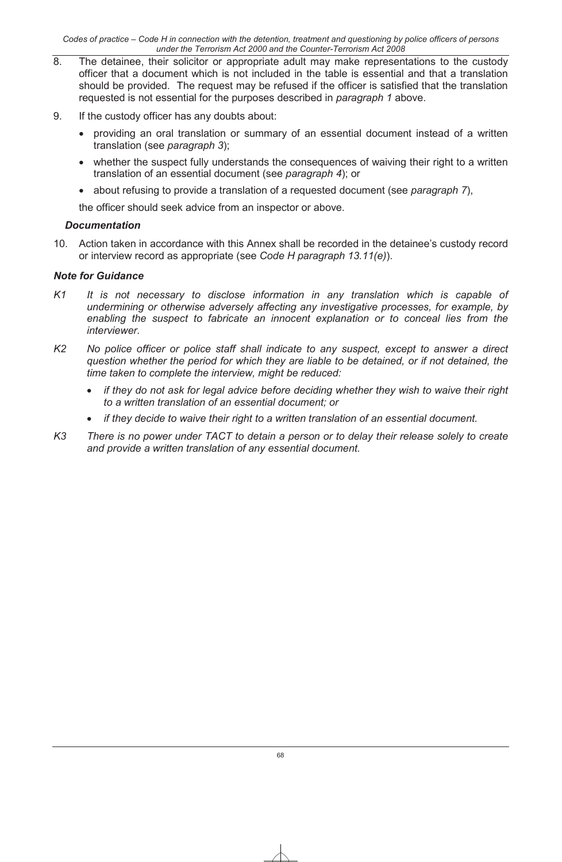- 8. The detainee, their solicitor or appropriate adult may make representations to the custody officer that a document which is not included in the table is essential and that a translation should be provided. The request may be refused if the officer is satisfied that the translation requested is not essential for the purposes described in *paragraph 1* above.
- 9. If the custody officer has any doubts about:
	- providing an oral translation or summary of an essential document instead of a written translation (see *paragraph 3*);
	- whether the suspect fully understands the consequences of waiving their right to a written translation of an essential document (see *paragraph 4*); or
	- about refusing to provide a translation of a requested document (see *paragraph 7*),

the officer should seek advice from an inspector or above.

#### *Documentation*

10. Action taken in accordance with this Annex shall be recorded in the detainee's custody record or interview record as appropriate (see *Code H paragraph 13.11(e)*).

- *K1 It is not necessary to disclose information in any translation which is capable of undermining or otherwise adversely affecting any investigative processes, for example, by enabling the suspect to fabricate an innocent explanation or to conceal lies from the interviewer.*
- *K2 No police officer or police staff shall indicate to any suspect, except to answer a direct question whether the period for which they are liable to be detained, or if not detained, the time taken to complete the interview, might be reduced:*
	- *if they do not ask for legal advice before deciding whether they wish to waive their right to a written translation of an essential document; or*
	- *if they decide to waive their right to a written translation of an essential document.*
- *K3 There is no power under TACT to detain a person or to delay their release solely to create and provide a written translation of any essential document.*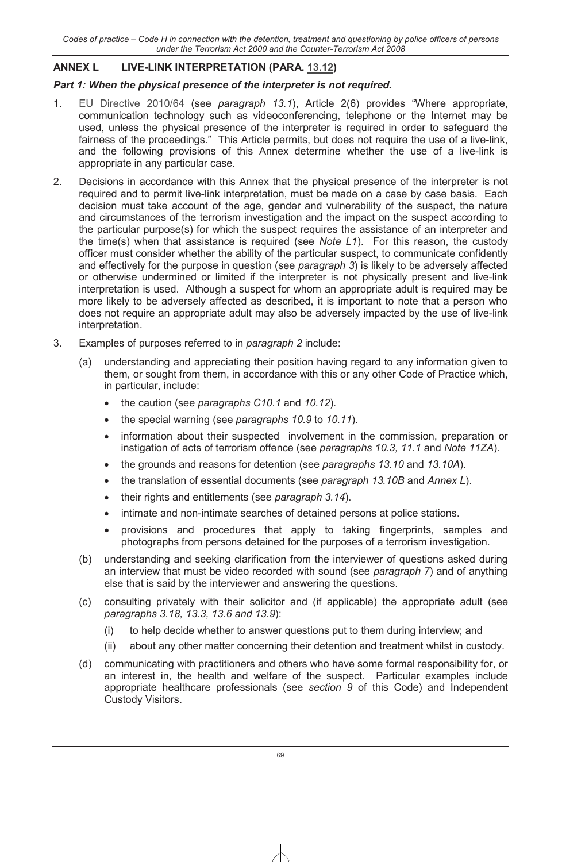# **ANNEX L LIVE-LINK INTERPRETATION (PARA. 13.12)**

### *Part 1: When the physical presence of the interpreter is not required.*

- 1. [EU Directive 2010/64](http://eur-lex.europa.eu/LexUriServ/LexUriServ.do?uri=OJ:L:2010:280:0001:0007:en:PDF) (see *paragraph 13.1*), Article 2(6) provides "Where appropriate, communication technology such as videoconferencing, telephone or the Internet may be used, unless the physical presence of the interpreter is required in order to safeguard the fairness of the proceedings." This Article permits, but does not require the use of a live-link, and the following provisions of this Annex determine whether the use of a live-link is appropriate in any particular case.
- 2. Decisions in accordance with this Annex that the physical presence of the interpreter is not required and to permit live-link interpretation, must be made on a case by case basis. Each decision must take account of the age, gender and vulnerability of the suspect, the nature and circumstances of the terrorism investigation and the impact on the suspect according to the particular purpose(s) for which the suspect requires the assistance of an interpreter and the time(s) when that assistance is required (see *Note L1*). For this reason, the custody officer must consider whether the ability of the particular suspect, to communicate confidently and effectively for the purpose in question (see *paragraph 3*) is likely to be adversely affected or otherwise undermined or limited if the interpreter is not physically present and live-link interpretation is used. Although a suspect for whom an appropriate adult is required may be more likely to be adversely affected as described, it is important to note that a person who does not require an appropriate adult may also be adversely impacted by the use of live-link interpretation.
- 3. Examples of purposes referred to in *paragraph 2* include:
	- (a) understanding and appreciating their position having regard to any information given to them, or sought from them, in accordance with this or any other Code of Practice which, in particular, include:
		- the caution (see *paragraphs C10.1* and *10.12*).
		- the special warning (see *paragraphs 10.9* to *10.11*).
		- information about their suspected involvement in the commission, preparation or instigation of acts of terrorism offence (see *paragraphs 10.3, 11.1* and *Note 11ZA*).
		- the grounds and reasons for detention (see *paragraphs 13.10* and *13.10A*).
		- the translation of essential documents (see *paragraph 13.10B* and *Annex L*).
		- their rights and entitlements (see *paragraph 3.14*).
		- intimate and non-intimate searches of detained persons at police stations.
		- provisions and procedures that apply to taking fingerprints, samples and photographs from persons detained for the purposes of a terrorism investigation.
	- (b) understanding and seeking clarification from the interviewer of questions asked during an interview that must be video recorded with sound (see *paragraph 7*) and of anything else that is said by the interviewer and answering the questions.
	- (c) consulting privately with their solicitor and (if applicable) the appropriate adult (see *paragraphs 3.18, 13.3, 13.6 and 13.9*):
		- (i) to help decide whether to answer questions put to them during interview; and
		- (ii) about any other matter concerning their detention and treatment whilst in custody.
	- (d) communicating with practitioners and others who have some formal responsibility for, or an interest in, the health and welfare of the suspect. Particular examples include appropriate healthcare professionals (see *section 9* of this Code) and Independent Custody Visitors.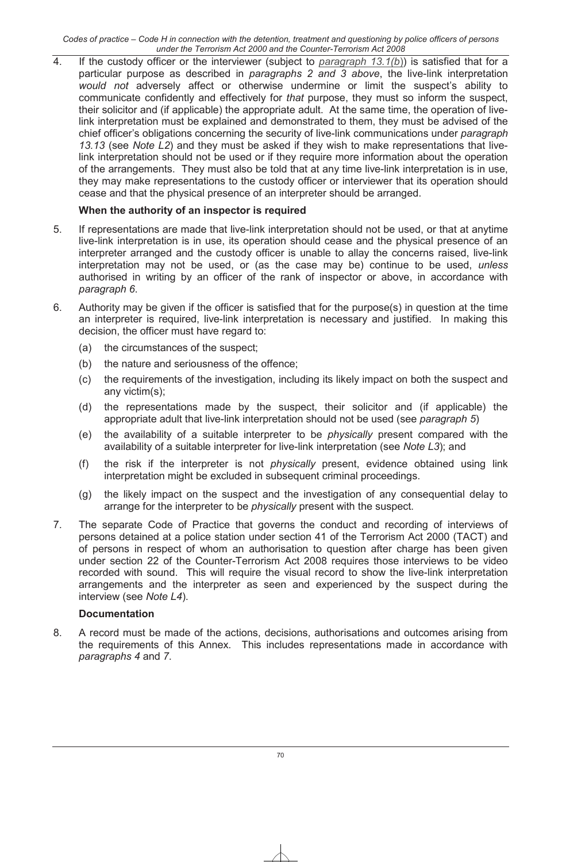*Codes of practice – Code H in connection with the detention, treatment and questioning by police officers of persons under the Terrorism Act 2000 and the Counter-Terrorism Act 2008*

4. If the custody officer or the interviewer (subject to *paragraph 13.1(b*)) is satisfied that for a particular purpose as described in *paragraphs 2 and 3 above*, the live-link interpretation *would not* adversely affect or otherwise undermine or limit the suspect's ability to communicate confidently and effectively for *that* purpose, they must so inform the suspect, their solicitor and (if applicable) the appropriate adult. At the same time, the operation of livelink interpretation must be explained and demonstrated to them, they must be advised of the chief officer's obligations concerning the security of live-link communications under *paragraph 13.13* (see *Note L2*) and they must be asked if they wish to make representations that livelink interpretation should not be used or if they require more information about the operation of the arrangements. They must also be told that at any time live-link interpretation is in use, they may make representations to the custody officer or interviewer that its operation should cease and that the physical presence of an interpreter should be arranged.

### **When the authority of an inspector is required**

- 5. If representations are made that live-link interpretation should not be used, or that at anytime live-link interpretation is in use, its operation should cease and the physical presence of an interpreter arranged and the custody officer is unable to allay the concerns raised, live-link interpretation may not be used, or (as the case may be) continue to be used, *unless* authorised in writing by an officer of the rank of inspector or above, in accordance with *paragraph 6*.
- 6. Authority may be given if the officer is satisfied that for the purpose(s) in question at the time an interpreter is required, live-link interpretation is necessary and justified. In making this decision, the officer must have regard to:
	- (a) the circumstances of the suspect;
	- (b) the nature and seriousness of the offence;
	- (c) the requirements of the investigation, including its likely impact on both the suspect and any victim(s);
	- (d) the representations made by the suspect, their solicitor and (if applicable) the appropriate adult that live-link interpretation should not be used (see *paragraph 5*)
	- (e) the availability of a suitable interpreter to be *physically* present compared with the availability of a suitable interpreter for live-link interpretation (see *Note L3*); and
	- (f) the risk if the interpreter is not *physically* present, evidence obtained using link interpretation might be excluded in subsequent criminal proceedings.
	- (g) the likely impact on the suspect and the investigation of any consequential delay to arrange for the interpreter to be *physically* present with the suspect.
- 7. The separate Code of Practice that governs the conduct and recording of interviews of persons detained at a police station under section 41 of the Terrorism Act 2000 (TACT) and of persons in respect of whom an authorisation to question after charge has been given under section 22 of the Counter-Terrorism Act 2008 requires those interviews to be video recorded with sound. This will require the visual record to show the live-link interpretation arrangements and the interpreter as seen and experienced by the suspect during the interview (see *Note L4*).

#### **Documentation**

8. A record must be made of the actions, decisions, authorisations and outcomes arising from the requirements of this Annex. This includes representations made in accordance with *paragraphs 4* and *7*.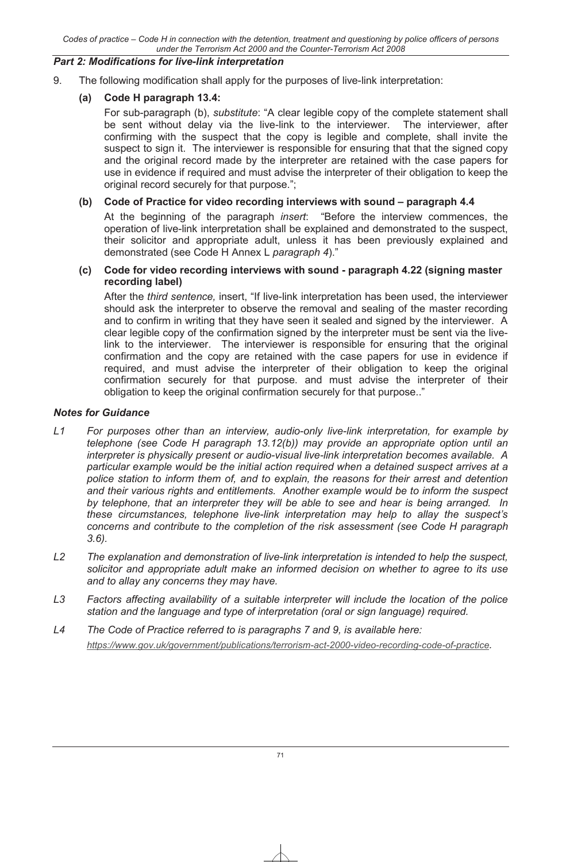## *Part 2: Modifications for live-link interpretation*

9. The following modification shall apply for the purposes of live-link interpretation:

# **(a) Code H paragraph 13.4:**

For sub-paragraph (b), *substitute*: "A clear legible copy of the complete statement shall be sent without delay via the live-link to the interviewer. The interviewer, after confirming with the suspect that the copy is legible and complete, shall invite the suspect to sign it. The interviewer is responsible for ensuring that that the signed copy and the original record made by the interpreter are retained with the case papers for use in evidence if required and must advise the interpreter of their obligation to keep the original record securely for that purpose.";

# **(b) Code of Practice for video recording interviews with sound – paragraph 4.4**

At the beginning of the paragraph *insert*: "Before the interview commences, the operation of live-link interpretation shall be explained and demonstrated to the suspect, their solicitor and appropriate adult, unless it has been previously explained and demonstrated (see Code H Annex L *paragraph 4*)."

#### **(c) Code for video recording interviews with sound - paragraph 4.22 (signing master recording label)**

After the *third sentence,* insert, "If live-link interpretation has been used, the interviewer should ask the interpreter to observe the removal and sealing of the master recording and to confirm in writing that they have seen it sealed and signed by the interviewer. A clear legible copy of the confirmation signed by the interpreter must be sent via the livelink to the interviewer. The interviewer is responsible for ensuring that the original confirmation and the copy are retained with the case papers for use in evidence if required, and must advise the interpreter of their obligation to keep the original confirmation securely for that purpose. and must advise the interpreter of their obligation to keep the original confirmation securely for that purpose.."

#### *Notes for Guidance*

- *L1 For purposes other than an interview, audio-only live-link interpretation, for example by telephone (see Code H paragraph 13.12(b)) may provide an appropriate option until an interpreter is physically present or audio-visual live-link interpretation becomes available. A particular example would be the initial action required when a detained suspect arrives at a police station to inform them of, and to explain, the reasons for their arrest and detention and their various rights and entitlements. Another example would be to inform the suspect by telephone, that an interpreter they will be able to see and hear is being arranged. In these circumstances, telephone live-link interpretation may help to allay the suspect's concerns and contribute to the completion of the risk assessment (see Code H paragraph 3.6).*
- *L2 The explanation and demonstration of live-link interpretation is intended to help the suspect, solicitor and appropriate adult make an informed decision on whether to agree to its use and to allay any concerns they may have.*
- *L3 Factors affecting availability of a suitable interpreter will include the location of the police station and the language and type of interpretation (oral or sign language) required.*
- *L4 The Code of Practice referred to is paragraphs 7 and 9, is available here: [https://www.gov.uk/government/publications/terrorism-act-2000-video-recording-code-of-practice.](https://www.gov.uk/government/publications/terrorism-act-2000-video-recording-code-of-practice)*